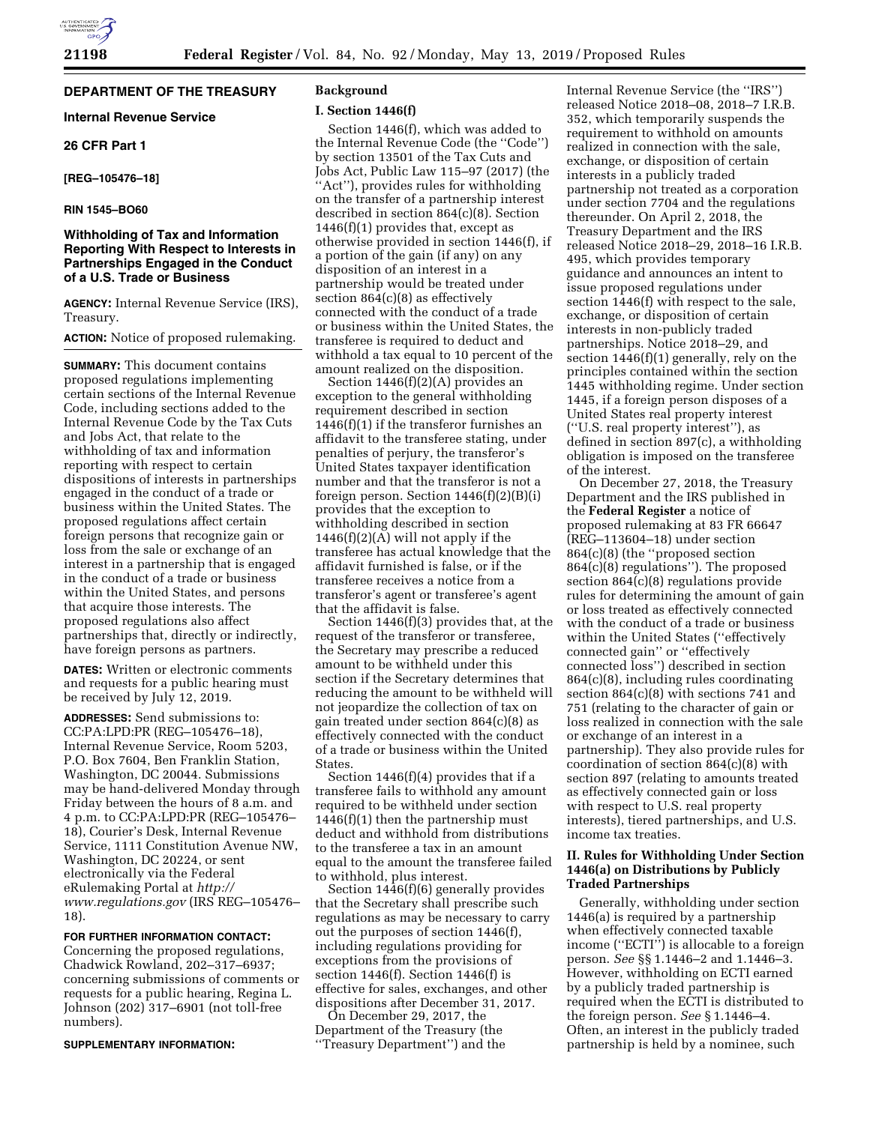# **DEPARTMENT OF THE TREASURY**

# **Internal Revenue Service**

## **26 CFR Part 1**

## **[REG–105476–18]**

# **RIN 1545–BO60**

# **Withholding of Tax and Information Reporting With Respect to Interests in Partnerships Engaged in the Conduct of a U.S. Trade or Business**

**AGENCY:** Internal Revenue Service (IRS), Treasury.

### **ACTION:** Notice of proposed rulemaking.

**SUMMARY:** This document contains proposed regulations implementing certain sections of the Internal Revenue Code, including sections added to the Internal Revenue Code by the Tax Cuts and Jobs Act, that relate to the withholding of tax and information reporting with respect to certain dispositions of interests in partnerships engaged in the conduct of a trade or business within the United States. The proposed regulations affect certain foreign persons that recognize gain or loss from the sale or exchange of an interest in a partnership that is engaged in the conduct of a trade or business within the United States, and persons that acquire those interests. The proposed regulations also affect partnerships that, directly or indirectly, have foreign persons as partners.

**DATES:** Written or electronic comments and requests for a public hearing must be received by July 12, 2019.

**ADDRESSES:** Send submissions to: CC:PA:LPD:PR (REG–105476–18), Internal Revenue Service, Room 5203, P.O. Box 7604, Ben Franklin Station, Washington, DC 20044. Submissions may be hand-delivered Monday through Friday between the hours of 8 a.m. and 4 p.m. to CC:PA:LPD:PR (REG–105476– 18), Courier's Desk, Internal Revenue Service, 1111 Constitution Avenue NW, Washington, DC 20224, or sent electronically via the Federal eRulemaking Portal at *[http://](http://www.regulations.gov) [www.regulations.gov](http://www.regulations.gov)* (IRS REG–105476– 18).

### **FOR FURTHER INFORMATION CONTACT:**

Concerning the proposed regulations, Chadwick Rowland, 202–317–6937; concerning submissions of comments or requests for a public hearing, Regina L. Johnson (202) 317–6901 (not toll-free numbers).

### **SUPPLEMENTARY INFORMATION:**

## **Background**

# **I. Section 1446(f)**

Section 1446(f), which was added to the Internal Revenue Code (the ''Code'') by section 13501 of the Tax Cuts and Jobs Act, Public Law 115–97 (2017) (the ''Act''), provides rules for withholding on the transfer of a partnership interest described in section 864(c)(8). Section  $1446(f)(1)$  provides that, except as otherwise provided in section 1446(f), if a portion of the gain (if any) on any disposition of an interest in a partnership would be treated under section 864(c)(8) as effectively connected with the conduct of a trade or business within the United States, the transferee is required to deduct and withhold a tax equal to 10 percent of the amount realized on the disposition.

Section 1446(f)(2)(A) provides an exception to the general withholding requirement described in section 1446(f)(1) if the transferor furnishes an affidavit to the transferee stating, under penalties of perjury, the transferor's United States taxpayer identification number and that the transferor is not a foreign person. Section 1446(f)(2)(B)(i) provides that the exception to withholding described in section  $1446(f)(2)(A)$  will not apply if the transferee has actual knowledge that the affidavit furnished is false, or if the transferee receives a notice from a transferor's agent or transferee's agent that the affidavit is false.

Section 1446(f)(3) provides that, at the request of the transferor or transferee, the Secretary may prescribe a reduced amount to be withheld under this section if the Secretary determines that reducing the amount to be withheld will not jeopardize the collection of tax on gain treated under section 864(c)(8) as effectively connected with the conduct of a trade or business within the United States.

Section 1446(f)(4) provides that if a transferee fails to withhold any amount required to be withheld under section 1446(f)(1) then the partnership must deduct and withhold from distributions to the transferee a tax in an amount equal to the amount the transferee failed to withhold, plus interest.

Section 1446(f)(6) generally provides that the Secretary shall prescribe such regulations as may be necessary to carry out the purposes of section 1446(f), including regulations providing for exceptions from the provisions of section 1446(f). Section 1446(f) is effective for sales, exchanges, and other dispositions after December 31, 2017.

On December 29, 2017, the Department of the Treasury (the ''Treasury Department'') and the

Internal Revenue Service (the ''IRS'') released Notice 2018–08, 2018–7 I.R.B. 352, which temporarily suspends the requirement to withhold on amounts realized in connection with the sale, exchange, or disposition of certain interests in a publicly traded partnership not treated as a corporation under section 7704 and the regulations thereunder. On April 2, 2018, the Treasury Department and the IRS released Notice 2018–29, 2018–16 I.R.B. 495, which provides temporary guidance and announces an intent to issue proposed regulations under section 1446(f) with respect to the sale, exchange, or disposition of certain interests in non-publicly traded partnerships. Notice 2018–29, and section 1446(f)(1) generally, rely on the principles contained within the section 1445 withholding regime. Under section 1445, if a foreign person disposes of a United States real property interest (''U.S. real property interest''), as defined in section 897(c), a withholding obligation is imposed on the transferee of the interest.

On December 27, 2018, the Treasury Department and the IRS published in the **Federal Register** a notice of proposed rulemaking at 83 FR 66647 (REG–113604–18) under section 864(c)(8) (the ''proposed section 864(c)(8) regulations''). The proposed section 864(c)(8) regulations provide rules for determining the amount of gain or loss treated as effectively connected with the conduct of a trade or business within the United States (''effectively connected gain'' or ''effectively connected loss'') described in section 864(c)(8), including rules coordinating section 864(c)(8) with sections 741 and 751 (relating to the character of gain or loss realized in connection with the sale or exchange of an interest in a partnership). They also provide rules for coordination of section 864(c)(8) with section 897 (relating to amounts treated as effectively connected gain or loss with respect to U.S. real property interests), tiered partnerships, and U.S. income tax treaties.

## **II. Rules for Withholding Under Section 1446(a) on Distributions by Publicly Traded Partnerships**

Generally, withholding under section 1446(a) is required by a partnership when effectively connected taxable income ("ECTI") is allocable to a foreign person. *See* §§ 1.1446–2 and 1.1446–3. However, withholding on ECTI earned by a publicly traded partnership is required when the ECTI is distributed to the foreign person. *See* § 1.1446–4. Often, an interest in the publicly traded partnership is held by a nominee, such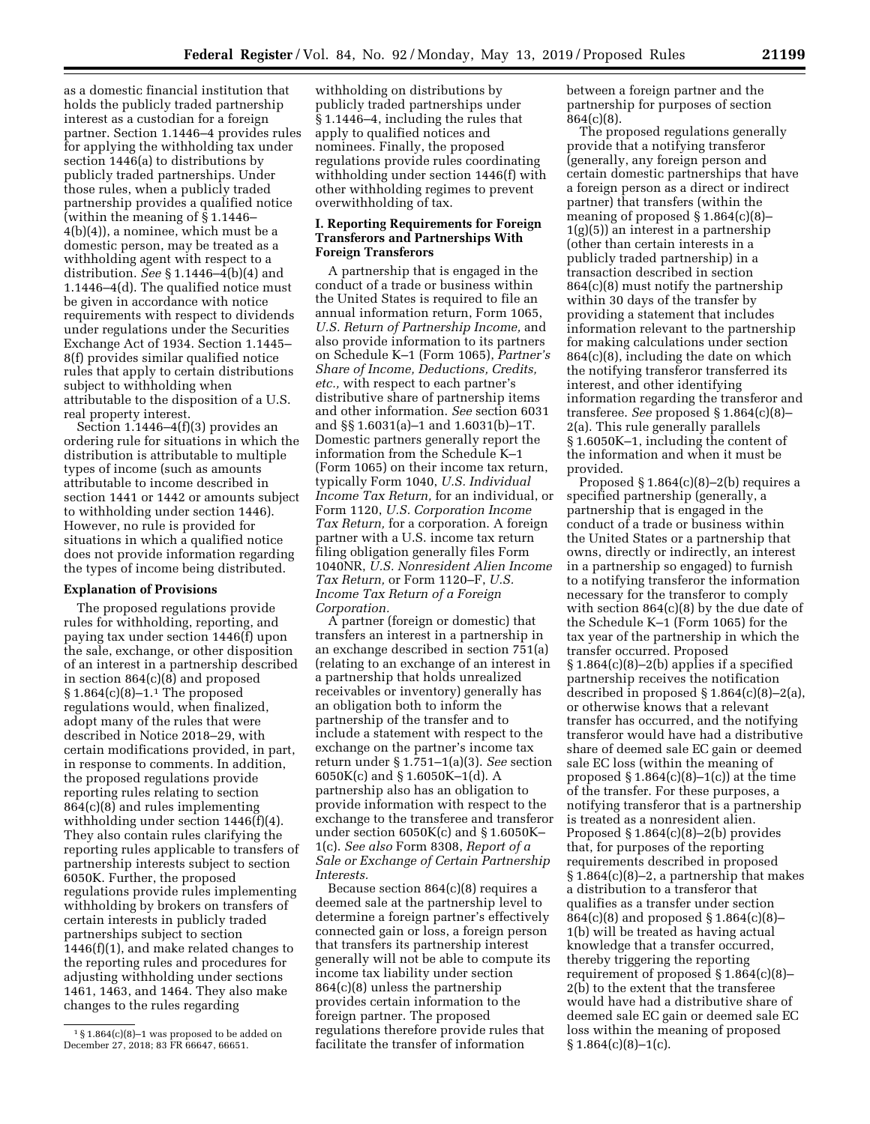between a foreign partner and the

partnership for purposes of section

864(c)(8). The proposed regulations generally provide that a notifying transferor (generally, any foreign person and certain domestic partnerships that have a foreign person as a direct or indirect partner) that transfers (within the meaning of proposed § 1.864(c)(8)– 1(g)(5)) an interest in a partnership (other than certain interests in a publicly traded partnership) in a transaction described in section 864(c)(8) must notify the partnership within 30 days of the transfer by providing a statement that includes information relevant to the partnership for making calculations under section 864(c)(8), including the date on which the notifying transferor transferred its interest, and other identifying information regarding the transferor and transferee. *See* proposed § 1.864(c)(8)– 2(a). This rule generally parallels § 1.6050K–1, including the content of the information and when it must be provided.

Proposed  $\S 1.864(c)(8)-2(b)$  requires a specified partnership (generally, a partnership that is engaged in the conduct of a trade or business within the United States or a partnership that owns, directly or indirectly, an interest in a partnership so engaged) to furnish to a notifying transferor the information necessary for the transferor to comply with section 864(c)(8) by the due date of the Schedule K–1 (Form 1065) for the tax year of the partnership in which the transfer occurred. Proposed § 1.864(c)(8)–2(b) applies if a specified partnership receives the notification described in proposed  $\S 1.864(c)(8)-2(a)$ , or otherwise knows that a relevant transfer has occurred, and the notifying transferor would have had a distributive share of deemed sale EC gain or deemed sale EC loss (within the meaning of proposed  $\S 1.864(c)(8)-1(c)$  at the time of the transfer. For these purposes, a notifying transferor that is a partnership is treated as a nonresident alien. Proposed  $\S 1.864(c)(8)-2(b)$  provides that, for purposes of the reporting requirements described in proposed  $§ 1.864(c)(8)-2$ , a partnership that makes a distribution to a transferor that qualifies as a transfer under section 864(c)(8) and proposed § 1.864(c)(8)– 1(b) will be treated as having actual knowledge that a transfer occurred, thereby triggering the reporting requirement of proposed § 1.864(c)(8)– 2(b) to the extent that the transferee would have had a distributive share of deemed sale EC gain or deemed sale EC loss within the meaning of proposed  $§ 1.864(c)(8)-1(c).$ 

as a domestic financial institution that holds the publicly traded partnership interest as a custodian for a foreign partner. Section 1.1446–4 provides rules for applying the withholding tax under section 1446(a) to distributions by publicly traded partnerships. Under those rules, when a publicly traded partnership provides a qualified notice (within the meaning of § 1.1446– 4(b)(4)), a nominee, which must be a domestic person, may be treated as a withholding agent with respect to a distribution. *See* § 1.1446–4(b)(4) and 1.1446–4(d). The qualified notice must be given in accordance with notice requirements with respect to dividends under regulations under the Securities Exchange Act of 1934. Section 1.1445– 8(f) provides similar qualified notice rules that apply to certain distributions subject to withholding when attributable to the disposition of a U.S. real property interest.

Section 1.1446–4(f)(3) provides an ordering rule for situations in which the distribution is attributable to multiple types of income (such as amounts attributable to income described in section 1441 or 1442 or amounts subject to withholding under section 1446). However, no rule is provided for situations in which a qualified notice does not provide information regarding the types of income being distributed.

# **Explanation of Provisions**

The proposed regulations provide rules for withholding, reporting, and paying tax under section 1446(f) upon the sale, exchange, or other disposition of an interest in a partnership described in section 864(c)(8) and proposed  $§ 1.864(c)(8)-1.<sup>1</sup>$  The proposed regulations would, when finalized, adopt many of the rules that were described in Notice 2018–29, with certain modifications provided, in part, in response to comments. In addition, the proposed regulations provide reporting rules relating to section 864(c)(8) and rules implementing withholding under section 1446(f)(4). They also contain rules clarifying the reporting rules applicable to transfers of partnership interests subject to section 6050K. Further, the proposed regulations provide rules implementing withholding by brokers on transfers of certain interests in publicly traded partnerships subject to section 1446(f)(1), and make related changes to the reporting rules and procedures for adjusting withholding under sections 1461, 1463, and 1464. They also make changes to the rules regarding

withholding on distributions by publicly traded partnerships under § 1.1446–4, including the rules that apply to qualified notices and nominees. Finally, the proposed regulations provide rules coordinating withholding under section 1446(f) with other withholding regimes to prevent overwithholding of tax.

### **I. Reporting Requirements for Foreign Transferors and Partnerships With Foreign Transferors**

A partnership that is engaged in the conduct of a trade or business within the United States is required to file an annual information return, Form 1065, *U.S. Return of Partnership Income,* and also provide information to its partners on Schedule K–1 (Form 1065), *Partner's Share of Income, Deductions, Credits, etc.,* with respect to each partner's distributive share of partnership items and other information. *See* section 6031 and §§ 1.6031(a)–1 and 1.6031(b)–1T. Domestic partners generally report the information from the Schedule K–1 (Form 1065) on their income tax return, typically Form 1040, *U.S. Individual Income Tax Return,* for an individual, or Form 1120, *U.S. Corporation Income Tax Return,* for a corporation. A foreign partner with a U.S. income tax return filing obligation generally files Form 1040NR, *U.S. Nonresident Alien Income Tax Return,* or Form 1120–F, *U.S. Income Tax Return of a Foreign Corporation.* 

A partner (foreign or domestic) that transfers an interest in a partnership in an exchange described in section 751(a) (relating to an exchange of an interest in a partnership that holds unrealized receivables or inventory) generally has an obligation both to inform the partnership of the transfer and to include a statement with respect to the exchange on the partner's income tax return under § 1.751–1(a)(3). *See* section 6050K(c) and § 1.6050K–1(d). A partnership also has an obligation to provide information with respect to the exchange to the transferee and transferor under section 6050K(c) and § 1.6050K– 1(c). *See also* Form 8308, *Report of a Sale or Exchange of Certain Partnership Interests.* 

Because section  $864(c)(8)$  requires a deemed sale at the partnership level to determine a foreign partner's effectively connected gain or loss, a foreign person that transfers its partnership interest generally will not be able to compute its income tax liability under section 864(c)(8) unless the partnership provides certain information to the foreign partner. The proposed regulations therefore provide rules that facilitate the transfer of information

 $1\$  1.864(c)(8)-1 was proposed to be added on December 27, 2018; 83 FR 66647, 66651.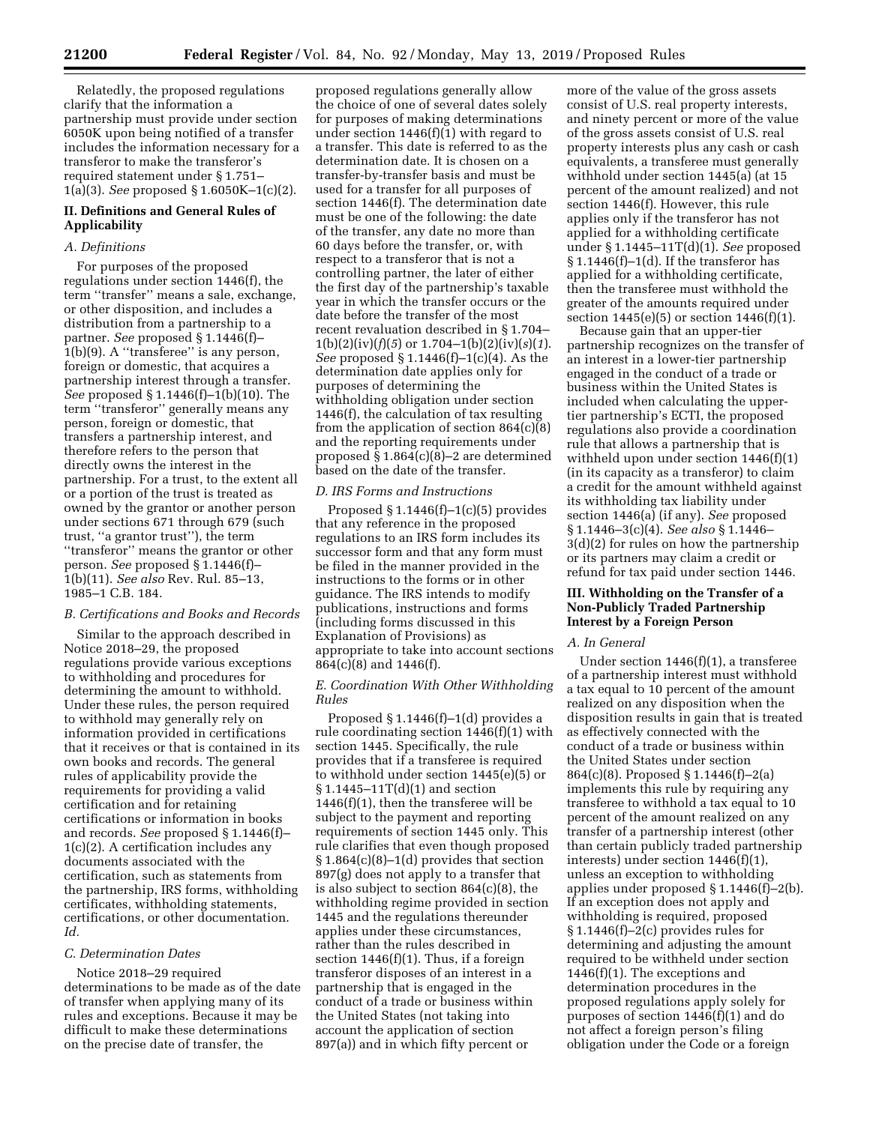Relatedly, the proposed regulations clarify that the information a partnership must provide under section 6050K upon being notified of a transfer includes the information necessary for a transferor to make the transferor's required statement under § 1.751– 1(a)(3). *See* proposed § 1.6050K–1(c)(2).

# **II. Definitions and General Rules of Applicability**

## *A. Definitions*

For purposes of the proposed regulations under section 1446(f), the term ''transfer'' means a sale, exchange, or other disposition, and includes a distribution from a partnership to a partner. *See* proposed § 1.1446(f)– 1(b)(9). A ''transferee'' is any person, foreign or domestic, that acquires a partnership interest through a transfer. *See* proposed § 1.1446(f)–1(b)(10). The term ''transferor'' generally means any person, foreign or domestic, that transfers a partnership interest, and therefore refers to the person that directly owns the interest in the partnership. For a trust, to the extent all or a portion of the trust is treated as owned by the grantor or another person under sections 671 through 679 (such trust, ''a grantor trust''), the term ''transferor'' means the grantor or other person. *See* proposed § 1.1446(f)– 1(b)(11). *See also* Rev. Rul. 85–13, 1985–1 C.B. 184.

### *B. Certifications and Books and Records*

Similar to the approach described in Notice 2018–29, the proposed regulations provide various exceptions to withholding and procedures for determining the amount to withhold. Under these rules, the person required to withhold may generally rely on information provided in certifications that it receives or that is contained in its own books and records. The general rules of applicability provide the requirements for providing a valid certification and for retaining certifications or information in books and records. *See* proposed § 1.1446(f)– 1(c)(2). A certification includes any documents associated with the certification, such as statements from the partnership, IRS forms, withholding certificates, withholding statements, certifications, or other documentation. *Id.* 

### *C. Determination Dates*

Notice 2018–29 required determinations to be made as of the date of transfer when applying many of its rules and exceptions. Because it may be difficult to make these determinations on the precise date of transfer, the

proposed regulations generally allow the choice of one of several dates solely for purposes of making determinations under section 1446(f)(1) with regard to a transfer. This date is referred to as the determination date. It is chosen on a transfer-by-transfer basis and must be used for a transfer for all purposes of section 1446(f). The determination date must be one of the following: the date of the transfer, any date no more than 60 days before the transfer, or, with respect to a transferor that is not a controlling partner, the later of either the first day of the partnership's taxable year in which the transfer occurs or the date before the transfer of the most recent revaluation described in § 1.704–  $1(b)(2)(iv)(f)(5)$  or  $1.704-1(b)(2)(iv)(s)(1)$ . *See* proposed § 1.1446(f)–1(c)(4). As the determination date applies only for purposes of determining the withholding obligation under section 1446(f), the calculation of tax resulting from the application of section 864(c)(8) and the reporting requirements under proposed § 1.864(c)(8)–2 are determined based on the date of the transfer.

### *D. IRS Forms and Instructions*

Proposed  $$1.1446(f)-1(c)(5)$  provides that any reference in the proposed regulations to an IRS form includes its successor form and that any form must be filed in the manner provided in the instructions to the forms or in other guidance. The IRS intends to modify publications, instructions and forms (including forms discussed in this Explanation of Provisions) as appropriate to take into account sections 864(c)(8) and 1446(f).

## *E. Coordination With Other Withholding Rules*

Proposed § 1.1446(f)–1(d) provides a rule coordinating section 1446(f)(1) with section 1445. Specifically, the rule provides that if a transferee is required to withhold under section 1445(e)(5) or § 1.1445–11T(d)(1) and section 1446(f)(1), then the transferee will be subject to the payment and reporting requirements of section 1445 only. This rule clarifies that even though proposed § 1.864(c)(8)–1(d) provides that section 897(g) does not apply to a transfer that is also subject to section 864(c)(8), the withholding regime provided in section 1445 and the regulations thereunder applies under these circumstances, rather than the rules described in section  $1446(f)(1)$ . Thus, if a foreign transferor disposes of an interest in a partnership that is engaged in the conduct of a trade or business within the United States (not taking into account the application of section 897(a)) and in which fifty percent or

more of the value of the gross assets consist of U.S. real property interests, and ninety percent or more of the value of the gross assets consist of U.S. real property interests plus any cash or cash equivalents, a transferee must generally withhold under section 1445(a) (at 15 percent of the amount realized) and not section 1446(f). However, this rule applies only if the transferor has not applied for a withholding certificate under § 1.1445–11T(d)(1). *See* proposed  $§ 1.1446(f)-1(d)$ . If the transferor has applied for a withholding certificate, then the transferee must withhold the greater of the amounts required under section 1445(e)(5) or section 1446(f)(1).

Because gain that an upper-tier partnership recognizes on the transfer of an interest in a lower-tier partnership engaged in the conduct of a trade or business within the United States is included when calculating the uppertier partnership's ECTI, the proposed regulations also provide a coordination rule that allows a partnership that is withheld upon under section 1446(f)(1) (in its capacity as a transferor) to claim a credit for the amount withheld against its withholding tax liability under section 1446(a) (if any). *See* proposed § 1.1446–3(c)(4). *See also* § 1.1446– 3(d)(2) for rules on how the partnership or its partners may claim a credit or refund for tax paid under section 1446.

## **III. Withholding on the Transfer of a Non-Publicly Traded Partnership Interest by a Foreign Person**

#### *A. In General*

Under section 1446(f)(1), a transferee of a partnership interest must withhold a tax equal to 10 percent of the amount realized on any disposition when the disposition results in gain that is treated as effectively connected with the conduct of a trade or business within the United States under section 864(c)(8). Proposed § 1.1446(f)–2(a) implements this rule by requiring any transferee to withhold a tax equal to 10 percent of the amount realized on any transfer of a partnership interest (other than certain publicly traded partnership interests) under section 1446(f)(1), unless an exception to withholding applies under proposed § 1.1446(f)–2(b). If an exception does not apply and withholding is required, proposed § 1.1446(f)–2(c) provides rules for determining and adjusting the amount required to be withheld under section 1446(f)(1). The exceptions and determination procedures in the proposed regulations apply solely for purposes of section 1446(f)(1) and do not affect a foreign person's filing obligation under the Code or a foreign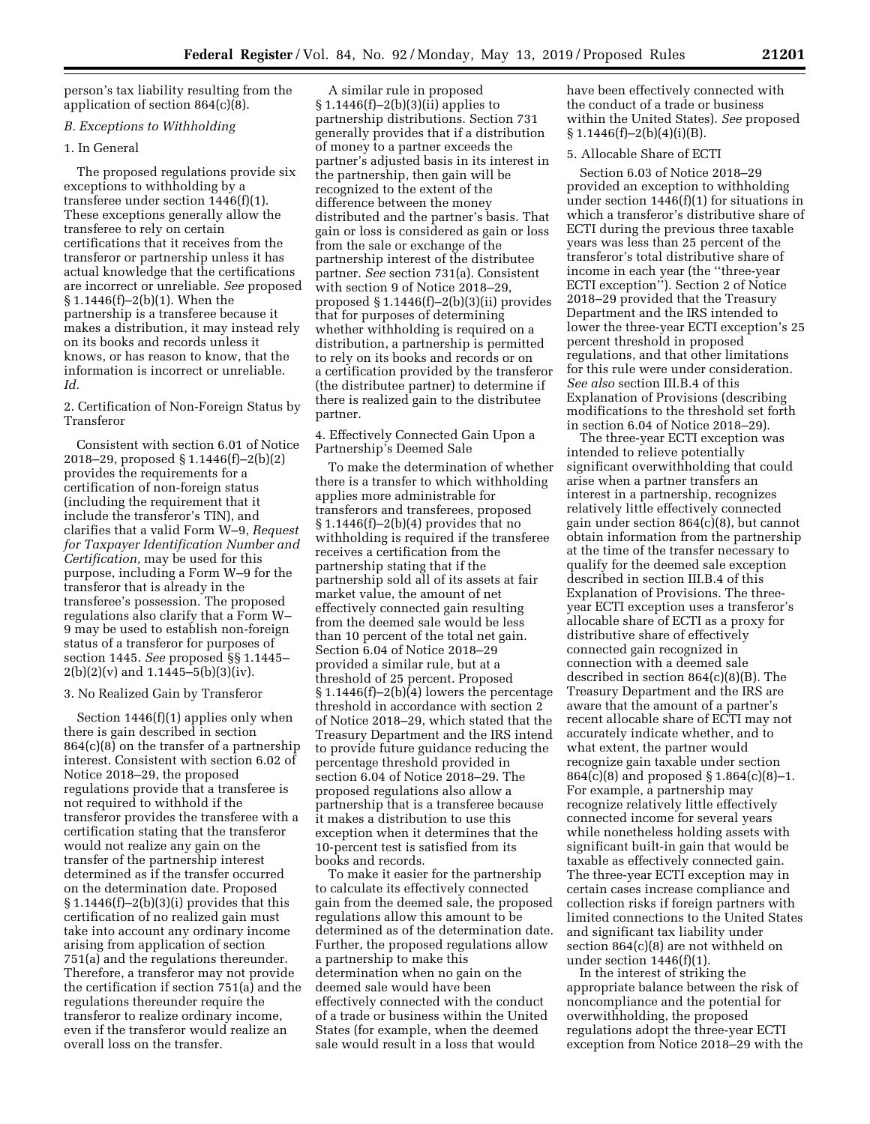person's tax liability resulting from the application of section 864(c)(8).

# *B. Exceptions to Withholding*

## 1. In General

The proposed regulations provide six exceptions to withholding by a transferee under section 1446(f)(1). These exceptions generally allow the transferee to rely on certain certifications that it receives from the transferor or partnership unless it has actual knowledge that the certifications are incorrect or unreliable. *See* proposed § 1.1446(f)–2(b)(1). When the partnership is a transferee because it makes a distribution, it may instead rely on its books and records unless it knows, or has reason to know, that the information is incorrect or unreliable. *Id.* 

2. Certification of Non-Foreign Status by Transferor

Consistent with section 6.01 of Notice 2018–29, proposed § 1.1446(f)–2(b)(2) provides the requirements for a certification of non-foreign status (including the requirement that it include the transferor's TIN), and clarifies that a valid Form W–9, *Request for Taxpayer Identification Number and Certification,* may be used for this purpose, including a Form W–9 for the transferor that is already in the transferee's possession. The proposed regulations also clarify that a Form W– 9 may be used to establish non-foreign status of a transferor for purposes of section 1445. *See* proposed §§ 1.1445–  $2(b)(2)(v)$  and 1.1445–5(b)(3)(iv).

# 3. No Realized Gain by Transferor

Section 1446(f)(1) applies only when there is gain described in section 864(c)(8) on the transfer of a partnership interest. Consistent with section 6.02 of Notice 2018–29, the proposed regulations provide that a transferee is not required to withhold if the transferor provides the transferee with a certification stating that the transferor would not realize any gain on the transfer of the partnership interest determined as if the transfer occurred on the determination date. Proposed  $§ 1.1446(f)-2(b)(3)(i)$  provides that this certification of no realized gain must take into account any ordinary income arising from application of section 751(a) and the regulations thereunder. Therefore, a transferor may not provide the certification if section 751(a) and the regulations thereunder require the transferor to realize ordinary income, even if the transferor would realize an overall loss on the transfer.

A similar rule in proposed § 1.1446(f)–2(b)(3)(ii) applies to partnership distributions. Section 731 generally provides that if a distribution of money to a partner exceeds the partner's adjusted basis in its interest in the partnership, then gain will be recognized to the extent of the difference between the money distributed and the partner's basis. That gain or loss is considered as gain or loss from the sale or exchange of the partnership interest of the distributee partner. *See* section 731(a). Consistent with section 9 of Notice 2018–29, proposed § 1.1446(f)–2(b)(3)(ii) provides that for purposes of determining whether withholding is required on a distribution, a partnership is permitted to rely on its books and records or on a certification provided by the transferor (the distributee partner) to determine if there is realized gain to the distributee partner.

# 4. Effectively Connected Gain Upon a Partnership's Deemed Sale

To make the determination of whether there is a transfer to which withholding applies more administrable for transferors and transferees, proposed § 1.1446(f)–2(b)(4) provides that no withholding is required if the transferee receives a certification from the partnership stating that if the partnership sold all of its assets at fair market value, the amount of net effectively connected gain resulting from the deemed sale would be less than 10 percent of the total net gain. Section 6.04 of Notice 2018–29 provided a similar rule, but at a threshold of 25 percent. Proposed  $§ 1.1446(f)-2(b)(4)$  lowers the percentage threshold in accordance with section 2 of Notice 2018–29, which stated that the Treasury Department and the IRS intend to provide future guidance reducing the percentage threshold provided in section 6.04 of Notice 2018–29. The proposed regulations also allow a partnership that is a transferee because it makes a distribution to use this exception when it determines that the 10-percent test is satisfied from its books and records.

To make it easier for the partnership to calculate its effectively connected gain from the deemed sale, the proposed regulations allow this amount to be determined as of the determination date. Further, the proposed regulations allow a partnership to make this determination when no gain on the deemed sale would have been effectively connected with the conduct of a trade or business within the United States (for example, when the deemed sale would result in a loss that would

have been effectively connected with the conduct of a trade or business within the United States). *See* proposed  $\S 1.1446(f) - 2(b)(4)(i)(B)$ .

# 5. Allocable Share of ECTI

Section 6.03 of Notice 2018–29 provided an exception to withholding under section 1446(f)(1) for situations in which a transferor's distributive share of ECTI during the previous three taxable years was less than 25 percent of the transferor's total distributive share of income in each year (the ''three-year ECTI exception''). Section 2 of Notice 2018–29 provided that the Treasury Department and the IRS intended to lower the three-year ECTI exception's 25 percent threshold in proposed regulations, and that other limitations for this rule were under consideration. *See also* section III.B.4 of this Explanation of Provisions (describing modifications to the threshold set forth in section 6.04 of Notice 2018–29).

The three-year ECTI exception was intended to relieve potentially significant overwithholding that could arise when a partner transfers an interest in a partnership, recognizes relatively little effectively connected gain under section 864(c)(8), but cannot obtain information from the partnership at the time of the transfer necessary to qualify for the deemed sale exception described in section III.B.4 of this Explanation of Provisions. The threeyear ECTI exception uses a transferor's allocable share of ECTI as a proxy for distributive share of effectively connected gain recognized in connection with a deemed sale described in section 864(c)(8)(B). The Treasury Department and the IRS are aware that the amount of a partner's recent allocable share of ECTI may not accurately indicate whether, and to what extent, the partner would recognize gain taxable under section 864(c)(8) and proposed § 1.864(c)(8)–1. For example, a partnership may recognize relatively little effectively connected income for several years while nonetheless holding assets with significant built-in gain that would be taxable as effectively connected gain. The three-year ECTI exception may in certain cases increase compliance and collection risks if foreign partners with limited connections to the United States and significant tax liability under section 864(c)(8) are not withheld on under section 1446(f)(1).

In the interest of striking the appropriate balance between the risk of noncompliance and the potential for overwithholding, the proposed regulations adopt the three-year ECTI exception from Notice 2018–29 with the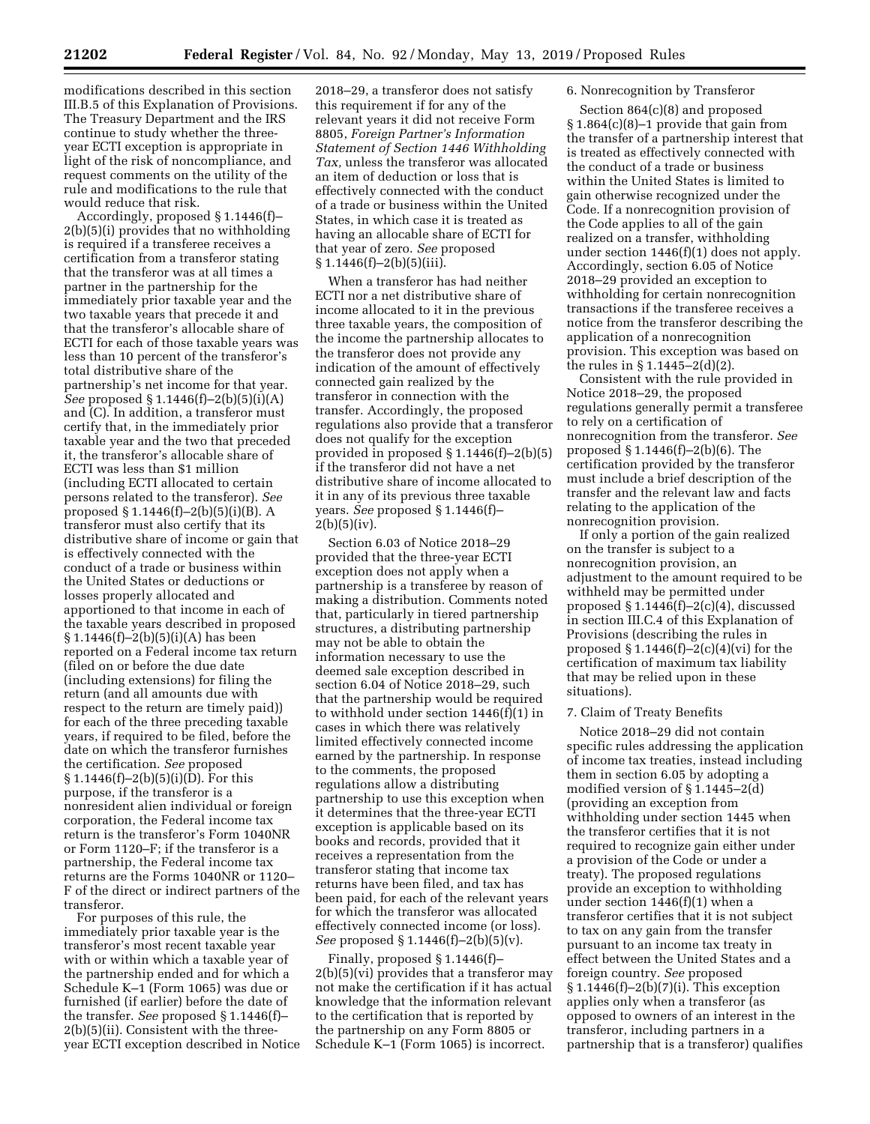modifications described in this section III.B.5 of this Explanation of Provisions. The Treasury Department and the IRS continue to study whether the threeyear ECTI exception is appropriate in light of the risk of noncompliance, and request comments on the utility of the rule and modifications to the rule that would reduce that risk.

Accordingly, proposed § 1.1446(f)– 2(b)(5)(i) provides that no withholding is required if a transferee receives a certification from a transferor stating that the transferor was at all times a partner in the partnership for the immediately prior taxable year and the two taxable years that precede it and that the transferor's allocable share of ECTI for each of those taxable years was less than 10 percent of the transferor's total distributive share of the partnership's net income for that year. *See* proposed § 1.1446(f)–2(b)(5)(i)(A) and (C). In addition, a transferor must certify that, in the immediately prior taxable year and the two that preceded it, the transferor's allocable share of ECTI was less than \$1 million (including ECTI allocated to certain persons related to the transferor). *See*  proposed § 1.1446(f)–2(b)(5)(i)(B). A transferor must also certify that its distributive share of income or gain that is effectively connected with the conduct of a trade or business within the United States or deductions or losses properly allocated and apportioned to that income in each of the taxable years described in proposed  $§ 1.1446(f)-2(b)(5)(i)(A)$  has been reported on a Federal income tax return (filed on or before the due date (including extensions) for filing the return (and all amounts due with respect to the return are timely paid)) for each of the three preceding taxable years, if required to be filed, before the date on which the transferor furnishes the certification. *See* proposed § 1.1446(f)–2(b)(5)(i)(D). For this purpose, if the transferor is a nonresident alien individual or foreign corporation, the Federal income tax return is the transferor's Form 1040NR or Form 1120–F; if the transferor is a partnership, the Federal income tax returns are the Forms 1040NR or 1120– F of the direct or indirect partners of the transferor.

For purposes of this rule, the immediately prior taxable year is the transferor's most recent taxable year with or within which a taxable year of the partnership ended and for which a Schedule K–1 (Form 1065) was due or furnished (if earlier) before the date of the transfer. *See* proposed § 1.1446(f)– 2(b)(5)(ii). Consistent with the threeyear ECTI exception described in Notice

2018–29, a transferor does not satisfy this requirement if for any of the relevant years it did not receive Form 8805, *Foreign Partner's Information Statement of Section 1446 Withholding Tax,* unless the transferor was allocated an item of deduction or loss that is effectively connected with the conduct of a trade or business within the United States, in which case it is treated as having an allocable share of ECTI for that year of zero. *See* proposed  $§ 1.1446(f)-2(b)(5)(iii).$ 

When a transferor has had neither ECTI nor a net distributive share of income allocated to it in the previous three taxable years, the composition of the income the partnership allocates to the transferor does not provide any indication of the amount of effectively connected gain realized by the transferor in connection with the transfer. Accordingly, the proposed regulations also provide that a transferor does not qualify for the exception provided in proposed § 1.1446(f)–2(b)(5) if the transferor did not have a net distributive share of income allocated to it in any of its previous three taxable years. *See* proposed § 1.1446(f)–  $2(b)(5)(iv).$ 

Section 6.03 of Notice 2018–29 provided that the three-year ECTI exception does not apply when a partnership is a transferee by reason of making a distribution. Comments noted that, particularly in tiered partnership structures, a distributing partnership may not be able to obtain the information necessary to use the deemed sale exception described in section 6.04 of Notice 2018–29, such that the partnership would be required to withhold under section 1446(f)(1) in cases in which there was relatively limited effectively connected income earned by the partnership. In response to the comments, the proposed regulations allow a distributing partnership to use this exception when it determines that the three-year ECTI exception is applicable based on its books and records, provided that it receives a representation from the transferor stating that income tax returns have been filed, and tax has been paid, for each of the relevant years for which the transferor was allocated effectively connected income (or loss). *See* proposed § 1.1446(f)–2(b)(5)(v).

Finally, proposed § 1.1446(f)– 2(b)(5)(vi) provides that a transferor may not make the certification if it has actual knowledge that the information relevant to the certification that is reported by the partnership on any Form 8805 or Schedule K–1 (Form 1065) is incorrect.

# 6. Nonrecognition by Transferor

Section 864(c)(8) and proposed § 1.864(c)(8)–1 provide that gain from the transfer of a partnership interest that is treated as effectively connected with the conduct of a trade or business within the United States is limited to gain otherwise recognized under the Code. If a nonrecognition provision of the Code applies to all of the gain realized on a transfer, withholding under section 1446(f)(1) does not apply. Accordingly, section 6.05 of Notice 2018–29 provided an exception to withholding for certain nonrecognition transactions if the transferee receives a notice from the transferor describing the application of a nonrecognition provision. This exception was based on the rules in § 1.1445–2(d)(2).

Consistent with the rule provided in Notice 2018–29, the proposed regulations generally permit a transferee to rely on a certification of nonrecognition from the transferor. *See*  proposed § 1.1446(f)–2(b)(6). The certification provided by the transferor must include a brief description of the transfer and the relevant law and facts relating to the application of the nonrecognition provision.

If only a portion of the gain realized on the transfer is subject to a nonrecognition provision, an adjustment to the amount required to be withheld may be permitted under proposed § 1.1446(f)–2(c)(4), discussed in section III.C.4 of this Explanation of Provisions (describing the rules in proposed  $§ 1.1446(f)-2(c)(4)(vi)$  for the certification of maximum tax liability that may be relied upon in these situations).

#### 7. Claim of Treaty Benefits

Notice 2018–29 did not contain specific rules addressing the application of income tax treaties, instead including them in section 6.05 by adopting a modified version of § 1.1445–2(d) (providing an exception from withholding under section 1445 when the transferor certifies that it is not required to recognize gain either under a provision of the Code or under a treaty). The proposed regulations provide an exception to withholding under section 1446(f)(1) when a transferor certifies that it is not subject to tax on any gain from the transfer pursuant to an income tax treaty in effect between the United States and a foreign country. *See* proposed § 1.1446(f)–2(b)(7)(i). This exception applies only when a transferor (as opposed to owners of an interest in the transferor, including partners in a partnership that is a transferor) qualifies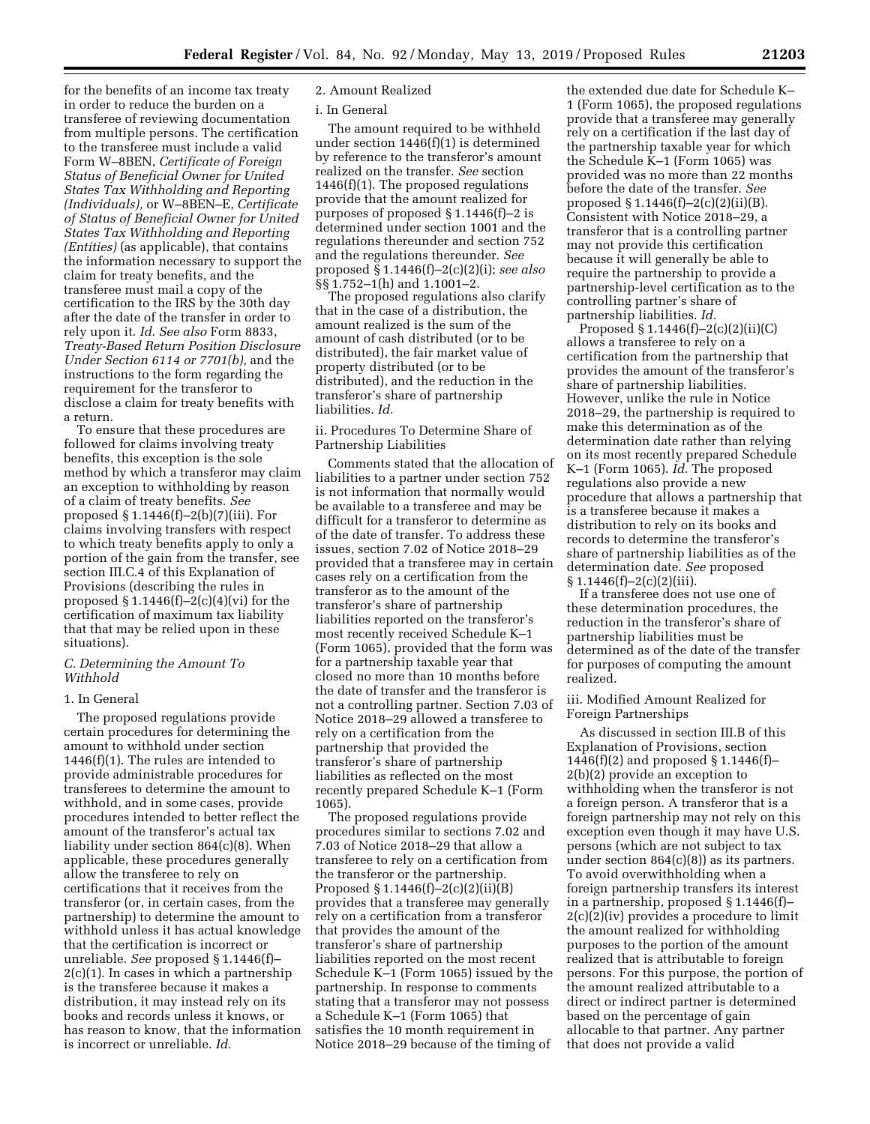for the benefits of an income tax treaty in order to reduce the burden on a transferee of reviewing documentation from multiple persons. The certification to the transferee must include a valid Form W–8BEN, *Certificate of Foreign Status of Beneficial Owner for United States Tax Withholding and Reporting (Individuals),* or W–8BEN–E, *Certificate of Status of Beneficial Owner for United States Tax Withholding and Reporting (Entities)* (as applicable), that contains the information necessary to support the claim for treaty benefits, and the transferee must mail a copy of the certification to the IRS by the 30th day after the date of the transfer in order to rely upon it. *Id. See also* Form 8833, *Treaty-Based Return Position Disclosure Under Section 6114 or 7701(b),* and the instructions to the form regarding the requirement for the transferor to disclose a claim for treaty benefits with a return.

To ensure that these procedures are followed for claims involving treaty benefits, this exception is the sole method by which a transferor may claim an exception to withholding by reason of a claim of treaty benefits. *See*  proposed § 1.1446(f)–2(b)(7)(iii). For claims involving transfers with respect to which treaty benefits apply to only a portion of the gain from the transfer, see section III.C.4 of this Explanation of Provisions (describing the rules in proposed  $\S 1.1446(f)-2(c)(4)(vi)$  for the certification of maximum tax liability that that may be relied upon in these situations).

## *C. Determining the Amount To Withhold*

## 1. In General

The proposed regulations provide certain procedures for determining the amount to withhold under section 1446(f)(1). The rules are intended to provide administrable procedures for transferees to determine the amount to withhold, and in some cases, provide procedures intended to better reflect the amount of the transferor's actual tax liability under section 864(c)(8). When applicable, these procedures generally allow the transferee to rely on certifications that it receives from the transferor (or, in certain cases, from the partnership) to determine the amount to withhold unless it has actual knowledge that the certification is incorrect or unreliable. *See* proposed § 1.1446(f)– 2(c)(1). In cases in which a partnership is the transferee because it makes a distribution, it may instead rely on its books and records unless it knows, or has reason to know, that the information is incorrect or unreliable. *Id.* 

# 2. Amount Realized

### i. In General

The amount required to be withheld under section 1446(f)(1) is determined by reference to the transferor's amount realized on the transfer. *See* section 1446(f)(1). The proposed regulations provide that the amount realized for purposes of proposed § 1.1446(f)–2 is determined under section 1001 and the regulations thereunder and section 752 and the regulations thereunder. *See*  proposed § 1.1446(f)–2(c)(2)(i); *see also*  §§ 1.752–1(h) and 1.1001–2.

The proposed regulations also clarify that in the case of a distribution, the amount realized is the sum of the amount of cash distributed (or to be distributed), the fair market value of property distributed (or to be distributed), and the reduction in the transferor's share of partnership liabilities. *Id.* 

ii. Procedures To Determine Share of Partnership Liabilities

Comments stated that the allocation of liabilities to a partner under section 752 is not information that normally would be available to a transferee and may be difficult for a transferor to determine as of the date of transfer. To address these issues, section 7.02 of Notice 2018–29 provided that a transferee may in certain cases rely on a certification from the transferor as to the amount of the transferor's share of partnership liabilities reported on the transferor's most recently received Schedule K–1 (Form 1065), provided that the form was for a partnership taxable year that closed no more than 10 months before the date of transfer and the transferor is not a controlling partner. Section 7.03 of Notice 2018–29 allowed a transferee to rely on a certification from the partnership that provided the transferor's share of partnership liabilities as reflected on the most recently prepared Schedule K–1 (Form 1065).

The proposed regulations provide procedures similar to sections 7.02 and 7.03 of Notice 2018–29 that allow a transferee to rely on a certification from the transferor or the partnership. Proposed § 1.1446(f)–2(c)(2)(ii)(B) provides that a transferee may generally rely on a certification from a transferor that provides the amount of the transferor's share of partnership liabilities reported on the most recent Schedule K–1 (Form 1065) issued by the partnership. In response to comments stating that a transferor may not possess a Schedule K–1 (Form 1065) that satisfies the 10 month requirement in Notice 2018–29 because of the timing of

the extended due date for Schedule K– 1 (Form 1065), the proposed regulations provide that a transferee may generally rely on a certification if the last day of the partnership taxable year for which the Schedule K–1 (Form 1065) was provided was no more than 22 months before the date of the transfer. *See*  proposed § 1.1446(f)–2(c)(2)(ii)(B). Consistent with Notice 2018–29, a transferor that is a controlling partner may not provide this certification because it will generally be able to require the partnership to provide a partnership-level certification as to the controlling partner's share of partnership liabilities. *Id.* 

Proposed  $§ 1.1446(f)-2(c)(2)(ii)(C)$ allows a transferee to rely on a certification from the partnership that provides the amount of the transferor's share of partnership liabilities. However, unlike the rule in Notice 2018–29, the partnership is required to make this determination as of the determination date rather than relying on its most recently prepared Schedule K–1 (Form 1065). *Id.* The proposed regulations also provide a new procedure that allows a partnership that is a transferee because it makes a distribution to rely on its books and records to determine the transferor's share of partnership liabilities as of the determination date. *See* proposed § 1.1446(f)–2(c)(2)(iii).

If a transferee does not use one of these determination procedures, the reduction in the transferor's share of partnership liabilities must be determined as of the date of the transfer for purposes of computing the amount realized.

iii. Modified Amount Realized for Foreign Partnerships

As discussed in section III.B of this Explanation of Provisions, section 1446(f)(2) and proposed § 1.1446(f)– 2(b)(2) provide an exception to withholding when the transferor is not a foreign person. A transferor that is a foreign partnership may not rely on this exception even though it may have U.S. persons (which are not subject to tax under section 864(c)(8)) as its partners. To avoid overwithholding when a foreign partnership transfers its interest in a partnership, proposed § 1.1446(f)– 2(c)(2)(iv) provides a procedure to limit the amount realized for withholding purposes to the portion of the amount realized that is attributable to foreign persons. For this purpose, the portion of the amount realized attributable to a direct or indirect partner is determined based on the percentage of gain allocable to that partner. Any partner that does not provide a valid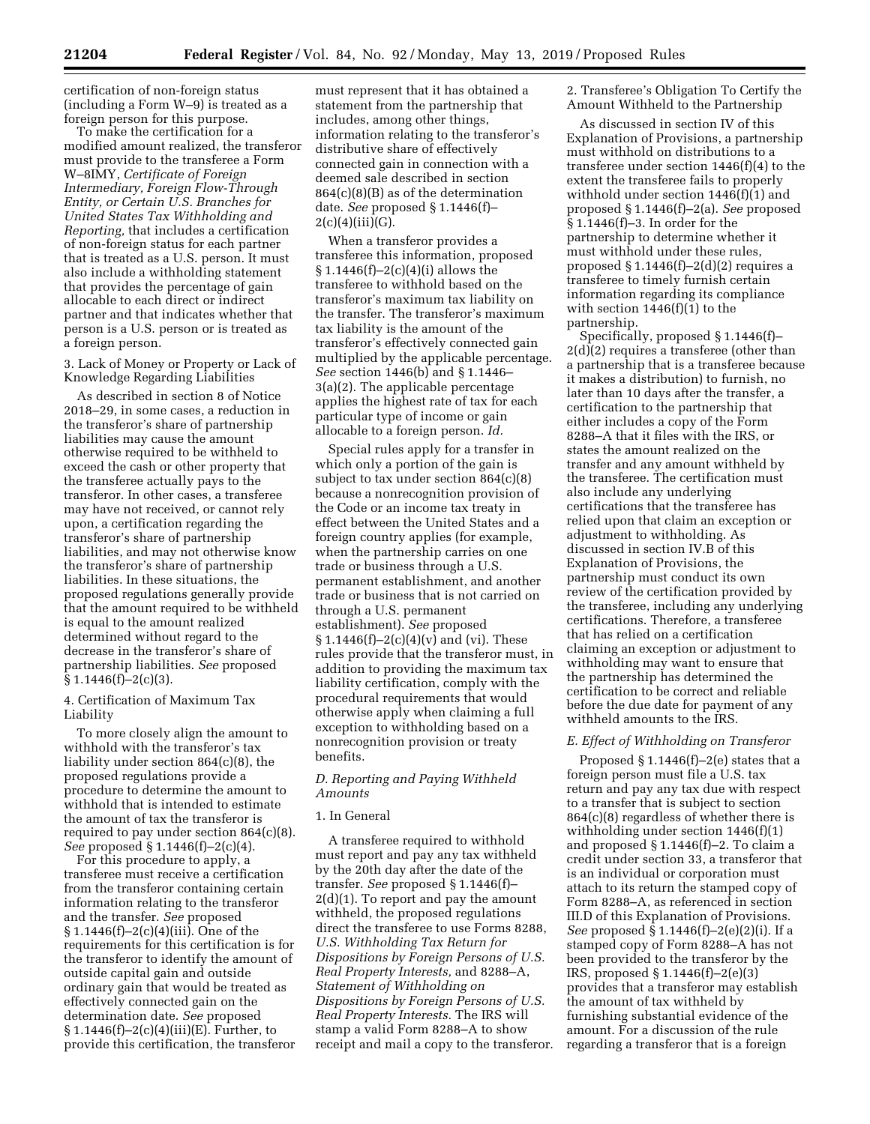certification of non-foreign status (including a Form W–9) is treated as a foreign person for this purpose.

To make the certification for a modified amount realized, the transferor must provide to the transferee a Form W–8IMY, *Certificate of Foreign Intermediary, Foreign Flow-Through Entity, or Certain U.S. Branches for United States Tax Withholding and Reporting,* that includes a certification of non-foreign status for each partner that is treated as a U.S. person. It must also include a withholding statement that provides the percentage of gain allocable to each direct or indirect partner and that indicates whether that person is a U.S. person or is treated as a foreign person.

3. Lack of Money or Property or Lack of Knowledge Regarding Liabilities

As described in section 8 of Notice 2018–29, in some cases, a reduction in the transferor's share of partnership liabilities may cause the amount otherwise required to be withheld to exceed the cash or other property that the transferee actually pays to the transferor. In other cases, a transferee may have not received, or cannot rely upon, a certification regarding the transferor's share of partnership liabilities, and may not otherwise know the transferor's share of partnership liabilities. In these situations, the proposed regulations generally provide that the amount required to be withheld is equal to the amount realized determined without regard to the decrease in the transferor's share of partnership liabilities. *See* proposed  $§ 1.1446(f)-2(c)(3).$ 

# 4. Certification of Maximum Tax Liability

To more closely align the amount to withhold with the transferor's tax liability under section 864(c)(8), the proposed regulations provide a procedure to determine the amount to withhold that is intended to estimate the amount of tax the transferor is required to pay under section 864(c)(8). *See* proposed § 1.1446(f)–2(c)(4).

For this procedure to apply, a transferee must receive a certification from the transferor containing certain information relating to the transferor and the transfer. *See* proposed § 1.1446(f)–2(c)(4)(iii). One of the requirements for this certification is for the transferor to identify the amount of outside capital gain and outside ordinary gain that would be treated as effectively connected gain on the determination date. *See* proposed  $§ 1.1446(f)-2(c)(4)(iii)(E)$ . Further, to provide this certification, the transferor must represent that it has obtained a statement from the partnership that includes, among other things, information relating to the transferor's distributive share of effectively connected gain in connection with a deemed sale described in section 864(c)(8)(B) as of the determination date. *See* proposed § 1.1446(f)–  $2(c)(4)(iii)(G).$ 

When a transferor provides a transferee this information, proposed  $§ 1.1446(f)-2(c)(4)(i)$  allows the transferee to withhold based on the transferor's maximum tax liability on the transfer. The transferor's maximum tax liability is the amount of the transferor's effectively connected gain multiplied by the applicable percentage. *See* section 1446(b) and § 1.1446– 3(a)(2). The applicable percentage applies the highest rate of tax for each particular type of income or gain allocable to a foreign person. *Id.* 

Special rules apply for a transfer in which only a portion of the gain is subject to tax under section 864(c)(8) because a nonrecognition provision of the Code or an income tax treaty in effect between the United States and a foreign country applies (for example, when the partnership carries on one trade or business through a U.S. permanent establishment, and another trade or business that is not carried on through a U.S. permanent establishment). *See* proposed  $$1.1446(f)-2(c)(4)(v)$  and (vi). These rules provide that the transferor must, in addition to providing the maximum tax liability certification, comply with the procedural requirements that would otherwise apply when claiming a full exception to withholding based on a nonrecognition provision or treaty benefits.

# *D. Reporting and Paying Withheld Amounts*

## 1. In General

A transferee required to withhold must report and pay any tax withheld by the 20th day after the date of the transfer. *See* proposed § 1.1446(f)– 2(d)(1). To report and pay the amount withheld, the proposed regulations direct the transferee to use Forms 8288, *U.S. Withholding Tax Return for Dispositions by Foreign Persons of U.S. Real Property Interests,* and 8288–A, *Statement of Withholding on Dispositions by Foreign Persons of U.S. Real Property Interests.* The IRS will stamp a valid Form 8288–A to show receipt and mail a copy to the transferor. 2. Transferee's Obligation To Certify the Amount Withheld to the Partnership

As discussed in section IV of this Explanation of Provisions, a partnership must withhold on distributions to a transferee under section 1446(f)(4) to the extent the transferee fails to properly withhold under section 1446(f)(1) and proposed § 1.1446(f)–2(a). *See* proposed § 1.1446(f)–3. In order for the partnership to determine whether it must withhold under these rules, proposed  $§ 1.1446(f)-2(d)(2)$  requires a transferee to timely furnish certain information regarding its compliance with section 1446(f)(1) to the partnership.

Specifically, proposed § 1.1446(f)– 2(d)(2) requires a transferee (other than a partnership that is a transferee because it makes a distribution) to furnish, no later than 10 days after the transfer, a certification to the partnership that either includes a copy of the Form 8288–A that it files with the IRS, or states the amount realized on the transfer and any amount withheld by the transferee. The certification must also include any underlying certifications that the transferee has relied upon that claim an exception or adjustment to withholding. As discussed in section IV.B of this Explanation of Provisions, the partnership must conduct its own review of the certification provided by the transferee, including any underlying certifications. Therefore, a transferee that has relied on a certification claiming an exception or adjustment to withholding may want to ensure that the partnership has determined the certification to be correct and reliable before the due date for payment of any withheld amounts to the IRS.

## *E. Effect of Withholding on Transferor*

Proposed § 1.1446(f)–2(e) states that a foreign person must file a U.S. tax return and pay any tax due with respect to a transfer that is subject to section 864(c)(8) regardless of whether there is withholding under section 1446(f)(1) and proposed § 1.1446(f)–2. To claim a credit under section 33, a transferor that is an individual or corporation must attach to its return the stamped copy of Form 8288–A, as referenced in section III.D of this Explanation of Provisions. *See* proposed § 1.1446(f)–2(e)(2)(i). If a stamped copy of Form 8288–A has not been provided to the transferor by the IRS, proposed § 1.1446(f)–2(e)(3) provides that a transferor may establish the amount of tax withheld by furnishing substantial evidence of the amount. For a discussion of the rule regarding a transferor that is a foreign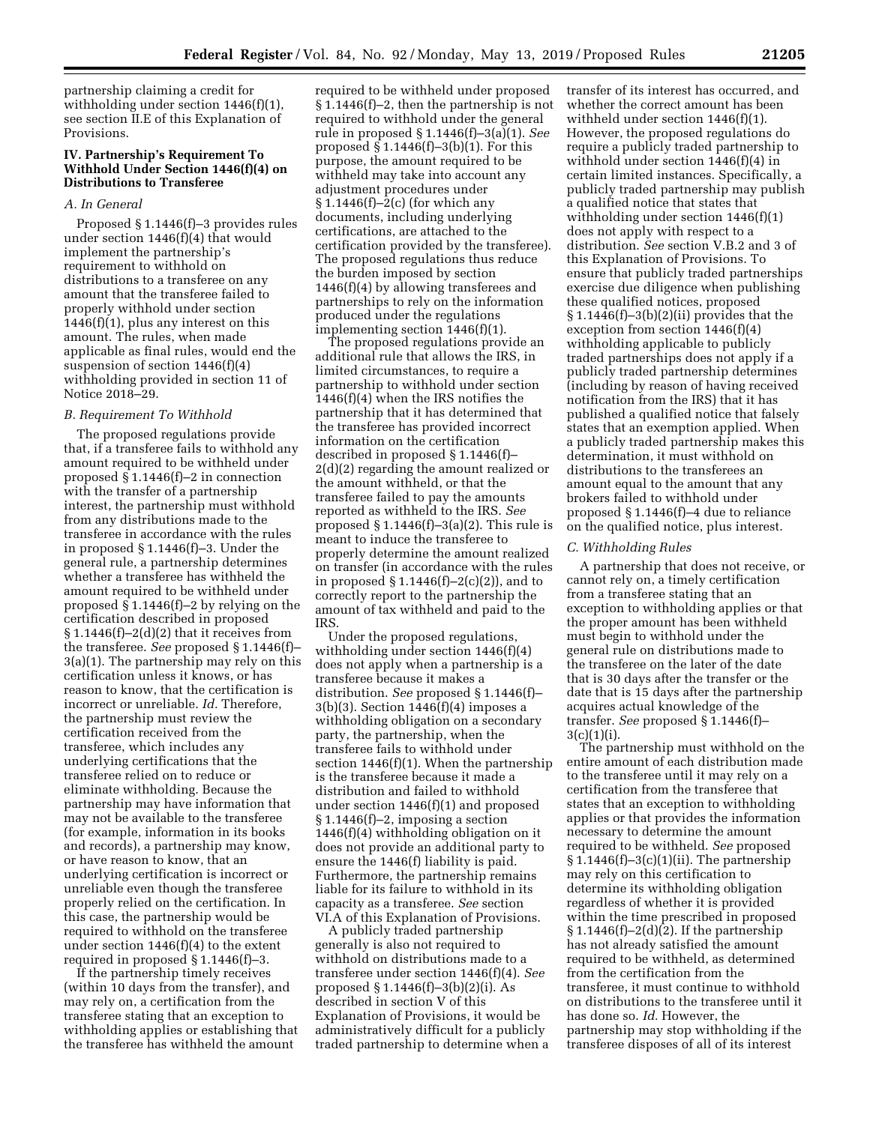partnership claiming a credit for withholding under section 1446(f)(1), see section II.E of this Explanation of Provisions.

# **IV. Partnership's Requirement To Withhold Under Section 1446(f)(4) on Distributions to Transferee**

### *A. In General*

Proposed § 1.1446(f)–3 provides rules under section 1446(f)(4) that would implement the partnership's requirement to withhold on distributions to a transferee on any amount that the transferee failed to properly withhold under section  $1446(f)(1)$ , plus any interest on this amount. The rules, when made applicable as final rules, would end the suspension of section 1446(f)(4) withholding provided in section 11 of Notice 2018–29.

### *B. Requirement To Withhold*

The proposed regulations provide that, if a transferee fails to withhold any amount required to be withheld under proposed § 1.1446(f)–2 in connection with the transfer of a partnership interest, the partnership must withhold from any distributions made to the transferee in accordance with the rules in proposed § 1.1446(f)–3. Under the general rule, a partnership determines whether a transferee has withheld the amount required to be withheld under proposed § 1.1446(f)–2 by relying on the certification described in proposed  $$1.1446(f)-2(d)(2)$  that it receives from the transferee. *See* proposed § 1.1446(f)– 3(a)(1). The partnership may rely on this certification unless it knows, or has reason to know, that the certification is incorrect or unreliable. *Id.* Therefore, the partnership must review the certification received from the transferee, which includes any underlying certifications that the transferee relied on to reduce or eliminate withholding. Because the partnership may have information that may not be available to the transferee (for example, information in its books and records), a partnership may know, or have reason to know, that an underlying certification is incorrect or unreliable even though the transferee properly relied on the certification. In this case, the partnership would be required to withhold on the transferee under section 1446(f)(4) to the extent required in proposed § 1.1446(f)–3.

If the partnership timely receives (within 10 days from the transfer), and may rely on, a certification from the transferee stating that an exception to withholding applies or establishing that the transferee has withheld the amount

required to be withheld under proposed § 1.1446(f)–2, then the partnership is not required to withhold under the general rule in proposed § 1.1446(f)–3(a)(1). *See*  proposed  $§ 1.1446(f)-3(b)(1)$ . For this purpose, the amount required to be withheld may take into account any adjustment procedures under § 1.1446(f)–2(c) (for which any documents, including underlying certifications, are attached to the certification provided by the transferee). The proposed regulations thus reduce the burden imposed by section 1446(f)(4) by allowing transferees and partnerships to rely on the information produced under the regulations implementing section 1446(f)(1).

The proposed regulations provide an additional rule that allows the IRS, in limited circumstances, to require a partnership to withhold under section 1446(f)(4) when the IRS notifies the partnership that it has determined that the transferee has provided incorrect information on the certification described in proposed § 1.1446(f)– 2(d)(2) regarding the amount realized or the amount withheld, or that the transferee failed to pay the amounts reported as withheld to the IRS. *See*  proposed  $\S 1.1446(f)-3(a)(2)$ . This rule is meant to induce the transferee to properly determine the amount realized on transfer (in accordance with the rules in proposed  $\S 1.1446(f)-2(c)(2)$ , and to correctly report to the partnership the amount of tax withheld and paid to the IRS.

Under the proposed regulations, withholding under section 1446(f)(4) does not apply when a partnership is a transferee because it makes a distribution. *See* proposed § 1.1446(f)– 3(b)(3). Section 1446(f)(4) imposes a withholding obligation on a secondary party, the partnership, when the transferee fails to withhold under section 1446(f)(1). When the partnership is the transferee because it made a distribution and failed to withhold under section 1446(f)(1) and proposed § 1.1446(f)–2, imposing a section 1446(f)(4) withholding obligation on it does not provide an additional party to ensure the 1446(f) liability is paid. Furthermore, the partnership remains liable for its failure to withhold in its capacity as a transferee. *See* section VI.A of this Explanation of Provisions.

A publicly traded partnership generally is also not required to withhold on distributions made to a transferee under section 1446(f)(4). *See*  proposed § 1.1446(f)–3(b)(2)(i). As described in section V of this Explanation of Provisions, it would be administratively difficult for a publicly traded partnership to determine when a

transfer of its interest has occurred, and whether the correct amount has been withheld under section 1446(f)(1). However, the proposed regulations do require a publicly traded partnership to withhold under section 1446(f)(4) in certain limited instances. Specifically, a publicly traded partnership may publish a qualified notice that states that withholding under section 1446(f)(1) does not apply with respect to a distribution. *See* section V.B.2 and 3 of this Explanation of Provisions. To ensure that publicly traded partnerships exercise due diligence when publishing these qualified notices, proposed  $§ 1.1446(f)-3(b)(2)(ii)$  provides that the exception from section 1446(f)(4) withholding applicable to publicly traded partnerships does not apply if a publicly traded partnership determines (including by reason of having received notification from the IRS) that it has published a qualified notice that falsely states that an exemption applied. When a publicly traded partnership makes this determination, it must withhold on distributions to the transferees an amount equal to the amount that any brokers failed to withhold under proposed § 1.1446(f)–4 due to reliance on the qualified notice, plus interest.

### *C. Withholding Rules*

A partnership that does not receive, or cannot rely on, a timely certification from a transferee stating that an exception to withholding applies or that the proper amount has been withheld must begin to withhold under the general rule on distributions made to the transferee on the later of the date that is 30 days after the transfer or the date that is 15 days after the partnership acquires actual knowledge of the transfer. *See* proposed § 1.1446(f)– 3(c)(1)(i).

The partnership must withhold on the entire amount of each distribution made to the transferee until it may rely on a certification from the transferee that states that an exception to withholding applies or that provides the information necessary to determine the amount required to be withheld. *See* proposed  $§ 1.1446(f)-3(c)(1)(ii)$ . The partnership may rely on this certification to determine its withholding obligation regardless of whether it is provided within the time prescribed in proposed § 1.1446(f)–2(d)(2). If the partnership has not already satisfied the amount required to be withheld, as determined from the certification from the transferee, it must continue to withhold on distributions to the transferee until it has done so. *Id.* However, the partnership may stop withholding if the transferee disposes of all of its interest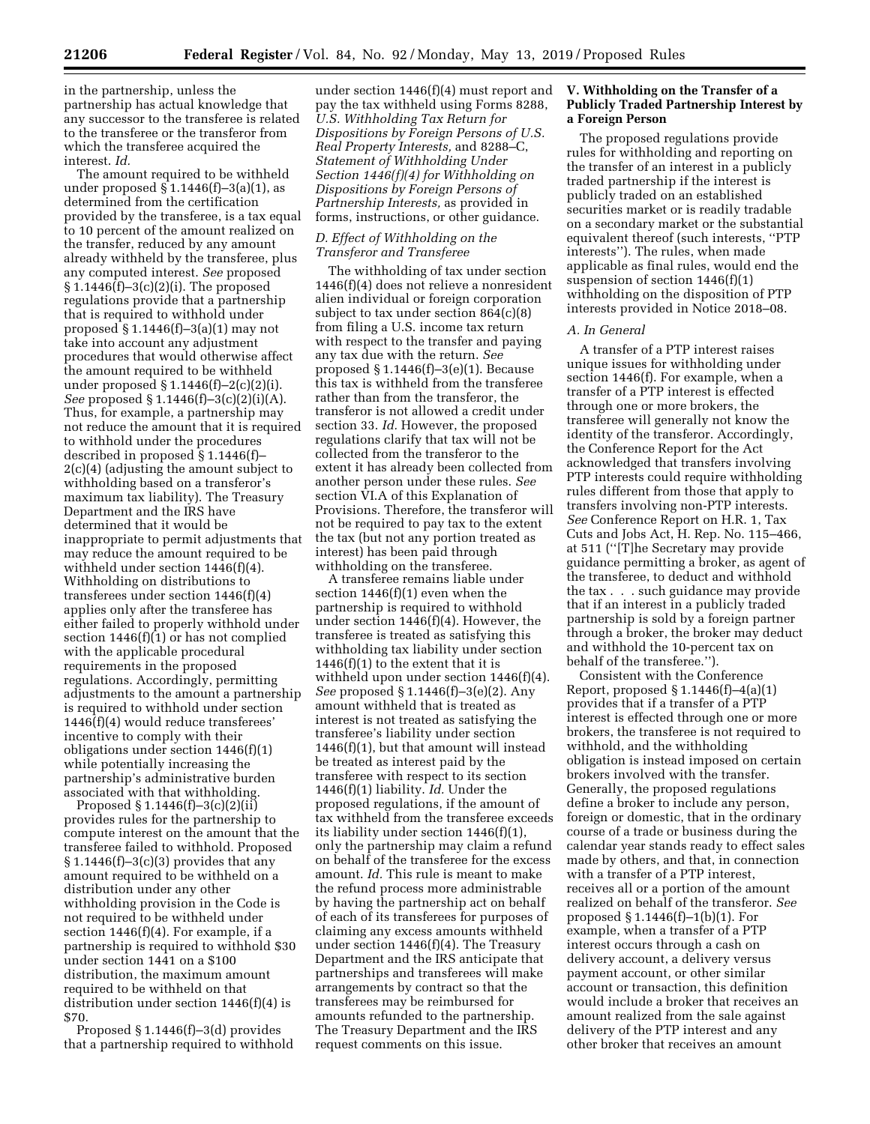in the partnership, unless the partnership has actual knowledge that any successor to the transferee is related to the transferee or the transferor from which the transferee acquired the

interest. *Id.*  The amount required to be withheld under proposed  $\S 1.1446(f)-3(a)(1)$ , as determined from the certification provided by the transferee, is a tax equal to 10 percent of the amount realized on the transfer, reduced by any amount already withheld by the transferee, plus any computed interest. *See* proposed § 1.1446(f)–3(c)(2)(i). The proposed regulations provide that a partnership that is required to withhold under proposed  $\S 1.1446(f)-3(a)(1)$  may not take into account any adjustment procedures that would otherwise affect the amount required to be withheld under proposed § 1.1446(f)–2(c)(2)(i). *See* proposed § 1.1446(f)–3(c)(2)(i)(A). Thus, for example, a partnership may not reduce the amount that it is required to withhold under the procedures described in proposed § 1.1446(f)– 2(c)(4) (adjusting the amount subject to withholding based on a transferor's maximum tax liability). The Treasury Department and the IRS have determined that it would be inappropriate to permit adjustments that may reduce the amount required to be withheld under section 1446(f)(4). Withholding on distributions to transferees under section 1446(f)(4) applies only after the transferee has either failed to properly withhold under section 1446(f)(1) or has not complied with the applicable procedural requirements in the proposed regulations. Accordingly, permitting adjustments to the amount a partnership is required to withhold under section 1446(f)(4) would reduce transferees' incentive to comply with their obligations under section 1446(f)(1) while potentially increasing the partnership's administrative burden associated with that withholding.

Proposed  $§ 1.1446(f)-3(c)(2)(ii)$ provides rules for the partnership to compute interest on the amount that the transferee failed to withhold. Proposed  $§ 1.1446(f)-3(c)(3)$  provides that any amount required to be withheld on a distribution under any other withholding provision in the Code is not required to be withheld under section 1446(f)(4). For example, if a partnership is required to withhold \$30 under section 1441 on a \$100 distribution, the maximum amount required to be withheld on that distribution under section 1446(f)(4) is \$70.

Proposed § 1.1446(f)–3(d) provides that a partnership required to withhold

under section 1446(f)(4) must report and pay the tax withheld using Forms 8288, *U.S. Withholding Tax Return for Dispositions by Foreign Persons of U.S. Real Property Interests,* and 8288–C, *Statement of Withholding Under Section 1446(f)(4) for Withholding on Dispositions by Foreign Persons of Partnership Interests,* as provided in forms, instructions, or other guidance.

### *D. Effect of Withholding on the Transferor and Transferee*

The withholding of tax under section 1446(f)(4) does not relieve a nonresident alien individual or foreign corporation subject to tax under section 864(c)(8) from filing a U.S. income tax return with respect to the transfer and paying any tax due with the return. *See*  proposed § 1.1446(f)–3(e)(1). Because this tax is withheld from the transferee rather than from the transferor, the transferor is not allowed a credit under section 33. *Id.* However, the proposed regulations clarify that tax will not be collected from the transferor to the extent it has already been collected from another person under these rules. *See*  section VI.A of this Explanation of Provisions. Therefore, the transferor will not be required to pay tax to the extent the tax (but not any portion treated as interest) has been paid through withholding on the transferee.

A transferee remains liable under section 1446(f)(1) even when the partnership is required to withhold under section 1446(f)(4). However, the transferee is treated as satisfying this withholding tax liability under section  $1446(f)(1)$  to the extent that it is withheld upon under section 1446(f)(4). *See* proposed § 1.1446(f)–3(e)(2). Any amount withheld that is treated as interest is not treated as satisfying the transferee's liability under section 1446(f)(1), but that amount will instead be treated as interest paid by the transferee with respect to its section 1446(f)(1) liability. *Id.* Under the proposed regulations, if the amount of tax withheld from the transferee exceeds its liability under section 1446(f)(1), only the partnership may claim a refund on behalf of the transferee for the excess amount. *Id.* This rule is meant to make the refund process more administrable by having the partnership act on behalf of each of its transferees for purposes of claiming any excess amounts withheld under section 1446(f)(4). The Treasury Department and the IRS anticipate that partnerships and transferees will make arrangements by contract so that the transferees may be reimbursed for amounts refunded to the partnership. The Treasury Department and the IRS request comments on this issue.

## **V. Withholding on the Transfer of a Publicly Traded Partnership Interest by a Foreign Person**

The proposed regulations provide rules for withholding and reporting on the transfer of an interest in a publicly traded partnership if the interest is publicly traded on an established securities market or is readily tradable on a secondary market or the substantial equivalent thereof (such interests, ''PTP interests''). The rules, when made applicable as final rules, would end the suspension of section 1446(f)(1) withholding on the disposition of PTP interests provided in Notice 2018–08.

### *A. In General*

A transfer of a PTP interest raises unique issues for withholding under section 1446(f). For example, when a transfer of a PTP interest is effected through one or more brokers, the transferee will generally not know the identity of the transferor. Accordingly, the Conference Report for the Act acknowledged that transfers involving PTP interests could require withholding rules different from those that apply to transfers involving non-PTP interests. *See* Conference Report on H.R. 1, Tax Cuts and Jobs Act, H. Rep. No. 115–466, at 511 (''[T]he Secretary may provide guidance permitting a broker, as agent of the transferee, to deduct and withhold the tax . . . such guidance may provide that if an interest in a publicly traded partnership is sold by a foreign partner through a broker, the broker may deduct and withhold the 10-percent tax on behalf of the transferee.'').

Consistent with the Conference Report, proposed  $\S 1.1446(f) - 4(a)(1)$ provides that if a transfer of a PTP interest is effected through one or more brokers, the transferee is not required to withhold, and the withholding obligation is instead imposed on certain brokers involved with the transfer. Generally, the proposed regulations define a broker to include any person, foreign or domestic, that in the ordinary course of a trade or business during the calendar year stands ready to effect sales made by others, and that, in connection with a transfer of a PTP interest, receives all or a portion of the amount realized on behalf of the transferor. *See*  proposed § 1.1446(f)–1(b)(1). For example, when a transfer of a PTP interest occurs through a cash on delivery account, a delivery versus payment account, or other similar account or transaction, this definition would include a broker that receives an amount realized from the sale against delivery of the PTP interest and any other broker that receives an amount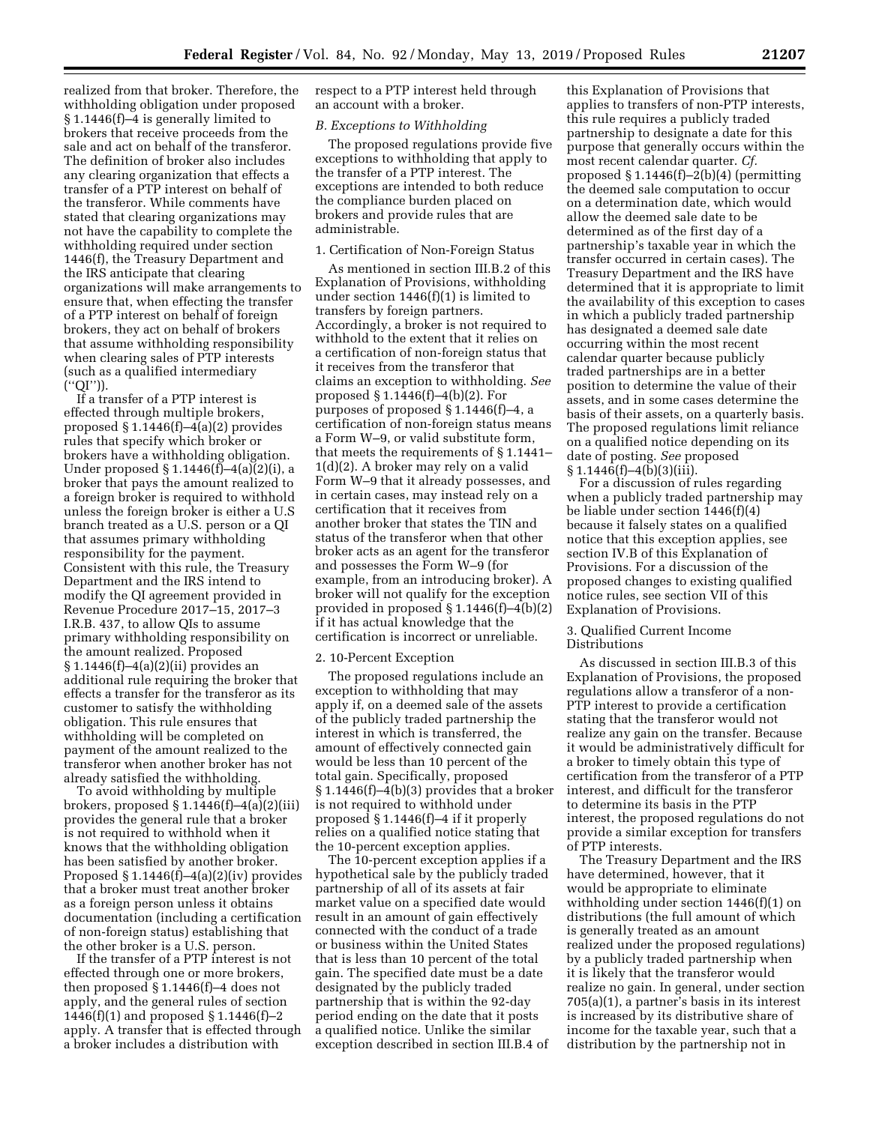realized from that broker. Therefore, the withholding obligation under proposed § 1.1446(f)–4 is generally limited to brokers that receive proceeds from the sale and act on behalf of the transferor. The definition of broker also includes any clearing organization that effects a transfer of a PTP interest on behalf of the transferor. While comments have stated that clearing organizations may not have the capability to complete the withholding required under section 1446(f), the Treasury Department and the IRS anticipate that clearing organizations will make arrangements to ensure that, when effecting the transfer of a PTP interest on behalf of foreign brokers, they act on behalf of brokers that assume withholding responsibility when clearing sales of PTP interests (such as a qualified intermediary (''QI'')).

If a transfer of a PTP interest is effected through multiple brokers, proposed  $§ 1.1446(f)-4(a)(2)$  provides rules that specify which broker or brokers have a withholding obligation. Under proposed § 1.1446(f)–4(a)(2)(i), a broker that pays the amount realized to a foreign broker is required to withhold unless the foreign broker is either a U.S branch treated as a U.S. person or a QI that assumes primary withholding responsibility for the payment. Consistent with this rule, the Treasury Department and the IRS intend to modify the QI agreement provided in Revenue Procedure 2017–15, 2017–3 I.R.B. 437, to allow QIs to assume primary withholding responsibility on the amount realized. Proposed § 1.1446(f)–4(a)(2)(ii) provides an additional rule requiring the broker that effects a transfer for the transferor as its customer to satisfy the withholding obligation. This rule ensures that withholding will be completed on payment of the amount realized to the transferor when another broker has not already satisfied the withholding.

To avoid withholding by multiple brokers, proposed  $\S 1.1446(f) - 4(a)(2)(iii)$ provides the general rule that a broker is not required to withhold when it knows that the withholding obligation has been satisfied by another broker. Proposed  $\S 1.1446(f) - 4(a)(2)(iv)$  provides that a broker must treat another broker as a foreign person unless it obtains documentation (including a certification of non-foreign status) establishing that the other broker is a U.S. person.

If the transfer of a PTP interest is not effected through one or more brokers, then proposed § 1.1446(f)–4 does not apply, and the general rules of section 1446(f)(1) and proposed § 1.1446(f)–2 apply. A transfer that is effected through a broker includes a distribution with

respect to a PTP interest held through an account with a broker.

### *B. Exceptions to Withholding*

The proposed regulations provide five exceptions to withholding that apply to the transfer of a PTP interest. The exceptions are intended to both reduce the compliance burden placed on brokers and provide rules that are administrable.

## 1. Certification of Non-Foreign Status

As mentioned in section III.B.2 of this Explanation of Provisions, withholding under section 1446(f)(1) is limited to transfers by foreign partners. Accordingly, a broker is not required to withhold to the extent that it relies on a certification of non-foreign status that it receives from the transferor that claims an exception to withholding. *See*  proposed § 1.1446(f)–4(b)(2). For purposes of proposed § 1.1446(f)–4, a certification of non-foreign status means a Form W–9, or valid substitute form, that meets the requirements of § 1.1441– 1(d)(2). A broker may rely on a valid Form W–9 that it already possesses, and in certain cases, may instead rely on a certification that it receives from another broker that states the TIN and status of the transferor when that other broker acts as an agent for the transferor and possesses the Form W–9 (for example, from an introducing broker). A broker will not qualify for the exception provided in proposed § 1.1446(f)–4(b)(2) if it has actual knowledge that the certification is incorrect or unreliable.

#### 2. 10-Percent Exception

The proposed regulations include an exception to withholding that may apply if, on a deemed sale of the assets of the publicly traded partnership the interest in which is transferred, the amount of effectively connected gain would be less than 10 percent of the total gain. Specifically, proposed § 1.1446(f)–4(b)(3) provides that a broker is not required to withhold under proposed § 1.1446(f)–4 if it properly relies on a qualified notice stating that the 10-percent exception applies.

The 10-percent exception applies if a hypothetical sale by the publicly traded partnership of all of its assets at fair market value on a specified date would result in an amount of gain effectively connected with the conduct of a trade or business within the United States that is less than 10 percent of the total gain. The specified date must be a date designated by the publicly traded partnership that is within the 92-day period ending on the date that it posts a qualified notice. Unlike the similar exception described in section III.B.4 of

this Explanation of Provisions that applies to transfers of non-PTP interests, this rule requires a publicly traded partnership to designate a date for this purpose that generally occurs within the most recent calendar quarter. *Cf.*  proposed  $\S 1.1446(f)-2(b)(4)$  (permitting the deemed sale computation to occur on a determination date, which would allow the deemed sale date to be determined as of the first day of a partnership's taxable year in which the transfer occurred in certain cases). The Treasury Department and the IRS have determined that it is appropriate to limit the availability of this exception to cases in which a publicly traded partnership has designated a deemed sale date occurring within the most recent calendar quarter because publicly traded partnerships are in a better position to determine the value of their assets, and in some cases determine the basis of their assets, on a quarterly basis. The proposed regulations limit reliance on a qualified notice depending on its date of posting. *See* proposed  $§ 1.1446(f) - 4(b)(3)(iii).$ 

For a discussion of rules regarding when a publicly traded partnership may be liable under section 1446(f)(4) because it falsely states on a qualified notice that this exception applies, see section IV.B of this Explanation of Provisions. For a discussion of the proposed changes to existing qualified notice rules, see section VII of this Explanation of Provisions.

### 3. Qualified Current Income Distributions

As discussed in section III.B.3 of this Explanation of Provisions, the proposed regulations allow a transferor of a non-PTP interest to provide a certification stating that the transferor would not realize any gain on the transfer. Because it would be administratively difficult for a broker to timely obtain this type of certification from the transferor of a PTP interest, and difficult for the transferor to determine its basis in the PTP interest, the proposed regulations do not provide a similar exception for transfers of PTP interests.

The Treasury Department and the IRS have determined, however, that it would be appropriate to eliminate withholding under section 1446(f)(1) on distributions (the full amount of which is generally treated as an amount realized under the proposed regulations) by a publicly traded partnership when it is likely that the transferor would realize no gain. In general, under section 705(a)(1), a partner's basis in its interest is increased by its distributive share of income for the taxable year, such that a distribution by the partnership not in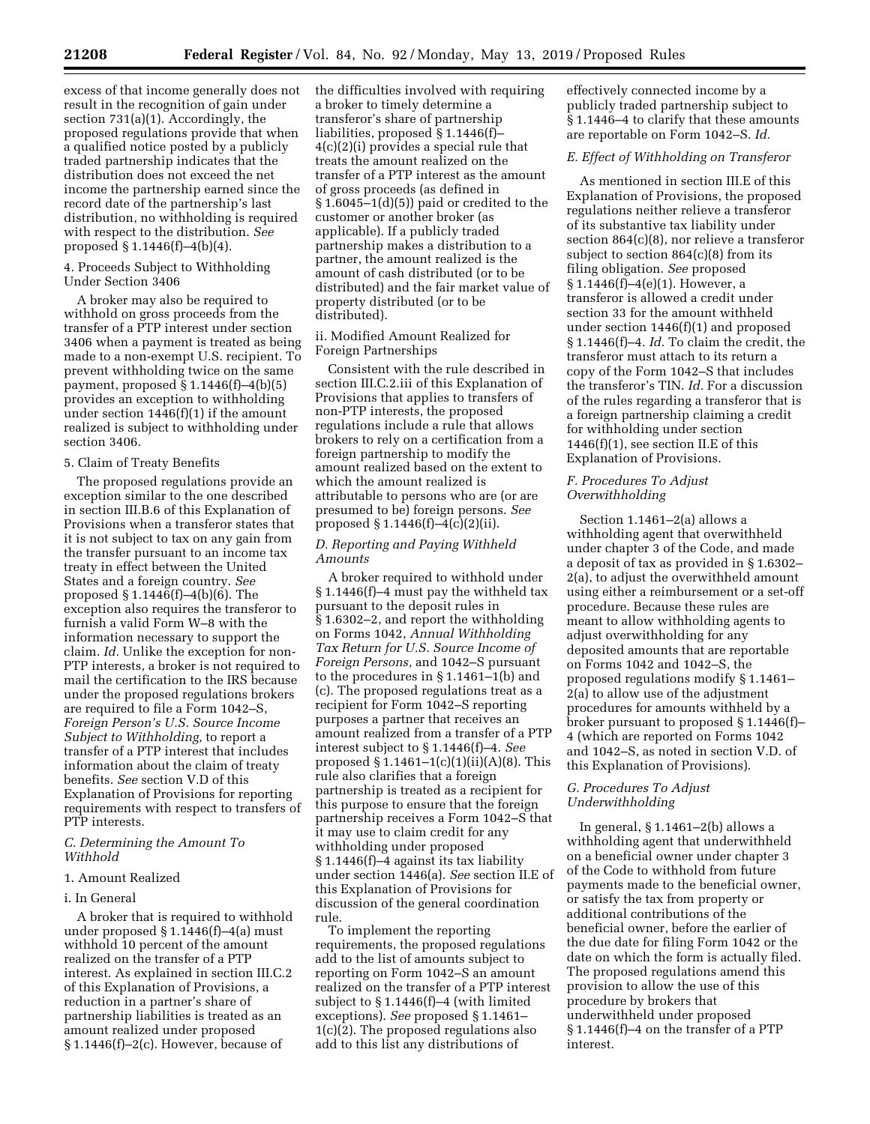excess of that income generally does not result in the recognition of gain under section 731(a)(1). Accordingly, the proposed regulations provide that when a qualified notice posted by a publicly traded partnership indicates that the distribution does not exceed the net income the partnership earned since the record date of the partnership's last distribution, no withholding is required with respect to the distribution. *See*  proposed § 1.1446(f)–4(b)(4).

### 4. Proceeds Subject to Withholding Under Section 3406

A broker may also be required to withhold on gross proceeds from the transfer of a PTP interest under section 3406 when a payment is treated as being made to a non-exempt U.S. recipient. To prevent withholding twice on the same payment, proposed  $\S 1.1446(f) - 4(b)(5)$ provides an exception to withholding under section 1446(f)(1) if the amount realized is subject to withholding under section 3406.

### 5. Claim of Treaty Benefits

The proposed regulations provide an exception similar to the one described in section III.B.6 of this Explanation of Provisions when a transferor states that it is not subject to tax on any gain from the transfer pursuant to an income tax treaty in effect between the United States and a foreign country. *See*  proposed § 1.1446(f)–4(b)(6). The exception also requires the transferor to furnish a valid Form W–8 with the information necessary to support the claim. *Id.* Unlike the exception for non-PTP interests, a broker is not required to mail the certification to the IRS because under the proposed regulations brokers are required to file a Form 1042–S, *Foreign Person's U.S. Source Income Subject to Withholding,* to report a transfer of a PTP interest that includes information about the claim of treaty benefits. *See* section V.D of this Explanation of Provisions for reporting requirements with respect to transfers of PTP interests.

# *C. Determining the Amount To Withhold*

# 1. Amount Realized

## i. In General

A broker that is required to withhold under proposed § 1.1446(f)–4(a) must withhold 10 percent of the amount realized on the transfer of a PTP interest. As explained in section III.C.2 of this Explanation of Provisions, a reduction in a partner's share of partnership liabilities is treated as an amount realized under proposed § 1.1446(f)–2(c). However, because of

the difficulties involved with requiring a broker to timely determine a transferor's share of partnership liabilities, proposed § 1.1446(f)– 4(c)(2)(i) provides a special rule that treats the amount realized on the transfer of a PTP interest as the amount of gross proceeds (as defined in § 1.6045–1(d)(5)) paid or credited to the customer or another broker (as applicable). If a publicly traded partnership makes a distribution to a partner, the amount realized is the amount of cash distributed (or to be distributed) and the fair market value of property distributed (or to be distributed).

## ii. Modified Amount Realized for Foreign Partnerships

Consistent with the rule described in section III.C.2.iii of this Explanation of Provisions that applies to transfers of non-PTP interests, the proposed regulations include a rule that allows brokers to rely on a certification from a foreign partnership to modify the amount realized based on the extent to which the amount realized is attributable to persons who are (or are presumed to be) foreign persons. *See*  proposed § 1.1446(f)–4(c)(2)(ii).

## *D. Reporting and Paying Withheld Amounts*

A broker required to withhold under § 1.1446(f)–4 must pay the withheld tax pursuant to the deposit rules in § 1.6302–2, and report the withholding on Forms 1042, *Annual Withholding Tax Return for U.S. Source Income of Foreign Persons,* and 1042–S pursuant to the procedures in § 1.1461–1(b) and (c). The proposed regulations treat as a recipient for Form 1042–S reporting purposes a partner that receives an amount realized from a transfer of a PTP interest subject to § 1.1446(f)–4. *See*  proposed  $\S 1.1461 - 1(c)(1)(ii)(A)(8)$ . This rule also clarifies that a foreign partnership is treated as a recipient for this purpose to ensure that the foreign partnership receives a Form 1042–S that it may use to claim credit for any withholding under proposed § 1.1446(f)–4 against its tax liability under section 1446(a). *See* section II.E of this Explanation of Provisions for discussion of the general coordination rule.

To implement the reporting requirements, the proposed regulations add to the list of amounts subject to reporting on Form 1042–S an amount realized on the transfer of a PTP interest subject to § 1.1446(f)–4 (with limited exceptions). *See* proposed § 1.1461– 1(c)(2). The proposed regulations also add to this list any distributions of

effectively connected income by a publicly traded partnership subject to § 1.1446–4 to clarify that these amounts are reportable on Form 1042–S. *Id.* 

# *E. Effect of Withholding on Transferor*

As mentioned in section III.E of this Explanation of Provisions, the proposed regulations neither relieve a transferor of its substantive tax liability under section 864(c)(8), nor relieve a transferor subject to section 864(c)(8) from its filing obligation. *See* proposed § 1.1446(f)–4(e)(1). However, a transferor is allowed a credit under section 33 for the amount withheld under section 1446(f)(1) and proposed § 1.1446(f)–4. *Id.* To claim the credit, the transferor must attach to its return a copy of the Form 1042–S that includes the transferor's TIN. *Id.* For a discussion of the rules regarding a transferor that is a foreign partnership claiming a credit for withholding under section  $1446(f)(1)$ , see section II.E of this Explanation of Provisions.

## *F. Procedures To Adjust Overwithholding*

Section 1.1461–2(a) allows a withholding agent that overwithheld under chapter 3 of the Code, and made a deposit of tax as provided in § 1.6302– 2(a), to adjust the overwithheld amount using either a reimbursement or a set-off procedure. Because these rules are meant to allow withholding agents to adjust overwithholding for any deposited amounts that are reportable on Forms 1042 and 1042–S, the proposed regulations modify § 1.1461– 2(a) to allow use of the adjustment procedures for amounts withheld by a broker pursuant to proposed § 1.1446(f)– 4 (which are reported on Forms 1042 and 1042–S, as noted in section V.D. of this Explanation of Provisions).

# *G. Procedures To Adjust Underwithholding*

In general, § 1.1461–2(b) allows a withholding agent that underwithheld on a beneficial owner under chapter 3 of the Code to withhold from future payments made to the beneficial owner, or satisfy the tax from property or additional contributions of the beneficial owner, before the earlier of the due date for filing Form 1042 or the date on which the form is actually filed. The proposed regulations amend this provision to allow the use of this procedure by brokers that underwithheld under proposed § 1.1446(f)–4 on the transfer of a PTP interest.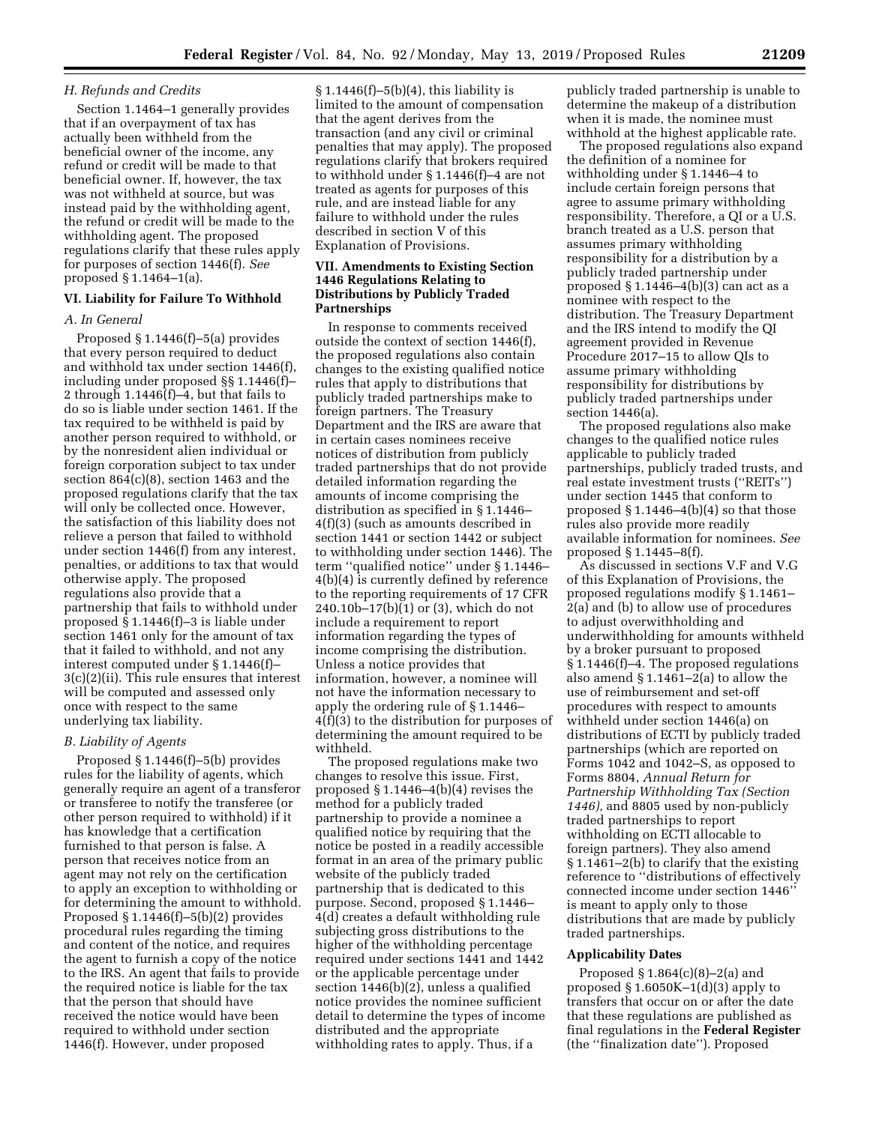### *H. Refunds and Credits*

Section 1.1464–1 generally provides that if an overpayment of tax has actually been withheld from the beneficial owner of the income, any refund or credit will be made to that beneficial owner. If, however, the tax was not withheld at source, but was instead paid by the withholding agent, the refund or credit will be made to the withholding agent. The proposed regulations clarify that these rules apply for purposes of section 1446(f). *See*  proposed § 1.1464–1(a).

## **VI. Liability for Failure To Withhold**

### *A. In General*

Proposed § 1.1446(f)–5(a) provides that every person required to deduct and withhold tax under section 1446(f), including under proposed §§ 1.1446(f)– 2 through 1.1446(f)–4, but that fails to do so is liable under section 1461. If the tax required to be withheld is paid by another person required to withhold, or by the nonresident alien individual or foreign corporation subject to tax under section 864(c)(8), section 1463 and the proposed regulations clarify that the tax will only be collected once. However, the satisfaction of this liability does not relieve a person that failed to withhold under section 1446(f) from any interest, penalties, or additions to tax that would otherwise apply. The proposed regulations also provide that a partnership that fails to withhold under proposed § 1.1446(f)–3 is liable under section 1461 only for the amount of tax that it failed to withhold, and not any interest computed under § 1.1446(f)– 3(c)(2)(ii). This rule ensures that interest will be computed and assessed only once with respect to the same underlying tax liability.

### *B. Liability of Agents*

Proposed § 1.1446(f)–5(b) provides rules for the liability of agents, which generally require an agent of a transferor or transferee to notify the transferee (or other person required to withhold) if it has knowledge that a certification furnished to that person is false. A person that receives notice from an agent may not rely on the certification to apply an exception to withholding or for determining the amount to withhold. Proposed  $\S 1.1446(f) - 5(b)(2)$  provides procedural rules regarding the timing and content of the notice, and requires the agent to furnish a copy of the notice to the IRS. An agent that fails to provide the required notice is liable for the tax that the person that should have received the notice would have been required to withhold under section 1446(f). However, under proposed

 $§ 1.1446(f)-5(b)(4)$ , this liability is limited to the amount of compensation that the agent derives from the transaction (and any civil or criminal penalties that may apply). The proposed regulations clarify that brokers required to withhold under § 1.1446(f)–4 are not treated as agents for purposes of this rule, and are instead liable for any failure to withhold under the rules described in section V of this Explanation of Provisions.

# **VII. Amendments to Existing Section 1446 Regulations Relating to Distributions by Publicly Traded Partnerships**

In response to comments received outside the context of section 1446(f), the proposed regulations also contain changes to the existing qualified notice rules that apply to distributions that publicly traded partnerships make to foreign partners. The Treasury Department and the IRS are aware that in certain cases nominees receive notices of distribution from publicly traded partnerships that do not provide detailed information regarding the amounts of income comprising the distribution as specified in § 1.1446– 4(f)(3) (such as amounts described in section 1441 or section 1442 or subject to withholding under section 1446). The term ''qualified notice'' under § 1.1446– 4(b)(4) is currently defined by reference to the reporting requirements of 17 CFR 240.10b–17(b)(1) or (3), which do not include a requirement to report information regarding the types of income comprising the distribution. Unless a notice provides that information, however, a nominee will not have the information necessary to apply the ordering rule of § 1.1446– 4(f)(3) to the distribution for purposes of determining the amount required to be withheld.

The proposed regulations make two changes to resolve this issue. First, proposed  $\S 1.1446 - 4(b)(4)$  revises the method for a publicly traded partnership to provide a nominee a qualified notice by requiring that the notice be posted in a readily accessible format in an area of the primary public website of the publicly traded partnership that is dedicated to this purpose. Second, proposed § 1.1446– 4(d) creates a default withholding rule subjecting gross distributions to the higher of the withholding percentage required under sections 1441 and 1442 or the applicable percentage under section 1446(b)(2), unless a qualified notice provides the nominee sufficient detail to determine the types of income distributed and the appropriate withholding rates to apply. Thus, if a

publicly traded partnership is unable to determine the makeup of a distribution when it is made, the nominee must withhold at the highest applicable rate.

The proposed regulations also expand the definition of a nominee for withholding under § 1.1446–4 to include certain foreign persons that agree to assume primary withholding responsibility. Therefore, a QI or a U.S. branch treated as a U.S. person that assumes primary withholding responsibility for a distribution by a publicly traded partnership under proposed § 1.1446–4(b)(3) can act as a nominee with respect to the distribution. The Treasury Department and the IRS intend to modify the QI agreement provided in Revenue Procedure 2017–15 to allow QIs to assume primary withholding responsibility for distributions by publicly traded partnerships under section 1446(a).

The proposed regulations also make changes to the qualified notice rules applicable to publicly traded partnerships, publicly traded trusts, and real estate investment trusts (''REITs'') under section 1445 that conform to proposed  $§ 1.1446-4(b)(4)$  so that those rules also provide more readily available information for nominees. *See*  proposed § 1.1445–8(f).

As discussed in sections V.F and V.G of this Explanation of Provisions, the proposed regulations modify § 1.1461– 2(a) and (b) to allow use of procedures to adjust overwithholding and underwithholding for amounts withheld by a broker pursuant to proposed § 1.1446(f)–4. The proposed regulations also amend  $\S 1.1461 - 2(a)$  to allow the use of reimbursement and set-off procedures with respect to amounts withheld under section 1446(a) on distributions of ECTI by publicly traded partnerships (which are reported on Forms 1042 and 1042–S, as opposed to Forms 8804, *Annual Return for Partnership Withholding Tax (Section 1446),* and 8805 used by non-publicly traded partnerships to report withholding on ECTI allocable to foreign partners). They also amend § 1.1461–2(b) to clarify that the existing reference to ''distributions of effectively connected income under section 1446'' is meant to apply only to those distributions that are made by publicly traded partnerships.

## **Applicability Dates**

Proposed § 1.864(c)(8)–2(a) and proposed § 1.6050K–1(d)(3) apply to transfers that occur on or after the date that these regulations are published as final regulations in the **Federal Register**  (the ''finalization date''). Proposed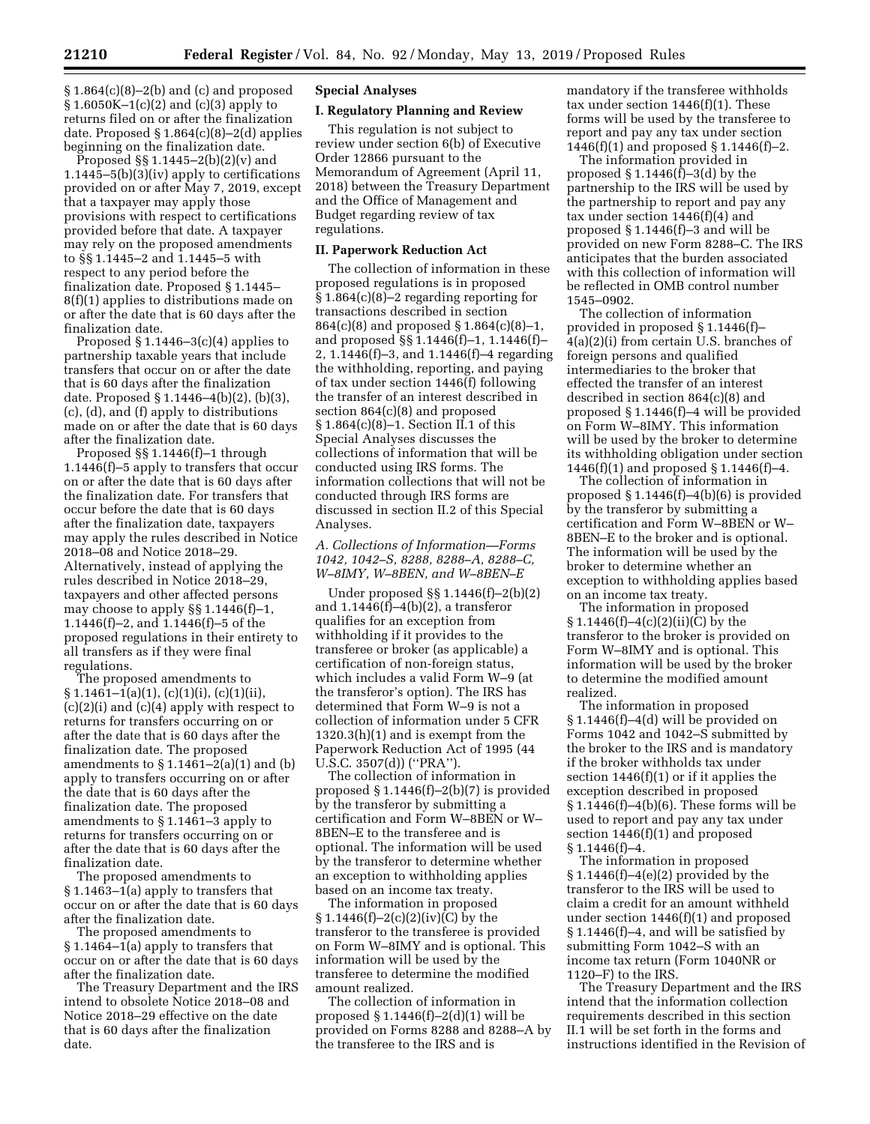§ 1.864(c)(8)–2(b) and (c) and proposed § 1.6050K–1(c)(2) and (c)(3) apply to returns filed on or after the finalization date. Proposed § 1.864(c)(8)–2(d) applies beginning on the finalization date.

Proposed §§ 1.1445–2(b)(2)(v) and 1.1445–5(b)(3)(iv) apply to certifications provided on or after May 7, 2019, except that a taxpayer may apply those provisions with respect to certifications provided before that date. A taxpayer may rely on the proposed amendments to §§ 1.1445–2 and 1.1445–5 with respect to any period before the finalization date. Proposed § 1.1445– 8(f)(1) applies to distributions made on or after the date that is 60 days after the finalization date.

Proposed  $\S 1.1446-3(c)(4)$  applies to partnership taxable years that include transfers that occur on or after the date that is 60 days after the finalization date. Proposed § 1.1446–4(b)(2), (b)(3), (c), (d), and (f) apply to distributions made on or after the date that is 60 days after the finalization date.

Proposed §§ 1.1446(f)–1 through 1.1446(f)–5 apply to transfers that occur on or after the date that is 60 days after the finalization date. For transfers that occur before the date that is 60 days after the finalization date, taxpayers may apply the rules described in Notice 2018–08 and Notice 2018–29. Alternatively, instead of applying the rules described in Notice 2018–29, taxpayers and other affected persons may choose to apply §§ 1.1446(f)–1, 1.1446(f)–2, and 1.1446(f)–5 of the proposed regulations in their entirety to all transfers as if they were final regulations.

The proposed amendments to  $§ 1.1461-1(a)(1), (c)(1)(i), (c)(1)(ii),$ (c)(2)(i) and (c)(4) apply with respect to returns for transfers occurring on or after the date that is 60 days after the finalization date. The proposed amendments to  $\S 1.1461 - 2(a)(1)$  and (b) apply to transfers occurring on or after the date that is 60 days after the finalization date. The proposed amendments to § 1.1461–3 apply to returns for transfers occurring on or after the date that is 60 days after the finalization date.

The proposed amendments to § 1.1463–1(a) apply to transfers that occur on or after the date that is 60 days after the finalization date.

The proposed amendments to § 1.1464–1(a) apply to transfers that occur on or after the date that is 60 days after the finalization date.

The Treasury Department and the IRS intend to obsolete Notice 2018–08 and Notice 2018–29 effective on the date that is 60 days after the finalization date.

# **Special Analyses**

### **I. Regulatory Planning and Review**

This regulation is not subject to review under section 6(b) of Executive Order 12866 pursuant to the Memorandum of Agreement (April 11, 2018) between the Treasury Department and the Office of Management and Budget regarding review of tax regulations.

## **II. Paperwork Reduction Act**

The collection of information in these proposed regulations is in proposed § 1.864(c)(8)–2 regarding reporting for transactions described in section 864(c)(8) and proposed § 1.864(c)(8)–1, and proposed §§ 1.1446(f)–1, 1.1446(f)– 2, 1.1446(f)–3, and 1.1446(f)–4 regarding the withholding, reporting, and paying of tax under section 1446(f) following the transfer of an interest described in section 864(c)(8) and proposed § 1.864(c)(8)–1. Section II.1 of this Special Analyses discusses the collections of information that will be conducted using IRS forms. The information collections that will not be conducted through IRS forms are discussed in section II.2 of this Special Analyses.

*A. Collections of Information—Forms 1042, 1042–S, 8288, 8288–A, 8288–C, W–8IMY, W–8BEN, and W–8BEN–E* 

Under proposed §§ 1.1446(f)–2(b)(2) and  $1.1446(f) - 4(b)(2)$ , a transferor qualifies for an exception from withholding if it provides to the transferee or broker (as applicable) a certification of non-foreign status, which includes a valid Form W–9 (at the transferor's option). The IRS has determined that Form W–9 is not a collection of information under 5 CFR 1320.3(h)(1) and is exempt from the Paperwork Reduction Act of 1995 (44 U.S.C. 3507(d)) (''PRA'').

The collection of information in proposed § 1.1446(f)–2(b)(7) is provided by the transferor by submitting a certification and Form W–8BEN or W– 8BEN–E to the transferee and is optional. The information will be used by the transferor to determine whether an exception to withholding applies based on an income tax treaty.

The information in proposed  $$1.1446(f)-2(c)(2)(iv)(C)$  by the transferor to the transferee is provided on Form W–8IMY and is optional. This information will be used by the transferee to determine the modified amount realized.

The collection of information in proposed  $§ 1.1446(f)-2(d)(1)$  will be provided on Forms 8288 and 8288–A by the transferee to the IRS and is

mandatory if the transferee withholds tax under section 1446(f)(1). These forms will be used by the transferee to report and pay any tax under section 1446(f)(1) and proposed § 1.1446(f)–2.

The information provided in proposed  $\S 1.1446(f) - 3(d)$  by the partnership to the IRS will be used by the partnership to report and pay any tax under section 1446(f)(4) and proposed § 1.1446(f)–3 and will be provided on new Form 8288–C. The IRS anticipates that the burden associated with this collection of information will be reflected in OMB control number 1545–0902.

The collection of information provided in proposed § 1.1446(f)– 4(a)(2)(i) from certain U.S. branches of foreign persons and qualified intermediaries to the broker that effected the transfer of an interest described in section 864(c)(8) and proposed § 1.1446(f)–4 will be provided on Form W–8IMY. This information will be used by the broker to determine its withholding obligation under section 1446(f)(1) and proposed § 1.1446(f)–4.

The collection of information in proposed § 1.1446(f)–4(b)(6) is provided by the transferor by submitting a certification and Form W–8BEN or W– 8BEN–E to the broker and is optional. The information will be used by the broker to determine whether an exception to withholding applies based on an income tax treaty.

The information in proposed § 1.1446(f)–4(c)(2)(ii)(C) by the transferor to the broker is provided on Form W–8IMY and is optional. This information will be used by the broker to determine the modified amount realized.

The information in proposed § 1.1446(f)–4(d) will be provided on Forms 1042 and 1042–S submitted by the broker to the IRS and is mandatory if the broker withholds tax under section 1446(f)(1) or if it applies the exception described in proposed § 1.1446(f)–4(b)(6). These forms will be used to report and pay any tax under section 1446(f)(1) and proposed § 1.1446(f)–4.

The information in proposed § 1.1446(f)–4(e)(2) provided by the transferor to the IRS will be used to claim a credit for an amount withheld under section 1446(f)(1) and proposed § 1.1446(f)–4, and will be satisfied by submitting Form 1042–S with an income tax return (Form 1040NR or 1120–F) to the IRS.

The Treasury Department and the IRS intend that the information collection requirements described in this section II.1 will be set forth in the forms and instructions identified in the Revision of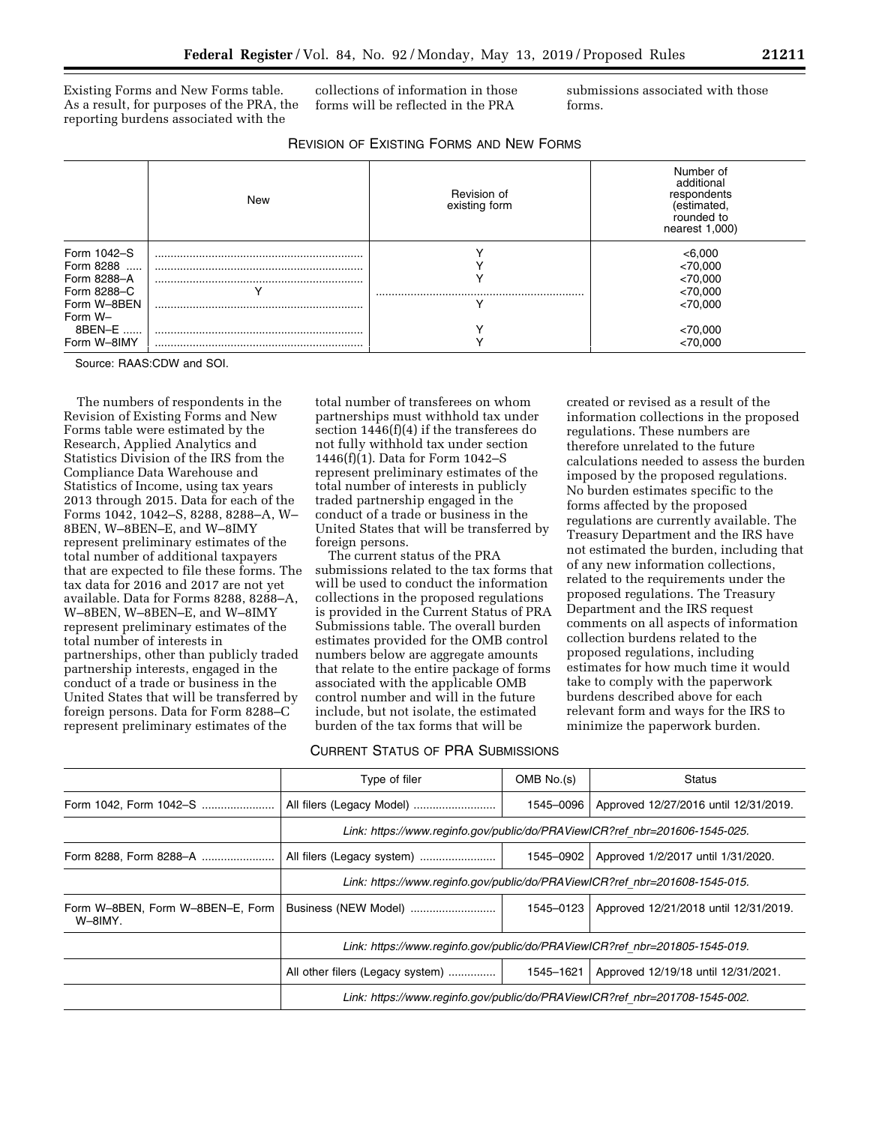Existing Forms and New Forms table. As a result, for purposes of the PRA, the reporting burdens associated with the

collections of information in those forms will be reflected in the PRA

submissions associated with those forms.

|             | New | Revision of<br>existing form | Number of<br>additional<br>respondents<br>(estimated,<br>rounded to<br>nearest $1,000$ ) |
|-------------|-----|------------------------------|------------------------------------------------------------------------------------------|
| Form 1042-S |     |                              | < 6,000                                                                                  |
| Form 8288   |     |                              | < 70,000                                                                                 |
| Form 8288-A |     |                              | < 70,000                                                                                 |
| Form 8288-C |     |                              | < 70,000                                                                                 |
| Form W-8BEN |     |                              | <70.000                                                                                  |
| Form W-     |     |                              |                                                                                          |
| 8BEN-E      |     |                              | < 70,000                                                                                 |
| Form W-8IMY |     |                              | <70.000                                                                                  |

Source: RAAS:CDW and SOI.

The numbers of respondents in the Revision of Existing Forms and New Forms table were estimated by the Research, Applied Analytics and Statistics Division of the IRS from the Compliance Data Warehouse and Statistics of Income, using tax years 2013 through 2015. Data for each of the Forms 1042, 1042–S, 8288, 8288–A, W– 8BEN, W–8BEN–E, and W–8IMY represent preliminary estimates of the total number of additional taxpayers that are expected to file these forms. The tax data for 2016 and 2017 are not yet available. Data for Forms 8288, 8288–A, W–8BEN, W–8BEN–E, and W–8IMY represent preliminary estimates of the total number of interests in partnerships, other than publicly traded partnership interests, engaged in the conduct of a trade or business in the United States that will be transferred by foreign persons. Data for Form 8288–C represent preliminary estimates of the

total number of transferees on whom partnerships must withhold tax under section 1446(f)(4) if the transferees do not fully withhold tax under section 1446(f)(1). Data for Form 1042–S represent preliminary estimates of the total number of interests in publicly traded partnership engaged in the conduct of a trade or business in the United States that will be transferred by foreign persons.

The current status of the PRA submissions related to the tax forms that will be used to conduct the information collections in the proposed regulations is provided in the Current Status of PRA Submissions table. The overall burden estimates provided for the OMB control numbers below are aggregate amounts that relate to the entire package of forms associated with the applicable OMB control number and will in the future include, but not isolate, the estimated burden of the tax forms that will be

# CURRENT STATUS OF PRA SUBMISSIONS

created or revised as a result of the information collections in the proposed regulations. These numbers are therefore unrelated to the future calculations needed to assess the burden imposed by the proposed regulations. No burden estimates specific to the forms affected by the proposed regulations are currently available. The Treasury Department and the IRS have not estimated the burden, including that of any new information collections, related to the requirements under the proposed regulations. The Treasury Department and the IRS request comments on all aspects of information collection burdens related to the proposed regulations, including estimates for how much time it would take to comply with the paperwork burdens described above for each relevant form and ways for the IRS to minimize the paperwork burden.

|                                             | Type of filer                                                               | OMB No.(s)                                                                  | Status                                |  |
|---------------------------------------------|-----------------------------------------------------------------------------|-----------------------------------------------------------------------------|---------------------------------------|--|
|                                             |                                                                             | 1545-0096                                                                   | Approved 12/27/2016 until 12/31/2019. |  |
|                                             |                                                                             | Link: https://www.reginfo.gov/public/do/PRAViewICR?ref nbr=201606-1545-025. |                                       |  |
| Form 8288, Form 8288-A                      |                                                                             | 1545-0902                                                                   | Approved 1/2/2017 until 1/31/2020.    |  |
|                                             | Link: https://www.reginfo.gov/public/do/PRAViewICR?ref nbr=201608-1545-015. |                                                                             |                                       |  |
| Form W-8BEN, Form W-8BEN-E, Form<br>W-8IMY. | Business (NEW Model)                                                        | 1545-0123                                                                   | Approved 12/21/2018 until 12/31/2019. |  |
|                                             | Link: https://www.reginfo.gov/public/do/PRAViewICR?ref nbr=201805-1545-019. |                                                                             |                                       |  |
|                                             | All other filers (Legacy system)                                            | 1545-1621                                                                   | Approved 12/19/18 until 12/31/2021.   |  |
|                                             | Link: https://www.reginfo.gov/public/do/PRAViewICR?ref nbr=201708-1545-002. |                                                                             |                                       |  |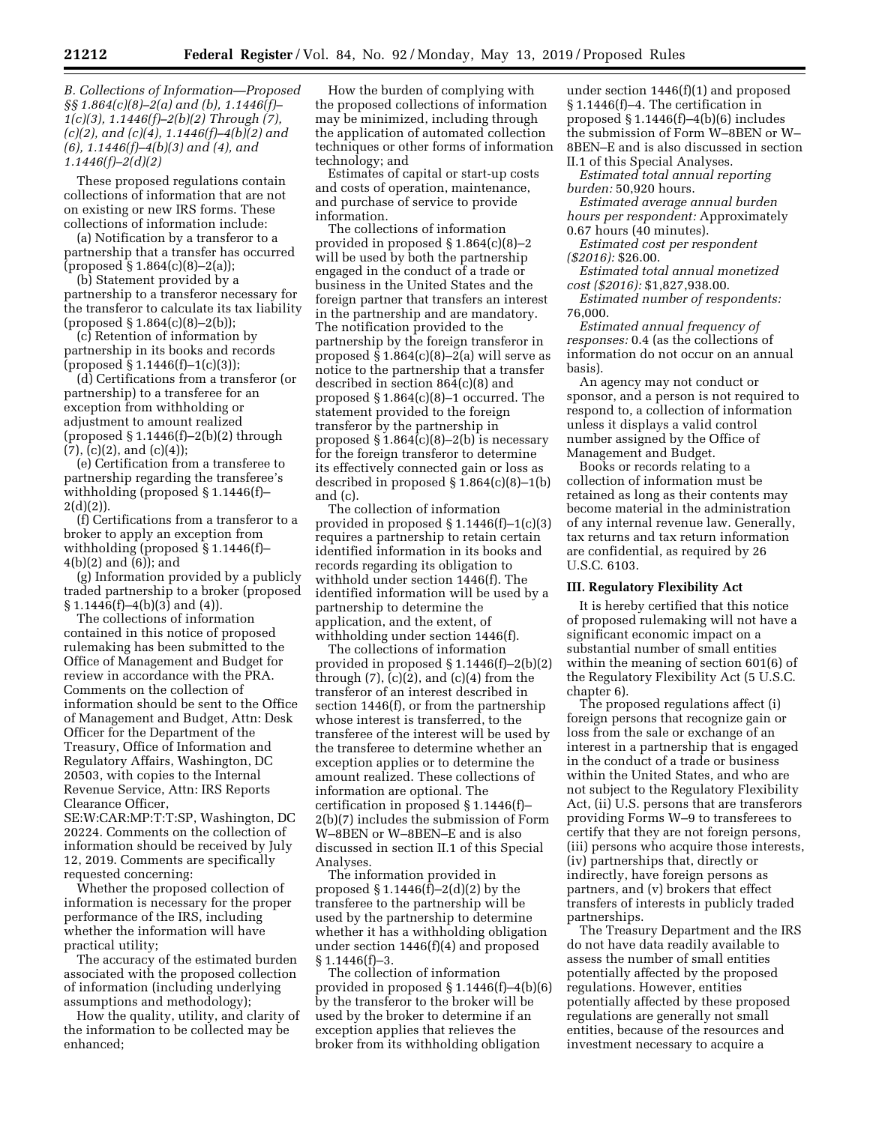*1(c)(3), 1.1446(f)–2(b)(2) Through (7), (c)(2), and (c)(4), 1.1446(f)–4(b)(2) and (6), 1.1446(f)–4(b)(3) and (4), and 1.1446(f)–2(d)(2)* 

These proposed regulations contain collections of information that are not on existing or new IRS forms. These collections of information include:

(a) Notification by a transferor to a partnership that a transfer has occurred  $(proposed \S 1.864(c)(8)-2(a));$ 

(b) Statement provided by a partnership to a transferor necessary for the transferor to calculate its tax liability  $(proposed \S 1.864(c)(8)-2(b));$ 

(c) Retention of information by partnership in its books and records (proposed § 1.1446(f)–1(c)(3));

(d) Certifications from a transferor (or partnership) to a transferee for an exception from withholding or adjustment to amount realized (proposed § 1.1446(f)–2(b)(2) through  $(7)$ ,  $(c)(2)$ , and  $(c)(4)$ ;

(e) Certification from a transferee to partnership regarding the transferee's withholding (proposed § 1.1446(f)–  $2(d)(2)$ ).

(f) Certifications from a transferor to a broker to apply an exception from withholding (proposed § 1.1446(f)– 4(b)(2) and (6)); and

(g) Information provided by a publicly traded partnership to a broker (proposed  $\S 1.1446(f) - 4(b)(3)$  and  $(4)$ ).

The collections of information contained in this notice of proposed rulemaking has been submitted to the Office of Management and Budget for review in accordance with the PRA. Comments on the collection of information should be sent to the Office of Management and Budget, Attn: Desk Officer for the Department of the Treasury, Office of Information and Regulatory Affairs, Washington, DC 20503, with copies to the Internal Revenue Service, Attn: IRS Reports Clearance Officer,

SE:W:CAR:MP:T:T:SP, Washington, DC 20224. Comments on the collection of information should be received by July 12, 2019. Comments are specifically requested concerning:

Whether the proposed collection of information is necessary for the proper performance of the IRS, including whether the information will have practical utility;

The accuracy of the estimated burden associated with the proposed collection of information (including underlying assumptions and methodology);

How the quality, utility, and clarity of the information to be collected may be enhanced;

How the burden of complying with the proposed collections of information may be minimized, including through the application of automated collection techniques or other forms of information technology; and

Estimates of capital or start-up costs and costs of operation, maintenance, and purchase of service to provide information.

The collections of information provided in proposed § 1.864(c)(8)–2 will be used by both the partnership engaged in the conduct of a trade or business in the United States and the foreign partner that transfers an interest in the partnership and are mandatory. The notification provided to the partnership by the foreign transferor in proposed  $§ 1.864(c)(8)-2(a)$  will serve as notice to the partnership that a transfer described in section 864(c)(8) and proposed § 1.864(c)(8)–1 occurred. The statement provided to the foreign transferor by the partnership in proposed  $\S 1.864(c)(8)-2(b)$  is necessary for the foreign transferor to determine its effectively connected gain or loss as described in proposed  $\S 1.864(c)(8)-1(b)$ and (c).

The collection of information provided in proposed  $\S 1.1446(f)-1(c)(3)$ requires a partnership to retain certain identified information in its books and records regarding its obligation to withhold under section 1446(f). The identified information will be used by a partnership to determine the application, and the extent, of withholding under section 1446(f).

The collections of information provided in proposed § 1.1446(f)–2(b)(2) through  $(7)$ ,  $(c)(2)$ , and  $(c)(4)$  from the transferor of an interest described in section 1446(f), or from the partnership whose interest is transferred, to the transferee of the interest will be used by the transferee to determine whether an exception applies or to determine the amount realized. These collections of information are optional. The certification in proposed § 1.1446(f)– 2(b)(7) includes the submission of Form W–8BEN or W–8BEN–E and is also discussed in section II.1 of this Special Analyses.

The information provided in proposed  $\S 1.1446(f)-2(d)(2)$  by the transferee to the partnership will be used by the partnership to determine whether it has a withholding obligation under section 1446(f)(4) and proposed § 1.1446(f)–3.

The collection of information provided in proposed § 1.1446(f)–4(b)(6) by the transferor to the broker will be used by the broker to determine if an exception applies that relieves the broker from its withholding obligation

under section 1446(f)(1) and proposed § 1.1446(f)–4. The certification in proposed  $§ 1.1446(f)-4(b)(6)$  includes the submission of Form W–8BEN or W– 8BEN–E and is also discussed in section II.1 of this Special Analyses.

*Estimated total annual reporting burden:* 50,920 hours.

*Estimated average annual burden hours per respondent:* Approximately

0.67 hours (40 minutes). *Estimated cost per respondent (\$2016):* \$26.00.

*Estimated total annual monetized cost (\$2016):* \$1,827,938.00.

*Estimated number of respondents:*  76,000.

*Estimated annual frequency of responses:* 0.4 (as the collections of information do not occur on an annual basis).

An agency may not conduct or sponsor, and a person is not required to respond to, a collection of information unless it displays a valid control number assigned by the Office of Management and Budget.

Books or records relating to a collection of information must be retained as long as their contents may become material in the administration of any internal revenue law. Generally, tax returns and tax return information are confidential, as required by 26 U.S.C. 6103.

### **III. Regulatory Flexibility Act**

It is hereby certified that this notice of proposed rulemaking will not have a significant economic impact on a substantial number of small entities within the meaning of section 601(6) of the Regulatory Flexibility Act (5 U.S.C. chapter 6).

The proposed regulations affect (i) foreign persons that recognize gain or loss from the sale or exchange of an interest in a partnership that is engaged in the conduct of a trade or business within the United States, and who are not subject to the Regulatory Flexibility Act, (ii) U.S. persons that are transferors providing Forms W–9 to transferees to certify that they are not foreign persons, (iii) persons who acquire those interests, (iv) partnerships that, directly or indirectly, have foreign persons as partners, and (v) brokers that effect transfers of interests in publicly traded partnerships.

The Treasury Department and the IRS do not have data readily available to assess the number of small entities potentially affected by the proposed regulations. However, entities potentially affected by these proposed regulations are generally not small entities, because of the resources and investment necessary to acquire a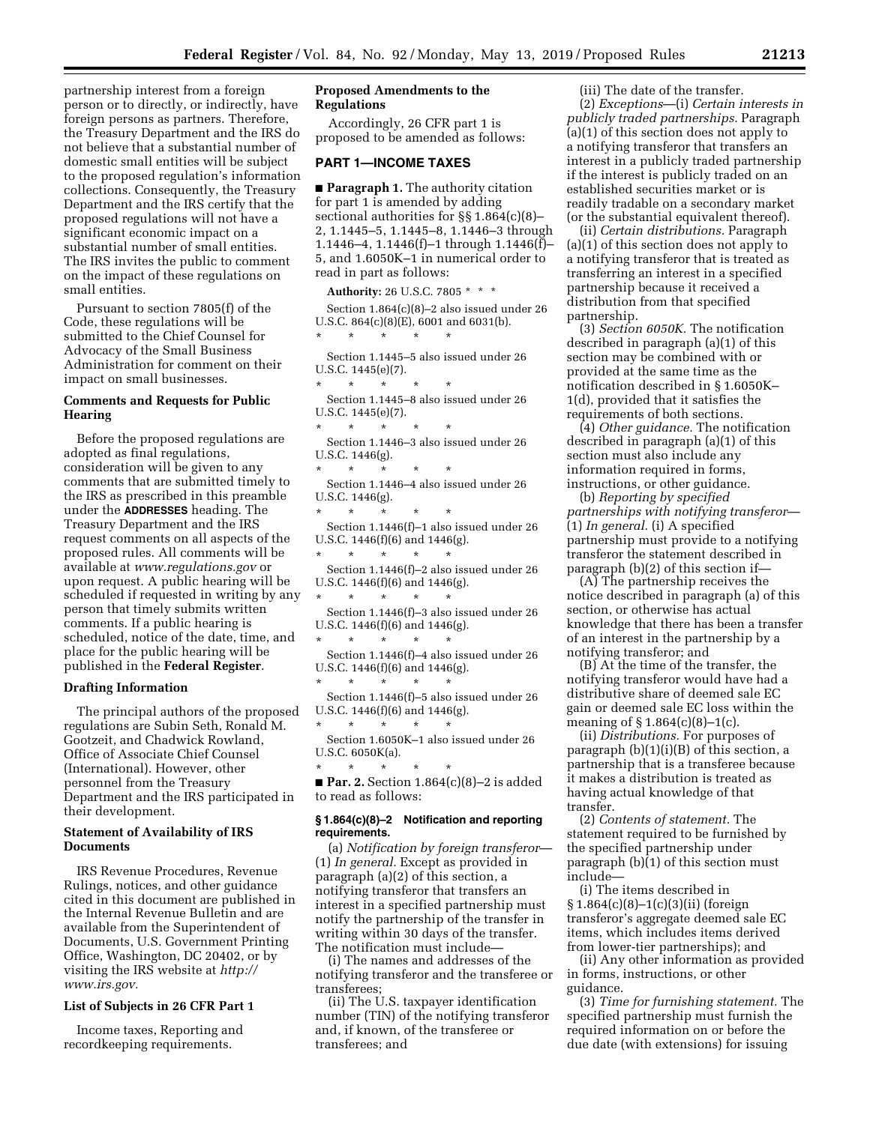partnership interest from a foreign person or to directly, or indirectly, have foreign persons as partners. Therefore, the Treasury Department and the IRS do not believe that a substantial number of domestic small entities will be subject to the proposed regulation's information collections. Consequently, the Treasury Department and the IRS certify that the proposed regulations will not have a significant economic impact on a substantial number of small entities. The IRS invites the public to comment on the impact of these regulations on small entities.

Pursuant to section 7805(f) of the Code, these regulations will be submitted to the Chief Counsel for Advocacy of the Small Business Administration for comment on their impact on small businesses.

# **Comments and Requests for Public Hearing**

Before the proposed regulations are adopted as final regulations, consideration will be given to any comments that are submitted timely to the IRS as prescribed in this preamble under the **ADDRESSES** heading. The Treasury Department and the IRS request comments on all aspects of the proposed rules. All comments will be available at *[www.regulations.gov](http://www.regulations.gov)* or upon request. A public hearing will be scheduled if requested in writing by any person that timely submits written comments. If a public hearing is scheduled, notice of the date, time, and place for the public hearing will be published in the **Federal Register**.

### **Drafting Information**

The principal authors of the proposed regulations are Subin Seth, Ronald M. Gootzeit, and Chadwick Rowland, Office of Associate Chief Counsel (International). However, other personnel from the Treasury Department and the IRS participated in their development.

## **Statement of Availability of IRS Documents**

IRS Revenue Procedures, Revenue Rulings, notices, and other guidance cited in this document are published in the Internal Revenue Bulletin and are available from the Superintendent of Documents, U.S. Government Printing Office, Washington, DC 20402, or by visiting the IRS website at *[http://](http://www.irs.gov) [www.irs.gov.](http://www.irs.gov)* 

### **List of Subjects in 26 CFR Part 1**

Income taxes, Reporting and recordkeeping requirements.

# **Proposed Amendments to the Regulations**

Accordingly, 26 CFR part 1 is proposed to be amended as follows:

# **PART 1—INCOME TAXES**

■ **Paragraph 1.** The authority citation for part 1 is amended by adding sectional authorities for §§ 1.864(c)(8)– 2, 1.1445–5, 1.1445–8, 1.1446–3 through 1.1446–4, 1.1446(f)–1 through 1.1446(f)– 5, and 1.6050K–1 in numerical order to read in part as follows:

**Authority:** 26 U.S.C. 7805 \* \* \*

Section 1.864(c)(8)–2 also issued under 26 U.S.C. 864(c)(8)(E), 6001 and 6031(b). \* \* \* \* \*

Section 1.1445–5 also issued under 26 U.S.C. 1445(e)(7).

\* \* \* \* \* Section 1.1445–8 also issued under 26 U.S.C. 1445(e)(7).

 $*$  \* Section 1.1446–3 also issued under 26 U.S.C. 1446(g).

\* \* \* \* \* Section 1.1446–4 also issued under 26 U.S.C. 1446(g).

\* \* \* \* \* Section 1.1446(f)–1 also issued under 26 U.S.C. 1446(f)(6) and 1446(g).

\* \* \* \* \* Section 1.1446(f)–2 also issued under 26 U.S.C. 1446(f)(6) and 1446(g).

\* \* \* \* \* Section 1.1446(f)–3 also issued under 26 U.S.C. 1446(f)(6) and 1446(g).

 $\star$   $\star$   $\star$ Section 1.1446(f)–4 also issued under 26 U.S.C. 1446(f)(6) and 1446(g).

 $\star$   $\star$   $\star$ Section 1.1446(f)–5 also issued under 26 U.S.C. 1446(f)(6) and 1446(g).

\* \* \* \* \* Section 1.6050K–1 also issued under 26 U.S.C. 6050K(a).

\* \* \* \* \* ■ **Par. 2.** Section 1.864(c)(8)–2 is added to read as follows:

### **§ 1.864(c)(8)–2 Notification and reporting requirements.**

(a) *Notification by foreign transferor*— (1) *In general.* Except as provided in paragraph (a)(2) of this section, a notifying transferor that transfers an interest in a specified partnership must notify the partnership of the transfer in writing within 30 days of the transfer. The notification must include—

(i) The names and addresses of the notifying transferor and the transferee or transferees;

(ii) The U.S. taxpayer identification number (TIN) of the notifying transferor and, if known, of the transferee or transferees; and

## (iii) The date of the transfer.

(2) *Exceptions*—(i) *Certain interests in publicly traded partnerships.* Paragraph (a)(1) of this section does not apply to a notifying transferor that transfers an interest in a publicly traded partnership if the interest is publicly traded on an established securities market or is readily tradable on a secondary market (or the substantial equivalent thereof).

(ii) *Certain distributions.* Paragraph (a)(1) of this section does not apply to a notifying transferor that is treated as transferring an interest in a specified partnership because it received a distribution from that specified partnership.

(3) *Section 6050K.* The notification described in paragraph (a)(1) of this section may be combined with or provided at the same time as the notification described in § 1.6050K– 1(d), provided that it satisfies the requirements of both sections.

(4) *Other guidance.* The notification described in paragraph (a)(1) of this section must also include any information required in forms, instructions, or other guidance.

(b) *Reporting by specified partnerships with notifying transferor*— (1) *In general.* (i) A specified partnership must provide to a notifying transferor the statement described in paragraph (b)(2) of this section if—

(A) The partnership receives the notice described in paragraph (a) of this section, or otherwise has actual knowledge that there has been a transfer of an interest in the partnership by a notifying transferor; and

(B) At the time of the transfer, the notifying transferor would have had a distributive share of deemed sale EC gain or deemed sale EC loss within the meaning of  $\S 1.864(c)(8)-1(c)$ .

(ii) *Distributions.* For purposes of paragraph (b)(1)(i)(B) of this section, a partnership that is a transferee because it makes a distribution is treated as having actual knowledge of that transfer.

(2) *Contents of statement.* The statement required to be furnished by the specified partnership under paragraph (b)(1) of this section must include—

(i) The items described in § 1.864(c)(8)–1(c)(3)(ii) (foreign transferor's aggregate deemed sale EC items, which includes items derived from lower-tier partnerships); and

(ii) Any other information as provided in forms, instructions, or other guidance.

(3) *Time for furnishing statement.* The specified partnership must furnish the required information on or before the due date (with extensions) for issuing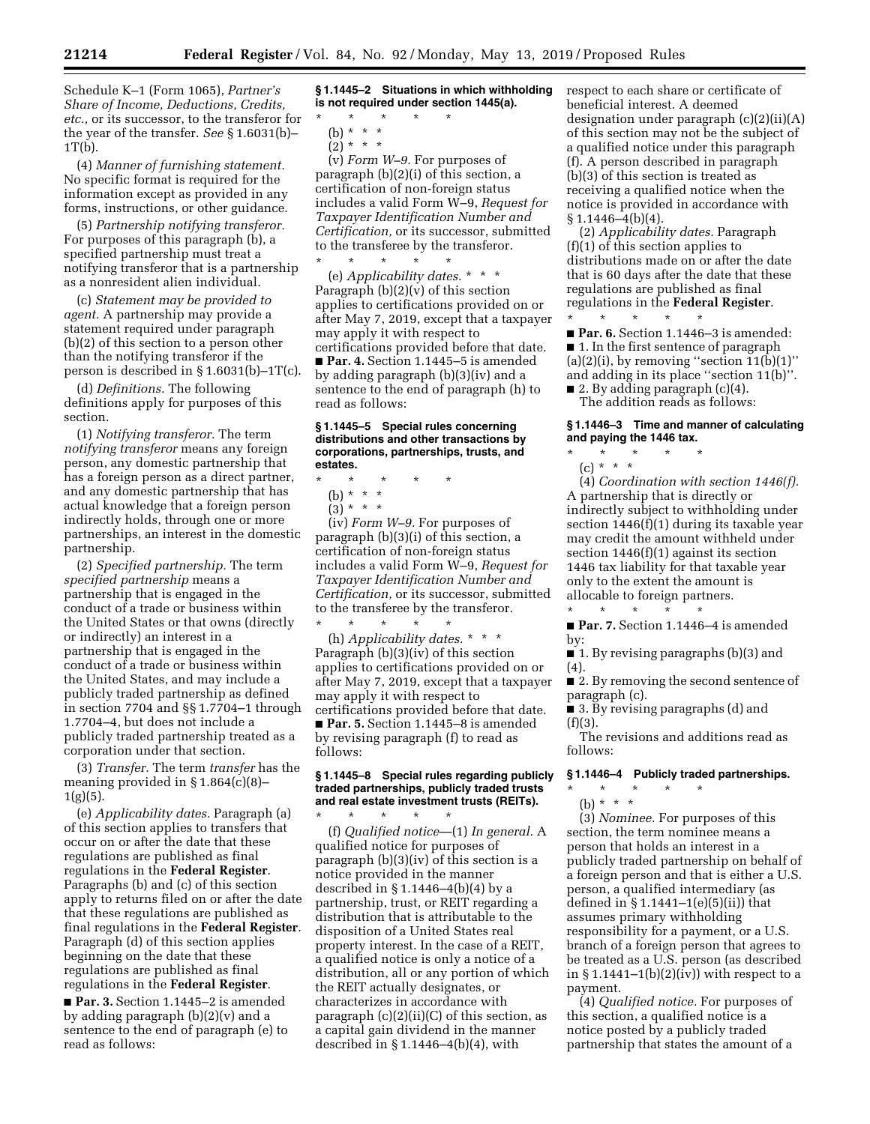Schedule K–1 (Form 1065), *Partner's Share of Income, Deductions, Credits, etc.,* or its successor, to the transferor for the year of the transfer. *See* § 1.6031(b)–  $1T(b)$ .

(4) *Manner of furnishing statement.*  No specific format is required for the information except as provided in any forms, instructions, or other guidance.

(5) *Partnership notifying transferor.*  For purposes of this paragraph (b), a specified partnership must treat a notifying transferor that is a partnership as a nonresident alien individual.

(c) *Statement may be provided to agent.* A partnership may provide a statement required under paragraph (b)(2) of this section to a person other than the notifying transferor if the person is described in § 1.6031(b)–1T(c).

(d) *Definitions.* The following definitions apply for purposes of this section.

(1) *Notifying transferor.* The term *notifying transferor* means any foreign person, any domestic partnership that has a foreign person as a direct partner, and any domestic partnership that has actual knowledge that a foreign person indirectly holds, through one or more partnerships, an interest in the domestic partnership.

(2) *Specified partnership.* The term *specified partnership* means a partnership that is engaged in the conduct of a trade or business within the United States or that owns (directly or indirectly) an interest in a partnership that is engaged in the conduct of a trade or business within the United States, and may include a publicly traded partnership as defined in section 7704 and §§ 1.7704–1 through 1.7704–4, but does not include a publicly traded partnership treated as a corporation under that section.

(3) *Transfer.* The term *transfer* has the meaning provided in § 1.864(c)(8)–  $1(g)(5)$ .

(e) *Applicability dates.* Paragraph (a) of this section applies to transfers that occur on or after the date that these regulations are published as final regulations in the **Federal Register**. Paragraphs (b) and (c) of this section apply to returns filed on or after the date that these regulations are published as final regulations in the **Federal Register**. Paragraph (d) of this section applies beginning on the date that these regulations are published as final regulations in the **Federal Register**.

■ **Par. 3.** Section 1.1445–2 is amended by adding paragraph (b)(2)(v) and a sentence to the end of paragraph (e) to read as follows:

**§ 1.1445–2 Situations in which withholding is not required under section 1445(a).** 

- \* \* \* \* \*
	- (b) \* \* \*  $(2) * * * *$

(v) *Form W–9.* For purposes of paragraph (b)(2)(i) of this section, a certification of non-foreign status includes a valid Form W–9, *Request for Taxpayer Identification Number and Certification,* or its successor, submitted to the transferee by the transferor.  $\star$   $\qquad$   $\star$   $\qquad$   $\star$   $\qquad$   $\star$ 

(e) *Applicability dates.* \* \* \* Paragraph (b)(2)(v) of this section applies to certifications provided on or after May 7, 2019, except that a taxpayer may apply it with respect to certifications provided before that date. ■ **Par. 4.** Section 1.1445–5 is amended by adding paragraph (b)(3)(iv) and a sentence to the end of paragraph (h) to read as follows:

### **§ 1.1445–5 Special rules concerning distributions and other transactions by corporations, partnerships, trusts, and estates.**

- \* \* \* \* \*
	- (b) \* \* \*
	- $(3) * * * *$

(iv) *Form W–9.* For purposes of paragraph (b)(3)(i) of this section, a certification of non-foreign status includes a valid Form W–9, *Request for Taxpayer Identification Number and Certification,* or its successor, submitted to the transferee by the transferor.

\* \* \* \* \* (h) *Applicability dates.* \* \* \* Paragraph (b)(3)(iv) of this section applies to certifications provided on or after May 7, 2019, except that a taxpayer may apply it with respect to certifications provided before that date. ■ **Par. 5.** Section 1.1445–8 is amended by revising paragraph (f) to read as follows:

### **§ 1.1445–8 Special rules regarding publicly traded partnerships, publicly traded trusts and real estate investment trusts (REITs).**

\* \* \* \* \* (f) *Qualified notice*—(1) *In general.* A qualified notice for purposes of paragraph (b)(3)(iv) of this section is a notice provided in the manner described in § 1.1446–4(b)(4) by a partnership, trust, or REIT regarding a distribution that is attributable to the disposition of a United States real property interest. In the case of a REIT, a qualified notice is only a notice of a distribution, all or any portion of which the REIT actually designates, or characterizes in accordance with paragraph (c)(2)(ii)(C) of this section, as a capital gain dividend in the manner described in  $\S 1.1446 - 4(b)(4)$ , with

respect to each share or certificate of beneficial interest. A deemed designation under paragraph (c)(2)(ii)(A) of this section may not be the subject of a qualified notice under this paragraph (f). A person described in paragraph (b)(3) of this section is treated as receiving a qualified notice when the notice is provided in accordance with § 1.1446–4(b)(4).

(2) *Applicability dates.* Paragraph (f)(1) of this section applies to distributions made on or after the date that is 60 days after the date that these regulations are published as final regulations in the **Federal Register**.

\* \* \* \* \* ■ **Par. 6.** Section 1.1446–3 is amended: ■ 1. In the first sentence of paragraph  $(a)(2)(i)$ , by removing "section  $11(b)(1)$ " and adding in its place ''section 11(b)''.  $\blacksquare$  2. By adding paragraph (c)(4).

The addition reads as follows:

# **§ 1.1446–3 Time and manner of calculating and paying the 1446 tax.**

\* \* \* \* \* (c) \* \* \*

(4) *Coordination with section 1446(f).*  A partnership that is directly or indirectly subject to withholding under section 1446(f)(1) during its taxable year may credit the amount withheld under section 1446(f)(1) against its section 1446 tax liability for that taxable year only to the extent the amount is allocable to foreign partners. \* \* \* \* \*

■ **Par. 7.** Section 1.1446–4 is amended by:

■ 1. By revising paragraphs (b)(3) and (4).

■ 2. By removing the second sentence of paragraph (c).

■ 3. By revising paragraphs (d) and (f)(3).

The revisions and additions read as follows:

## **§ 1.1446–4 Publicly traded partnerships.**

\* \* \* \* \* (b) \* \* \*

(3) *Nominee.* For purposes of this section, the term nominee means a person that holds an interest in a publicly traded partnership on behalf of a foreign person and that is either a U.S. person, a qualified intermediary (as defined in § 1.1441–1(e)(5)(ii)) that assumes primary withholding responsibility for a payment, or a U.S. branch of a foreign person that agrees to be treated as a U.S. person (as described in  $\S 1.1441-1(b)(2)(iv)$  with respect to a payment.

(4) *Qualified notice.* For purposes of this section, a qualified notice is a notice posted by a publicly traded partnership that states the amount of a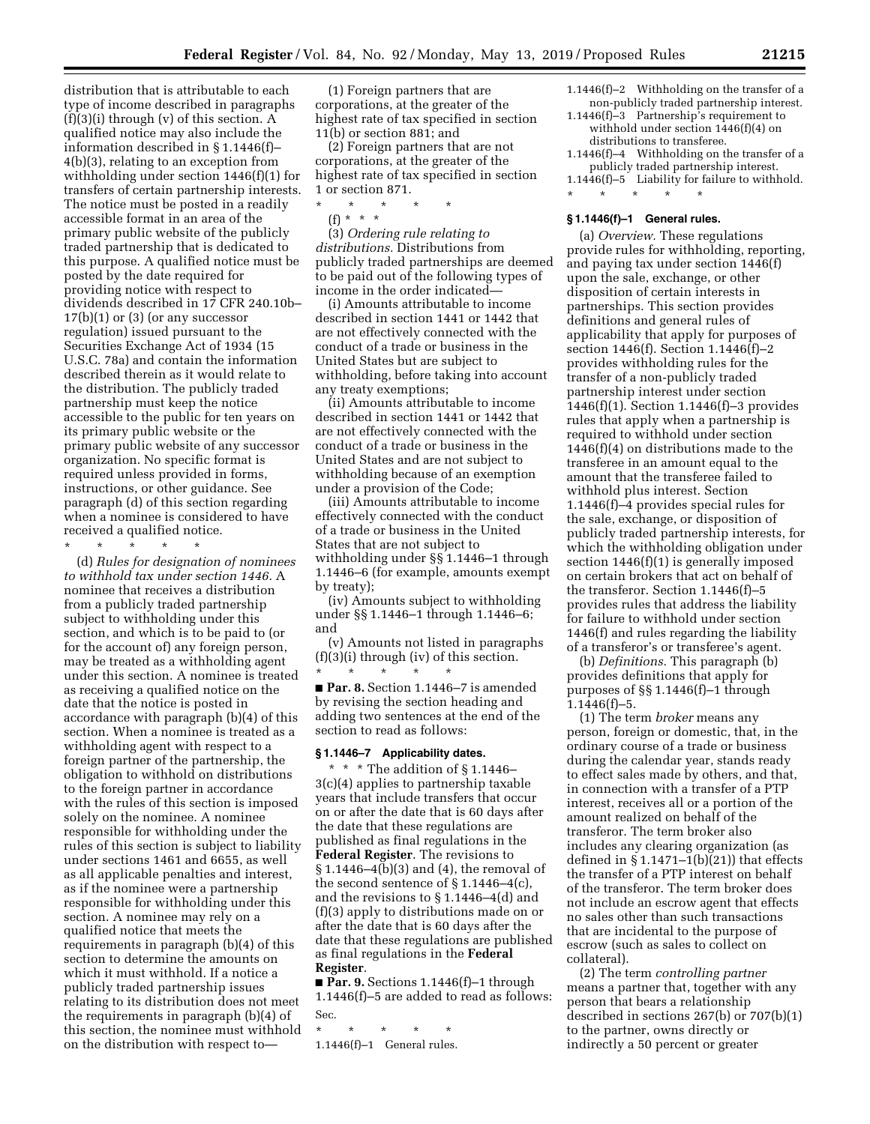distribution that is attributable to each type of income described in paragraphs  $(f)(3)(i)$  through  $(v)$  of this section. A qualified notice may also include the information described in § 1.1446(f)– 4(b)(3), relating to an exception from withholding under section 1446(f)(1) for transfers of certain partnership interests. The notice must be posted in a readily accessible format in an area of the primary public website of the publicly traded partnership that is dedicated to this purpose. A qualified notice must be posted by the date required for providing notice with respect to dividends described in 17 CFR 240.10b–  $17(b)(1)$  or  $(3)$  (or any successor regulation) issued pursuant to the Securities Exchange Act of 1934 (15 U.S.C. 78a) and contain the information described therein as it would relate to the distribution. The publicly traded partnership must keep the notice accessible to the public for ten years on its primary public website or the primary public website of any successor organization. No specific format is required unless provided in forms, instructions, or other guidance. See paragraph (d) of this section regarding when a nominee is considered to have received a qualified notice.

\* \* \* \* \*

(d) *Rules for designation of nominees to withhold tax under section 1446.* A nominee that receives a distribution from a publicly traded partnership subject to withholding under this section, and which is to be paid to (or for the account of) any foreign person, may be treated as a withholding agent under this section. A nominee is treated as receiving a qualified notice on the date that the notice is posted in accordance with paragraph (b)(4) of this section. When a nominee is treated as a withholding agent with respect to a foreign partner of the partnership, the obligation to withhold on distributions to the foreign partner in accordance with the rules of this section is imposed solely on the nominee. A nominee responsible for withholding under the rules of this section is subject to liability under sections 1461 and 6655, as well as all applicable penalties and interest, as if the nominee were a partnership responsible for withholding under this section. A nominee may rely on a qualified notice that meets the requirements in paragraph (b)(4) of this section to determine the amounts on which it must withhold. If a notice a publicly traded partnership issues relating to its distribution does not meet the requirements in paragraph (b)(4) of this section, the nominee must withhold on the distribution with respect to—

(1) Foreign partners that are corporations, at the greater of the highest rate of tax specified in section 11(b) or section 881; and

(2) Foreign partners that are not corporations, at the greater of the highest rate of tax specified in section 1 or section 871.

- \* \* \* \* \*
	- (f) \* \* \*

(3) *Ordering rule relating to distributions.* Distributions from publicly traded partnerships are deemed to be paid out of the following types of income in the order indicated—

(i) Amounts attributable to income described in section 1441 or 1442 that are not effectively connected with the conduct of a trade or business in the United States but are subject to withholding, before taking into account any treaty exemptions;

(ii) Amounts attributable to income described in section 1441 or 1442 that are not effectively connected with the conduct of a trade or business in the United States and are not subject to withholding because of an exemption under a provision of the Code;

(iii) Amounts attributable to income effectively connected with the conduct of a trade or business in the United States that are not subject to withholding under §§ 1.1446–1 through 1.1446–6 (for example, amounts exempt by treaty);

(iv) Amounts subject to withholding under §§ 1.1446–1 through 1.1446–6; and

(v) Amounts not listed in paragraphs (f)(3)(i) through (iv) of this section. \* \* \* \* \*

■ **Par. 8.** Section 1.1446–7 is amended by revising the section heading and adding two sentences at the end of the section to read as follows:

### **§ 1.1446–7 Applicability dates.**

\* \* \* The addition of § 1.1446– 3(c)(4) applies to partnership taxable years that include transfers that occur on or after the date that is 60 days after the date that these regulations are published as final regulations in the **Federal Register**. The revisions to § 1.1446–4(b)(3) and (4), the removal of the second sentence of § 1.1446–4(c), and the revisions to § 1.1446–4(d) and (f)(3) apply to distributions made on or after the date that is 60 days after the date that these regulations are published as final regulations in the **Federal Register**.

■ **Par. 9.** Sections 1.1446(f)–1 through 1.1446(f)–5 are added to read as follows: Sec.

- \* \* \* \* \*
- 1.1446(f)–1 General rules.
- 1.1446(f)–2 Withholding on the transfer of a non-publicly traded partnership interest.
- 1.1446(f)–3 Partnership's requirement to withhold under section 1446(f)(4) on distributions to transferee.
- 1.1446(f)–4 Withholding on the transfer of a publicly traded partnership interest.
- 1.1446(f)–5 Liability for failure to withhold.
- \* \* \* \* \* **§ 1.1446(f)–1 General rules.**

(a) *Overview.* These regulations provide rules for withholding, reporting, and paying tax under section 1446(f) upon the sale, exchange, or other disposition of certain interests in partnerships. This section provides definitions and general rules of applicability that apply for purposes of section 1446(f). Section 1.1446(f)–2 provides withholding rules for the transfer of a non-publicly traded partnership interest under section 1446(f)(1). Section 1.1446(f)–3 provides rules that apply when a partnership is required to withhold under section 1446(f)(4) on distributions made to the transferee in an amount equal to the amount that the transferee failed to withhold plus interest. Section 1.1446(f)–4 provides special rules for the sale, exchange, or disposition of publicly traded partnership interests, for which the withholding obligation under section 1446(f)(1) is generally imposed on certain brokers that act on behalf of the transferor. Section 1.1446(f)–5 provides rules that address the liability for failure to withhold under section 1446(f) and rules regarding the liability of a transferor's or transferee's agent.

(b) *Definitions.* This paragraph (b) provides definitions that apply for purposes of §§ 1.1446(f)–1 through  $1.1446(f)-5.$ 

(1) The term *broker* means any person, foreign or domestic, that, in the ordinary course of a trade or business during the calendar year, stands ready to effect sales made by others, and that, in connection with a transfer of a PTP interest, receives all or a portion of the amount realized on behalf of the transferor. The term broker also includes any clearing organization (as defined in  $\S 1.1471-1(b)(21)$  that effects the transfer of a PTP interest on behalf of the transferor. The term broker does not include an escrow agent that effects no sales other than such transactions that are incidental to the purpose of escrow (such as sales to collect on collateral).

(2) The term *controlling partner*  means a partner that, together with any person that bears a relationship described in sections 267(b) or 707(b)(1) to the partner, owns directly or indirectly a 50 percent or greater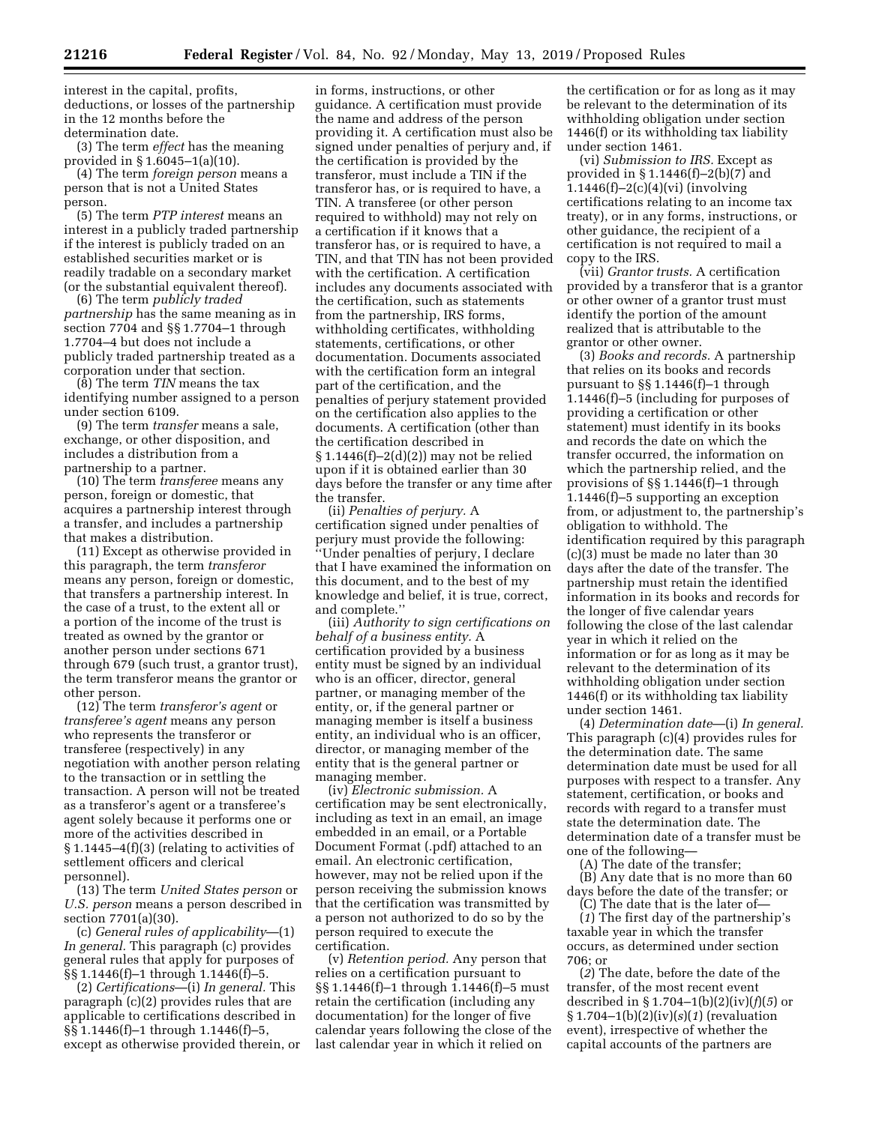interest in the capital, profits, deductions, or losses of the partnership in the 12 months before the determination date.

(3) The term *effect* has the meaning provided in § 1.6045–1(a)(10).

(4) The term *foreign person* means a person that is not a United States person.

(5) The term *PTP interest* means an interest in a publicly traded partnership if the interest is publicly traded on an established securities market or is readily tradable on a secondary market (or the substantial equivalent thereof).

(6) The term *publicly traded partnership* has the same meaning as in section 7704 and §§ 1.7704–1 through 1.7704–4 but does not include a publicly traded partnership treated as a corporation under that section.

(8) The term *TIN* means the tax identifying number assigned to a person under section 6109.

(9) The term *transfer* means a sale, exchange, or other disposition, and includes a distribution from a partnership to a partner.

(10) The term *transferee* means any person, foreign or domestic, that acquires a partnership interest through a transfer, and includes a partnership that makes a distribution.

(11) Except as otherwise provided in this paragraph, the term *transferor*  means any person, foreign or domestic, that transfers a partnership interest. In the case of a trust, to the extent all or a portion of the income of the trust is treated as owned by the grantor or another person under sections 671 through 679 (such trust, a grantor trust), the term transferor means the grantor or other person.

(12) The term *transferor's agent* or *transferee's agent* means any person who represents the transferor or transferee (respectively) in any negotiation with another person relating to the transaction or in settling the transaction. A person will not be treated as a transferor's agent or a transferee's agent solely because it performs one or more of the activities described in § 1.1445–4(f)(3) (relating to activities of settlement officers and clerical personnel).

(13) The term *United States person* or *U.S. person* means a person described in section 7701(a)(30).

(c) *General rules of applicability*—(1) *In general.* This paragraph (c) provides general rules that apply for purposes of §§ 1.1446(f)–1 through 1.1446(f)–5.

(2) *Certifications*—(i) *In general.* This paragraph (c)(2) provides rules that are applicable to certifications described in §§ 1.1446(f)–1 through 1.1446(f)–5, except as otherwise provided therein, or

in forms, instructions, or other guidance. A certification must provide the name and address of the person providing it. A certification must also be signed under penalties of perjury and, if the certification is provided by the transferor, must include a TIN if the transferor has, or is required to have, a TIN. A transferee (or other person required to withhold) may not rely on a certification if it knows that a transferor has, or is required to have, a TIN, and that TIN has not been provided with the certification. A certification includes any documents associated with the certification, such as statements from the partnership, IRS forms, withholding certificates, withholding statements, certifications, or other documentation. Documents associated with the certification form an integral part of the certification, and the penalties of perjury statement provided on the certification also applies to the documents. A certification (other than the certification described in § 1.1446(f)–2(d)(2)) may not be relied upon if it is obtained earlier than 30 days before the transfer or any time after the transfer.

(ii) *Penalties of perjury.* A certification signed under penalties of perjury must provide the following: ''Under penalties of perjury, I declare that I have examined the information on this document, and to the best of my knowledge and belief, it is true, correct, and complete.''

(iii) *Authority to sign certifications on behalf of a business entity.* A certification provided by a business entity must be signed by an individual who is an officer, director, general partner, or managing member of the entity, or, if the general partner or managing member is itself a business entity, an individual who is an officer, director, or managing member of the entity that is the general partner or managing member.

(iv) *Electronic submission.* A certification may be sent electronically, including as text in an email, an image embedded in an email, or a Portable Document Format (.pdf) attached to an email. An electronic certification, however, may not be relied upon if the person receiving the submission knows that the certification was transmitted by a person not authorized to do so by the person required to execute the certification.

(v) *Retention period.* Any person that relies on a certification pursuant to §§ 1.1446(f)–1 through 1.1446(f)–5 must retain the certification (including any documentation) for the longer of five calendar years following the close of the last calendar year in which it relied on

the certification or for as long as it may be relevant to the determination of its withholding obligation under section 1446(f) or its withholding tax liability under section 1461.

(vi) *Submission to IRS.* Except as provided in  $\S 1.1446(f)-2(b)(7)$  and 1.1446(f)–2(c)(4)(vi) (involving certifications relating to an income tax treaty), or in any forms, instructions, or other guidance, the recipient of a certification is not required to mail a copy to the IRS.

(vii) *Grantor trusts.* A certification provided by a transferor that is a grantor or other owner of a grantor trust must identify the portion of the amount realized that is attributable to the grantor or other owner.

(3) *Books and records.* A partnership that relies on its books and records pursuant to §§ 1.1446(f)–1 through 1.1446(f)–5 (including for purposes of providing a certification or other statement) must identify in its books and records the date on which the transfer occurred, the information on which the partnership relied, and the provisions of §§ 1.1446(f)–1 through 1.1446(f)–5 supporting an exception from, or adjustment to, the partnership's obligation to withhold. The identification required by this paragraph (c)(3) must be made no later than 30 days after the date of the transfer. The partnership must retain the identified information in its books and records for the longer of five calendar years following the close of the last calendar year in which it relied on the information or for as long as it may be relevant to the determination of its withholding obligation under section 1446(f) or its withholding tax liability under section 1461.

(4) *Determination date*—(i) *In general.*  This paragraph (c)(4) provides rules for the determination date. The same determination date must be used for all purposes with respect to a transfer. Any statement, certification, or books and records with regard to a transfer must state the determination date. The determination date of a transfer must be one of the following—

(A) The date of the transfer;

(B) Any date that is no more than 60 days before the date of the transfer; or (C) The date that is the later of—

(*1*) The first day of the partnership's taxable year in which the transfer occurs, as determined under section 706; or

(*2*) The date, before the date of the transfer, of the most recent event described in § 1.704–1(b)(2)(iv)(*f*)(*5*) or § 1.704–1(b)(2)(iv)(*s*)(*1*) (revaluation event), irrespective of whether the capital accounts of the partners are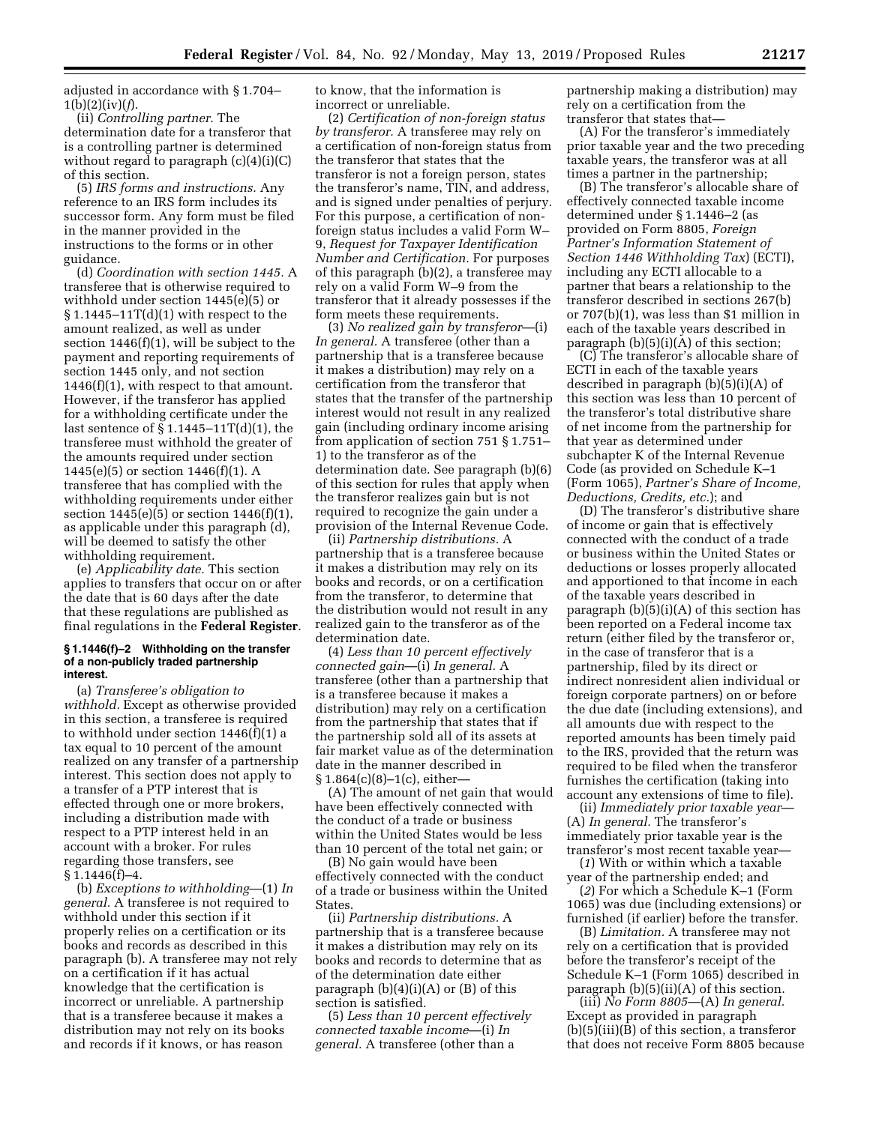adjusted in accordance with § 1.704– 1(b)(2)(iv)(*f*).

(ii) *Controlling partner.* The determination date for a transferor that is a controlling partner is determined without regard to paragraph  $(c)(4)(i)(C)$ of this section.

(5) *IRS forms and instructions.* Any reference to an IRS form includes its successor form. Any form must be filed in the manner provided in the instructions to the forms or in other guidance.

(d) *Coordination with section 1445.* A transferee that is otherwise required to withhold under section 1445(e)(5) or  $$1.1445-11T(d)(1)$  with respect to the amount realized, as well as under section 1446(f)(1), will be subject to the payment and reporting requirements of section 1445 only, and not section 1446(f)(1), with respect to that amount. However, if the transferor has applied for a withholding certificate under the last sentence of § 1.1445–11T(d)(1), the transferee must withhold the greater of the amounts required under section 1445(e)(5) or section 1446(f)(1). A transferee that has complied with the withholding requirements under either section 1445(e)(5) or section 1446(f)(1), as applicable under this paragraph (d), will be deemed to satisfy the other withholding requirement.

(e) *Applicability date.* This section applies to transfers that occur on or after the date that is 60 days after the date that these regulations are published as final regulations in the **Federal Register**.

### **§ 1.1446(f)–2 Withholding on the transfer of a non-publicly traded partnership interest.**

(a) *Transferee's obligation to withhold.* Except as otherwise provided in this section, a transferee is required to withhold under section 1446(f)(1) a tax equal to 10 percent of the amount realized on any transfer of a partnership interest. This section does not apply to a transfer of a PTP interest that is effected through one or more brokers, including a distribution made with respect to a PTP interest held in an account with a broker. For rules regarding those transfers, see  $§ 1.1446(f)-4.$ 

(b) *Exceptions to withholding*—(1) *In general.* A transferee is not required to withhold under this section if it properly relies on a certification or its books and records as described in this paragraph (b). A transferee may not rely on a certification if it has actual knowledge that the certification is incorrect or unreliable. A partnership that is a transferee because it makes a distribution may not rely on its books and records if it knows, or has reason

to know, that the information is incorrect or unreliable.

(2) *Certification of non-foreign status by transferor.* A transferee may rely on a certification of non-foreign status from the transferor that states that the transferor is not a foreign person, states the transferor's name, TIN, and address, and is signed under penalties of perjury. For this purpose, a certification of nonforeign status includes a valid Form W– 9, *Request for Taxpayer Identification Number and Certification.* For purposes of this paragraph (b)(2), a transferee may rely on a valid Form W–9 from the transferor that it already possesses if the form meets these requirements.

(3) *No realized gain by transferor*—(i) *In general.* A transferee (other than a partnership that is a transferee because it makes a distribution) may rely on a certification from the transferor that states that the transfer of the partnership interest would not result in any realized gain (including ordinary income arising from application of section 751 § 1.751– 1) to the transferor as of the determination date. See paragraph (b)(6) of this section for rules that apply when the transferor realizes gain but is not required to recognize the gain under a provision of the Internal Revenue Code.

(ii) *Partnership distributions.* A partnership that is a transferee because it makes a distribution may rely on its books and records, or on a certification from the transferor, to determine that the distribution would not result in any realized gain to the transferor as of the determination date.

(4) *Less than 10 percent effectively connected gain*—(i) *In general.* A transferee (other than a partnership that is a transferee because it makes a distribution) may rely on a certification from the partnership that states that if the partnership sold all of its assets at fair market value as of the determination date in the manner described in § 1.864(c)(8)–1(c), either—

(A) The amount of net gain that would have been effectively connected with the conduct of a trade or business within the United States would be less than 10 percent of the total net gain; or

(B) No gain would have been effectively connected with the conduct of a trade or business within the United **States** 

(ii) *Partnership distributions.* A partnership that is a transferee because it makes a distribution may rely on its books and records to determine that as of the determination date either paragraph  $(b)(4)(i)(A)$  or  $(B)$  of this section is satisfied.

(5) *Less than 10 percent effectively connected taxable income*—(i) *In general.* A transferee (other than a

partnership making a distribution) may rely on a certification from the transferor that states that—

(A) For the transferor's immediately prior taxable year and the two preceding taxable years, the transferor was at all times a partner in the partnership;

(B) The transferor's allocable share of effectively connected taxable income determined under § 1.1446–2 (as provided on Form 8805, *Foreign Partner's Information Statement of Section 1446 Withholding Tax*) (ECTI), including any ECTI allocable to a partner that bears a relationship to the transferor described in sections 267(b) or 707(b)(1), was less than \$1 million in each of the taxable years described in paragraph  $(b)(5)(i)(A)$  of this section;

(C) The transferor's allocable share of ECTI in each of the taxable years described in paragraph (b)(5)(i)(A) of this section was less than 10 percent of the transferor's total distributive share of net income from the partnership for that year as determined under subchapter K of the Internal Revenue Code (as provided on Schedule K–1 (Form 1065), *Partner's Share of Income, Deductions, Credits, etc.*); and

(D) The transferor's distributive share of income or gain that is effectively connected with the conduct of a trade or business within the United States or deductions or losses properly allocated and apportioned to that income in each of the taxable years described in paragraph  $(b)(5)(i)(A)$  of this section has been reported on a Federal income tax return (either filed by the transferor or, in the case of transferor that is a partnership, filed by its direct or indirect nonresident alien individual or foreign corporate partners) on or before the due date (including extensions), and all amounts due with respect to the reported amounts has been timely paid to the IRS, provided that the return was required to be filed when the transferor furnishes the certification (taking into account any extensions of time to file).

(ii) *Immediately prior taxable year*— (A) *In general.* The transferor's immediately prior taxable year is the transferor's most recent taxable year—

(*1*) With or within which a taxable year of the partnership ended; and

(*2*) For which a Schedule K–1 (Form 1065) was due (including extensions) or furnished (if earlier) before the transfer.

(B) *Limitation.* A transferee may not rely on a certification that is provided before the transferor's receipt of the Schedule K–1 (Form 1065) described in paragraph (b)(5)(ii)(A) of this section.

(iii) *No Form 8805*—(A) *In general.*  Except as provided in paragraph (b)(5)(iii)(B) of this section, a transferor that does not receive Form 8805 because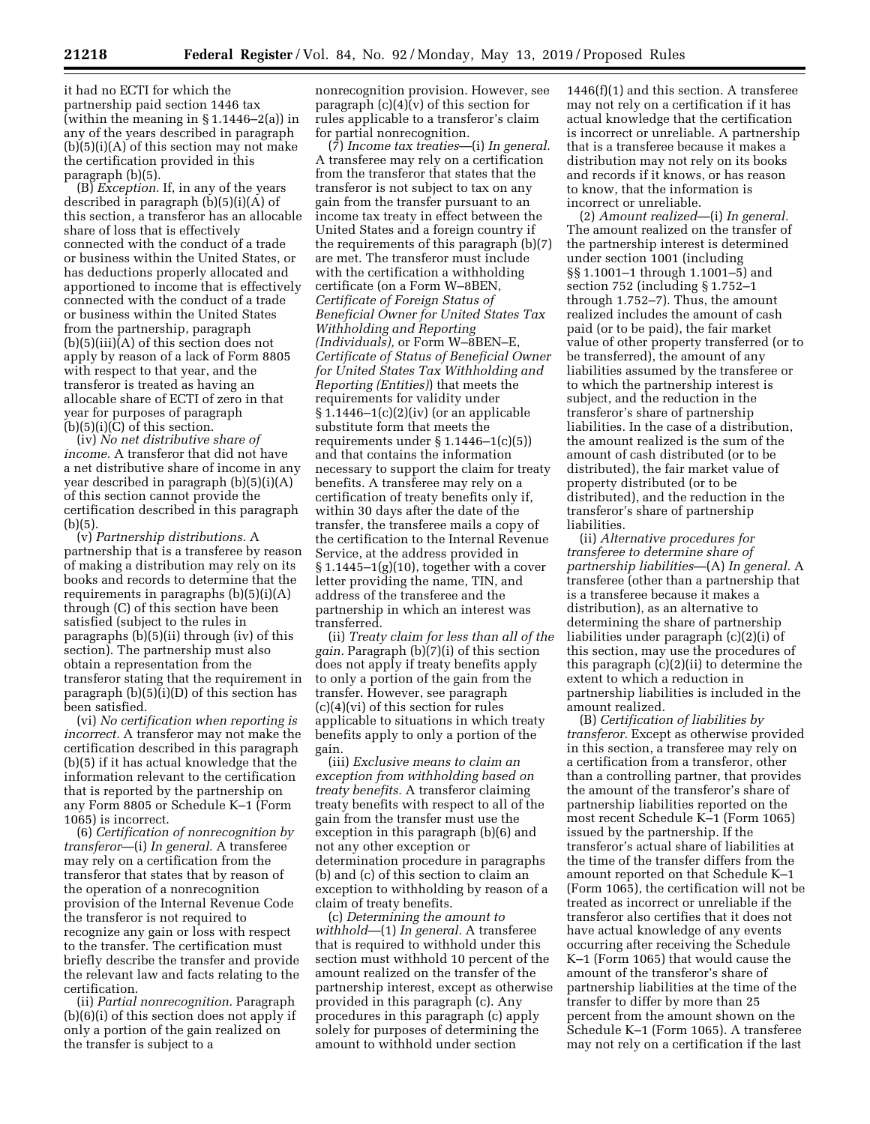it had no ECTI for which the partnership paid section 1446 tax (within the meaning in § 1.1446–2(a)) in any of the years described in paragraph  $(b)(5)(i)(A)$  of this section may not make the certification provided in this paragraph (b)(5).

(B) *Exception.* If, in any of the years described in paragraph (b)(5)(i)(A) of this section, a transferor has an allocable share of loss that is effectively connected with the conduct of a trade or business within the United States, or has deductions properly allocated and apportioned to income that is effectively connected with the conduct of a trade or business within the United States from the partnership, paragraph (b)(5)(iii)(A) of this section does not apply by reason of a lack of Form 8805 with respect to that year, and the transferor is treated as having an allocable share of ECTI of zero in that year for purposes of paragraph  $(b)(5)(i)(C)$  of this section.

(iv) *No net distributive share of income.* A transferor that did not have a net distributive share of income in any year described in paragraph (b)(5)(i)(A) of this section cannot provide the certification described in this paragraph  $(b)(5)$ .

(v) *Partnership distributions.* A partnership that is a transferee by reason of making a distribution may rely on its books and records to determine that the requirements in paragraphs (b)(5)(i)(A) through (C) of this section have been satisfied (subject to the rules in paragraphs (b)(5)(ii) through (iv) of this section). The partnership must also obtain a representation from the transferor stating that the requirement in paragraph (b)(5)(i)(D) of this section has been satisfied.

(vi) *No certification when reporting is incorrect.* A transferor may not make the certification described in this paragraph (b)(5) if it has actual knowledge that the information relevant to the certification that is reported by the partnership on any Form 8805 or Schedule K–1 (Form 1065) is incorrect.

(6) *Certification of nonrecognition by transferor*—(i) *In general.* A transferee may rely on a certification from the transferor that states that by reason of the operation of a nonrecognition provision of the Internal Revenue Code the transferor is not required to recognize any gain or loss with respect to the transfer. The certification must briefly describe the transfer and provide the relevant law and facts relating to the certification.

(ii) *Partial nonrecognition.* Paragraph (b)(6)(i) of this section does not apply if only a portion of the gain realized on the transfer is subject to a

nonrecognition provision. However, see paragraph  $(c)(4)(v)$  of this section for rules applicable to a transferor's claim for partial nonrecognition.

(7) *Income tax treaties*—(i) *In general.*  A transferee may rely on a certification from the transferor that states that the transferor is not subject to tax on any gain from the transfer pursuant to an income tax treaty in effect between the United States and a foreign country if the requirements of this paragraph (b)(7) are met. The transferor must include with the certification a withholding certificate (on a Form W–8BEN, *Certificate of Foreign Status of Beneficial Owner for United States Tax Withholding and Reporting (Individuals),* or Form W–8BEN–E, *Certificate of Status of Beneficial Owner for United States Tax Withholding and Reporting (Entities)*) that meets the requirements for validity under  $§ 1.1446-1(c)(2)(iv)$  (or an applicable substitute form that meets the requirements under  $\S 1.1446 - 1(c)(5)$ and that contains the information necessary to support the claim for treaty benefits. A transferee may rely on a certification of treaty benefits only if, within 30 days after the date of the transfer, the transferee mails a copy of the certification to the Internal Revenue Service, at the address provided in  $§ 1.1445-1(g)(10)$ , together with a cover letter providing the name, TIN, and address of the transferee and the partnership in which an interest was transferred.

(ii) *Treaty claim for less than all of the gain.* Paragraph (b)(7)(i) of this section does not apply if treaty benefits apply to only a portion of the gain from the transfer. However, see paragraph (c)(4)(vi) of this section for rules applicable to situations in which treaty benefits apply to only a portion of the gain.

(iii) *Exclusive means to claim an exception from withholding based on treaty benefits.* A transferor claiming treaty benefits with respect to all of the gain from the transfer must use the exception in this paragraph (b)(6) and not any other exception or determination procedure in paragraphs (b) and (c) of this section to claim an exception to withholding by reason of a claim of treaty benefits.

(c) *Determining the amount to withhold*—(1) *In general.* A transferee that is required to withhold under this section must withhold 10 percent of the amount realized on the transfer of the partnership interest, except as otherwise provided in this paragraph (c). Any procedures in this paragraph (c) apply solely for purposes of determining the amount to withhold under section

1446(f)(1) and this section. A transferee may not rely on a certification if it has actual knowledge that the certification is incorrect or unreliable. A partnership that is a transferee because it makes a distribution may not rely on its books and records if it knows, or has reason to know, that the information is incorrect or unreliable.

(2) *Amount realized*—(i) *In general.*  The amount realized on the transfer of the partnership interest is determined under section 1001 (including §§ 1.1001–1 through 1.1001–5) and section 752 (including § 1.752–1 through 1.752–7). Thus, the amount realized includes the amount of cash paid (or to be paid), the fair market value of other property transferred (or to be transferred), the amount of any liabilities assumed by the transferee or to which the partnership interest is subject, and the reduction in the transferor's share of partnership liabilities. In the case of a distribution, the amount realized is the sum of the amount of cash distributed (or to be distributed), the fair market value of property distributed (or to be distributed), and the reduction in the transferor's share of partnership liabilities.

(ii) *Alternative procedures for transferee to determine share of partnership liabilities*—(A) *In general.* A transferee (other than a partnership that is a transferee because it makes a distribution), as an alternative to determining the share of partnership liabilities under paragraph (c)(2)(i) of this section, may use the procedures of this paragraph (c)(2)(ii) to determine the extent to which a reduction in partnership liabilities is included in the amount realized.

(B) *Certification of liabilities by transferor.* Except as otherwise provided in this section, a transferee may rely on a certification from a transferor, other than a controlling partner, that provides the amount of the transferor's share of partnership liabilities reported on the most recent Schedule K–1 (Form 1065) issued by the partnership. If the transferor's actual share of liabilities at the time of the transfer differs from the amount reported on that Schedule K–1 (Form 1065), the certification will not be treated as incorrect or unreliable if the transferor also certifies that it does not have actual knowledge of any events occurring after receiving the Schedule K–1 (Form 1065) that would cause the amount of the transferor's share of partnership liabilities at the time of the transfer to differ by more than 25 percent from the amount shown on the Schedule K–1 (Form 1065). A transferee may not rely on a certification if the last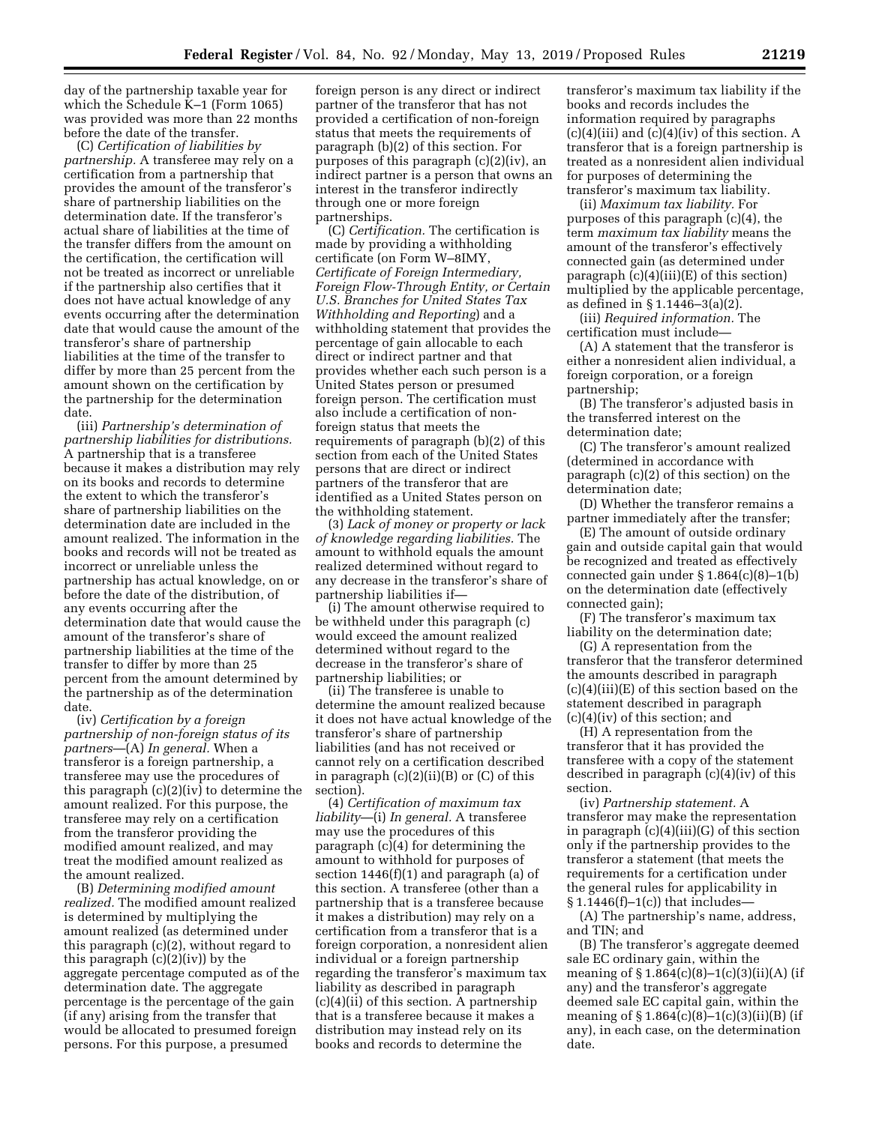day of the partnership taxable year for which the Schedule K–1 (Form 1065) was provided was more than 22 months before the date of the transfer.

(C) *Certification of liabilities by partnership.* A transferee may rely on a certification from a partnership that provides the amount of the transferor's share of partnership liabilities on the determination date. If the transferor's actual share of liabilities at the time of the transfer differs from the amount on the certification, the certification will not be treated as incorrect or unreliable if the partnership also certifies that it does not have actual knowledge of any events occurring after the determination date that would cause the amount of the transferor's share of partnership liabilities at the time of the transfer to differ by more than 25 percent from the amount shown on the certification by the partnership for the determination date.

(iii) *Partnership's determination of partnership liabilities for distributions.*  A partnership that is a transferee because it makes a distribution may rely on its books and records to determine the extent to which the transferor's share of partnership liabilities on the determination date are included in the amount realized. The information in the books and records will not be treated as incorrect or unreliable unless the partnership has actual knowledge, on or before the date of the distribution, of any events occurring after the determination date that would cause the amount of the transferor's share of partnership liabilities at the time of the transfer to differ by more than 25 percent from the amount determined by the partnership as of the determination date.

(iv) *Certification by a foreign partnership of non-foreign status of its partners*—(A) *In general.* When a transferor is a foreign partnership, a transferee may use the procedures of this paragraph  $(c)(2)(iv)$  to determine the amount realized. For this purpose, the transferee may rely on a certification from the transferor providing the modified amount realized, and may treat the modified amount realized as the amount realized.

(B) *Determining modified amount realized.* The modified amount realized is determined by multiplying the amount realized (as determined under this paragraph (c)(2), without regard to this paragraph  $(c)(2)(iv)$  by the aggregate percentage computed as of the determination date. The aggregate percentage is the percentage of the gain (if any) arising from the transfer that would be allocated to presumed foreign persons. For this purpose, a presumed

foreign person is any direct or indirect partner of the transferor that has not provided a certification of non-foreign status that meets the requirements of paragraph (b)(2) of this section. For purposes of this paragraph (c)(2)(iv), an indirect partner is a person that owns an interest in the transferor indirectly through one or more foreign partnerships.

(C) *Certification.* The certification is made by providing a withholding certificate (on Form W–8IMY, *Certificate of Foreign Intermediary, Foreign Flow-Through Entity, or Certain U.S. Branches for United States Tax Withholding and Reporting*) and a withholding statement that provides the percentage of gain allocable to each direct or indirect partner and that provides whether each such person is a United States person or presumed foreign person. The certification must also include a certification of nonforeign status that meets the requirements of paragraph (b)(2) of this section from each of the United States persons that are direct or indirect partners of the transferor that are identified as a United States person on the withholding statement.

(3) *Lack of money or property or lack of knowledge regarding liabilities.* The amount to withhold equals the amount realized determined without regard to any decrease in the transferor's share of partnership liabilities if—

(i) The amount otherwise required to be withheld under this paragraph (c) would exceed the amount realized determined without regard to the decrease in the transferor's share of partnership liabilities; or

(ii) The transferee is unable to determine the amount realized because it does not have actual knowledge of the transferor's share of partnership liabilities (and has not received or cannot rely on a certification described in paragraph  $(c)(2)(ii)(B)$  or  $(C)$  of this section).

(4) *Certification of maximum tax liability*—(i) *In general.* A transferee may use the procedures of this paragraph (c)(4) for determining the amount to withhold for purposes of section 1446(f)(1) and paragraph (a) of this section. A transferee (other than a partnership that is a transferee because it makes a distribution) may rely on a certification from a transferor that is a foreign corporation, a nonresident alien individual or a foreign partnership regarding the transferor's maximum tax liability as described in paragraph (c)(4)(ii) of this section. A partnership that is a transferee because it makes a distribution may instead rely on its books and records to determine the

transferor's maximum tax liability if the books and records includes the information required by paragraphs  $(c)(4)(iii)$  and  $(c)(4)(iv)$  of this section. A transferor that is a foreign partnership is treated as a nonresident alien individual for purposes of determining the transferor's maximum tax liability.

(ii) *Maximum tax liability.* For purposes of this paragraph (c)(4), the term *maximum tax liability* means the amount of the transferor's effectively connected gain (as determined under paragraph (c)(4)(iii)(E) of this section) multiplied by the applicable percentage, as defined in § 1.1446–3(a)(2).

(iii) *Required information.* The certification must include—

(A) A statement that the transferor is either a nonresident alien individual, a foreign corporation, or a foreign partnership;

(B) The transferor's adjusted basis in the transferred interest on the determination date;

(C) The transferor's amount realized (determined in accordance with paragraph (c)(2) of this section) on the determination date;

(D) Whether the transferor remains a partner immediately after the transfer;

(E) The amount of outside ordinary gain and outside capital gain that would be recognized and treated as effectively connected gain under § 1.864(c)(8)–1(b) on the determination date (effectively connected gain);

(F) The transferor's maximum tax liability on the determination date;

(G) A representation from the transferor that the transferor determined the amounts described in paragraph  $(c)(4)(iii)(E)$  of this section based on the statement described in paragraph (c)(4)(iv) of this section; and

(H) A representation from the transferor that it has provided the transferee with a copy of the statement described in paragraph (c)(4)(iv) of this section.

(iv) *Partnership statement.* A transferor may make the representation in paragraph (c)(4)(iii)(G) of this section only if the partnership provides to the transferor a statement (that meets the requirements for a certification under the general rules for applicability in § 1.1446(f)–1(c)) that includes—

(A) The partnership's name, address, and TIN; and

(B) The transferor's aggregate deemed sale EC ordinary gain, within the meaning of  $§ 1.864(c)(8)-1(c)(3)(ii)(A)$  (if any) and the transferor's aggregate deemed sale EC capital gain, within the meaning of  $\S 1.864(c)(8)-1(c)(3)(ii)(B)$  (if any), in each case, on the determination date.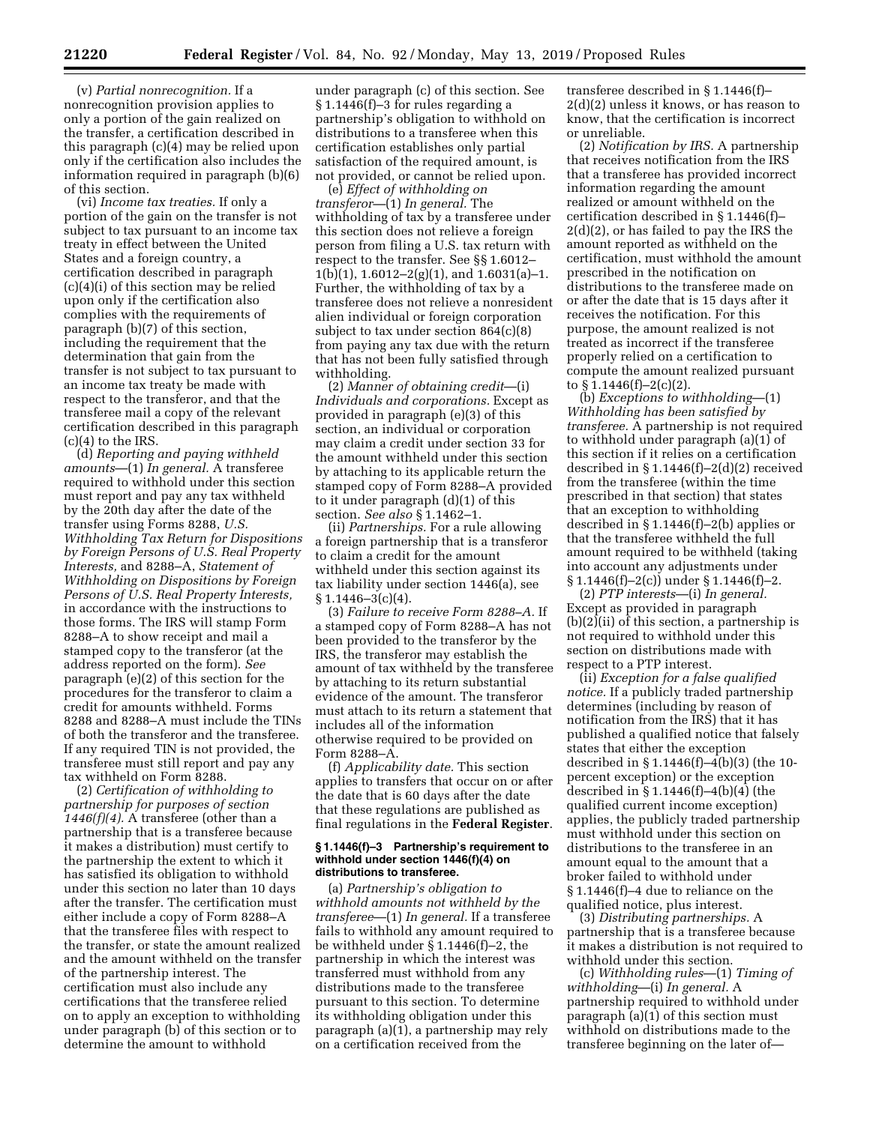(v) *Partial nonrecognition.* If a nonrecognition provision applies to only a portion of the gain realized on the transfer, a certification described in this paragraph (c)(4) may be relied upon only if the certification also includes the information required in paragraph (b)(6) of this section.

(vi) *Income tax treaties.* If only a portion of the gain on the transfer is not subject to tax pursuant to an income tax treaty in effect between the United States and a foreign country, a certification described in paragraph (c)(4)(i) of this section may be relied upon only if the certification also complies with the requirements of paragraph (b)(7) of this section, including the requirement that the determination that gain from the transfer is not subject to tax pursuant to an income tax treaty be made with respect to the transferor, and that the transferee mail a copy of the relevant certification described in this paragraph  $(c)(4)$  to the IRS.

(d) *Reporting and paying withheld amounts*—(1) *In general.* A transferee required to withhold under this section must report and pay any tax withheld by the 20th day after the date of the transfer using Forms 8288, *U.S. Withholding Tax Return for Dispositions by Foreign Persons of U.S. Real Property Interests,* and 8288–A, *Statement of Withholding on Dispositions by Foreign Persons of U.S. Real Property Interests,*  in accordance with the instructions to those forms. The IRS will stamp Form 8288–A to show receipt and mail a stamped copy to the transferor (at the address reported on the form). *See*  paragraph (e)(2) of this section for the procedures for the transferor to claim a credit for amounts withheld. Forms 8288 and 8288–A must include the TINs of both the transferor and the transferee. If any required TIN is not provided, the transferee must still report and pay any tax withheld on Form 8288.

(2) *Certification of withholding to partnership for purposes of section 1446(f)(4).* A transferee (other than a partnership that is a transferee because it makes a distribution) must certify to the partnership the extent to which it has satisfied its obligation to withhold under this section no later than 10 days after the transfer. The certification must either include a copy of Form 8288–A that the transferee files with respect to the transfer, or state the amount realized and the amount withheld on the transfer of the partnership interest. The certification must also include any certifications that the transferee relied on to apply an exception to withholding under paragraph (b) of this section or to determine the amount to withhold

under paragraph (c) of this section. See § 1.1446(f)–3 for rules regarding a partnership's obligation to withhold on distributions to a transferee when this certification establishes only partial satisfaction of the required amount, is not provided, or cannot be relied upon.

(e) *Effect of withholding on transferor—*(1) *In general.* The withholding of tax by a transferee under this section does not relieve a foreign person from filing a U.S. tax return with respect to the transfer. See §§ 1.6012–  $1(b)(1), 1.6012-2(g)(1),$  and  $1.6031(a)-1$ . Further, the withholding of tax by a transferee does not relieve a nonresident alien individual or foreign corporation subject to tax under section 864(c)(8) from paying any tax due with the return that has not been fully satisfied through withholding.

(2) *Manner of obtaining credit*—(i) *Individuals and corporations.* Except as provided in paragraph (e)(3) of this section, an individual or corporation may claim a credit under section 33 for the amount withheld under this section by attaching to its applicable return the stamped copy of Form 8288–A provided to it under paragraph (d)(1) of this section. *See also* § 1.1462–1.

(ii) *Partnerships.* For a rule allowing a foreign partnership that is a transferor to claim a credit for the amount withheld under this section against its tax liability under section 1446(a), see  $§ 1.1446 - 3(c)(4).$ 

(3) *Failure to receive Form 8288–A.* If a stamped copy of Form 8288–A has not been provided to the transferor by the IRS, the transferor may establish the amount of tax withheld by the transferee by attaching to its return substantial evidence of the amount. The transferor must attach to its return a statement that includes all of the information otherwise required to be provided on Form 8288–A.

(f) *Applicability date.* This section applies to transfers that occur on or after the date that is 60 days after the date that these regulations are published as final regulations in the **Federal Register**.

### **§ 1.1446(f)–3 Partnership's requirement to withhold under section 1446(f)(4) on distributions to transferee.**

(a) *Partnership's obligation to withhold amounts not withheld by the transferee*—(1) *In general.* If a transferee fails to withhold any amount required to be withheld under § 1.1446(f)–2, the partnership in which the interest was transferred must withhold from any distributions made to the transferee pursuant to this section. To determine its withholding obligation under this paragraph (a)(1), a partnership may rely on a certification received from the

transferee described in § 1.1446(f)– 2(d)(2) unless it knows, or has reason to know, that the certification is incorrect or unreliable.

(2) *Notification by IRS.* A partnership that receives notification from the IRS that a transferee has provided incorrect information regarding the amount realized or amount withheld on the certification described in § 1.1446(f)– 2(d)(2), or has failed to pay the IRS the amount reported as withheld on the certification, must withhold the amount prescribed in the notification on distributions to the transferee made on or after the date that is 15 days after it receives the notification. For this purpose, the amount realized is not treated as incorrect if the transferee properly relied on a certification to compute the amount realized pursuant to  $\S 1.1446(f) - 2(c)(2)$ .

(b) *Exceptions to withholding*—(1) *Withholding has been satisfied by transferee.* A partnership is not required to withhold under paragraph (a)(1) of this section if it relies on a certification described in  $$1.1446(f)-2(d)(2)$  received from the transferee (within the time prescribed in that section) that states that an exception to withholding described in § 1.1446(f)–2(b) applies or that the transferee withheld the full amount required to be withheld (taking into account any adjustments under § 1.1446(f)–2(c)) under § 1.1446(f)–2.

(2) *PTP interests*—(i) *In general.*  Except as provided in paragraph (b)(2)(ii) of this section, a partnership is not required to withhold under this section on distributions made with respect to a PTP interest.

(ii) *Exception for a false qualified notice.* If a publicly traded partnership determines (including by reason of notification from the IRS) that it has published a qualified notice that falsely states that either the exception described in § 1.1446(f)–4(b)(3) (the 10 percent exception) or the exception described in § 1.1446(f)–4(b)(4) (the qualified current income exception) applies, the publicly traded partnership must withhold under this section on distributions to the transferee in an amount equal to the amount that a broker failed to withhold under § 1.1446(f)–4 due to reliance on the qualified notice, plus interest.

(3) *Distributing partnerships.* A partnership that is a transferee because it makes a distribution is not required to withhold under this section.

(c) *Withholding rules*—(1) *Timing of withholding*—(i) *In general.* A partnership required to withhold under paragraph  $(a)(1)$  of this section must withhold on distributions made to the transferee beginning on the later of—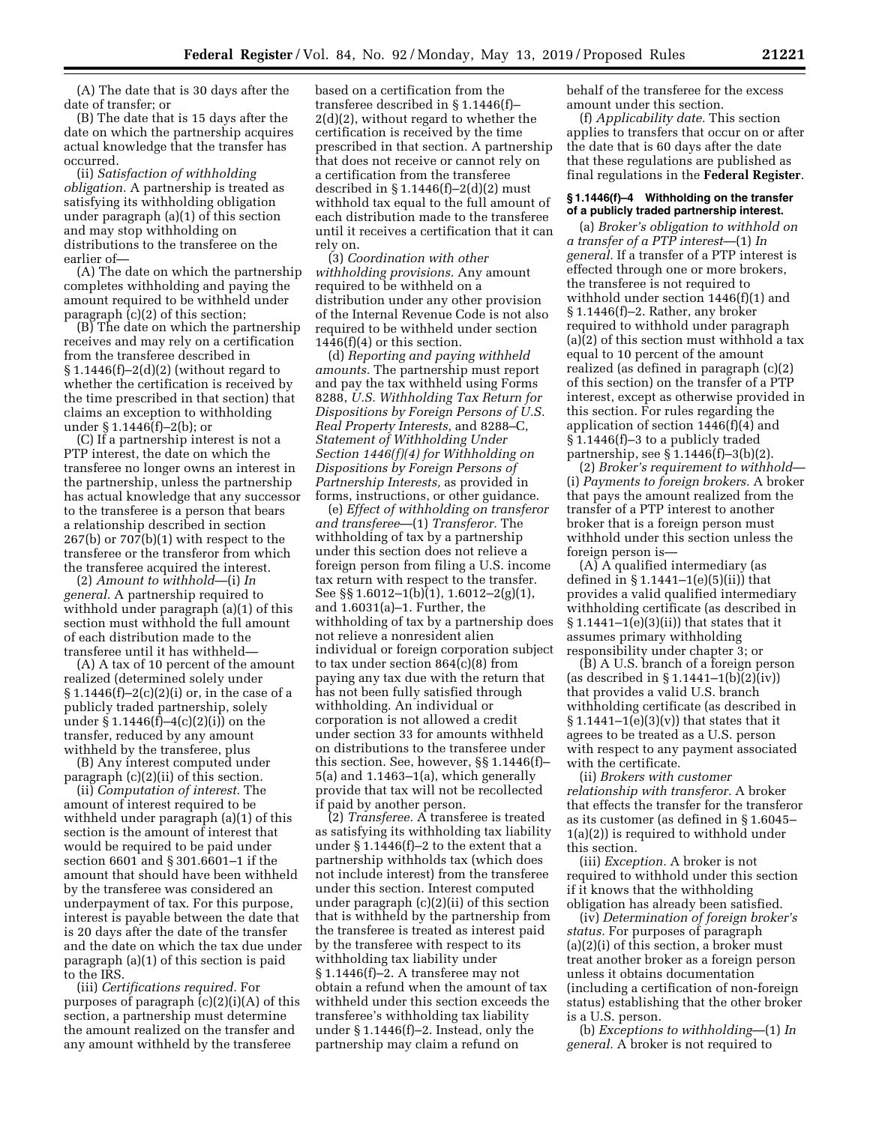(A) The date that is 30 days after the date of transfer; or

(B) The date that is 15 days after the date on which the partnership acquires actual knowledge that the transfer has occurred.

(ii) *Satisfaction of withholding obligation.* A partnership is treated as satisfying its withholding obligation under paragraph (a)(1) of this section and may stop withholding on distributions to the transferee on the earlier of—

(A) The date on which the partnership completes withholding and paying the amount required to be withheld under paragraph (c)(2) of this section;

(B) The date on which the partnership receives and may rely on a certification from the transferee described in  $§ 1.1446(f)-2(d)(2)$  (without regard to whether the certification is received by the time prescribed in that section) that claims an exception to withholding under § 1.1446(f)–2(b); or

(C) If a partnership interest is not a PTP interest, the date on which the transferee no longer owns an interest in the partnership, unless the partnership has actual knowledge that any successor to the transferee is a person that bears a relationship described in section 267(b) or 707(b)(1) with respect to the transferee or the transferor from which the transferee acquired the interest.

(2) *Amount to withhold*—(i) *In general.* A partnership required to withhold under paragraph (a)(1) of this section must withhold the full amount of each distribution made to the transferee until it has withheld—

(A) A tax of 10 percent of the amount realized (determined solely under  $§ 1.1446(f)-2(c)(2)(i)$  or, in the case of a publicly traded partnership, solely under § 1.1446(f)–4(c)(2)(i)) on the transfer, reduced by any amount withheld by the transferee, plus

(B) Any interest computed under paragraph (c)(2)(ii) of this section.

(ii) *Computation of interest.* The amount of interest required to be withheld under paragraph (a)(1) of this section is the amount of interest that would be required to be paid under section 6601 and § 301.6601–1 if the amount that should have been withheld by the transferee was considered an underpayment of tax. For this purpose, interest is payable between the date that is 20 days after the date of the transfer and the date on which the tax due under paragraph (a)(1) of this section is paid to the IRS.

(iii) *Certifications required.* For purposes of paragraph (c)(2)(i)(A) of this section, a partnership must determine the amount realized on the transfer and any amount withheld by the transferee

based on a certification from the transferee described in § 1.1446(f)– 2(d)(2), without regard to whether the certification is received by the time prescribed in that section. A partnership that does not receive or cannot rely on a certification from the transferee described in  $\S 1.1446(f)-2(d)(2)$  must withhold tax equal to the full amount of each distribution made to the transferee until it receives a certification that it can rely on.

(3) *Coordination with other withholding provisions.* Any amount required to be withheld on a distribution under any other provision of the Internal Revenue Code is not also required to be withheld under section  $1446(f)(4)$  or this section.

(d) *Reporting and paying withheld amounts.* The partnership must report and pay the tax withheld using Forms 8288, *U.S. Withholding Tax Return for Dispositions by Foreign Persons of U.S. Real Property Interests,* and 8288–C, *Statement of Withholding Under Section 1446(f)(4) for Withholding on Dispositions by Foreign Persons of Partnership Interests,* as provided in forms, instructions, or other guidance.

(e) *Effect of withholding on transferor and transferee*—(1) *Transferor.* The withholding of tax by a partnership under this section does not relieve a foreign person from filing a U.S. income tax return with respect to the transfer. See §§ 1.6012–1(b)(1), 1.6012–2(g)(1), and 1.6031(a)–1. Further, the withholding of tax by a partnership does not relieve a nonresident alien individual or foreign corporation subject to tax under section  $864(c)(8)$  from paying any tax due with the return that has not been fully satisfied through withholding. An individual or corporation is not allowed a credit under section 33 for amounts withheld on distributions to the transferee under this section. See, however, §§ 1.1446(f)– 5(a) and 1.1463–1(a), which generally provide that tax will not be recollected if paid by another person.

(2) *Transferee.* A transferee is treated as satisfying its withholding tax liability under § 1.1446(f)–2 to the extent that a partnership withholds tax (which does not include interest) from the transferee under this section. Interest computed under paragraph (c)(2)(ii) of this section that is withheld by the partnership from the transferee is treated as interest paid by the transferee with respect to its withholding tax liability under § 1.1446(f)–2. A transferee may not obtain a refund when the amount of tax withheld under this section exceeds the transferee's withholding tax liability under § 1.1446(f)–2. Instead, only the partnership may claim a refund on

behalf of the transferee for the excess amount under this section.

(f) *Applicability date.* This section applies to transfers that occur on or after the date that is 60 days after the date that these regulations are published as final regulations in the **Federal Register**.

### **§ 1.1446(f)–4 Withholding on the transfer of a publicly traded partnership interest.**

(a) *Broker's obligation to withhold on a transfer of a PTP interest*—(1) *In general.* If a transfer of a PTP interest is effected through one or more brokers, the transferee is not required to withhold under section 1446(f)(1) and § 1.1446(f)–2. Rather, any broker required to withhold under paragraph (a)(2) of this section must withhold a tax equal to 10 percent of the amount realized (as defined in paragraph (c)(2) of this section) on the transfer of a PTP interest, except as otherwise provided in this section. For rules regarding the application of section 1446(f)(4) and § 1.1446(f)–3 to a publicly traded partnership, see § 1.1446(f)–3(b)(2).

(2) *Broker's requirement to withhold*— (i) *Payments to foreign brokers.* A broker that pays the amount realized from the transfer of a PTP interest to another broker that is a foreign person must withhold under this section unless the foreign person is—

(A) A qualified intermediary (as defined in § 1.1441–1(e)(5)(ii)) that provides a valid qualified intermediary withholding certificate (as described in § 1.1441–1(e)(3)(ii)) that states that it assumes primary withholding responsibility under chapter 3; or

(B) A U.S. branch of a foreign person (as described in § 1.1441–1(b)(2)(iv)) that provides a valid U.S. branch withholding certificate (as described in  $\S 1.1441-1(e)(3)(v)$  that states that it agrees to be treated as a U.S. person with respect to any payment associated with the certificate.

(ii) *Brokers with customer relationship with transferor.* A broker that effects the transfer for the transferor as its customer (as defined in § 1.6045– 1(a)(2)) is required to withhold under this section.

(iii) *Exception.* A broker is not required to withhold under this section if it knows that the withholding obligation has already been satisfied.

(iv) *Determination of foreign broker's status.* For purposes of paragraph (a)(2)(i) of this section, a broker must treat another broker as a foreign person unless it obtains documentation (including a certification of non-foreign status) establishing that the other broker is a U.S. person.

(b) *Exceptions to withholding*—(1) *In general.* A broker is not required to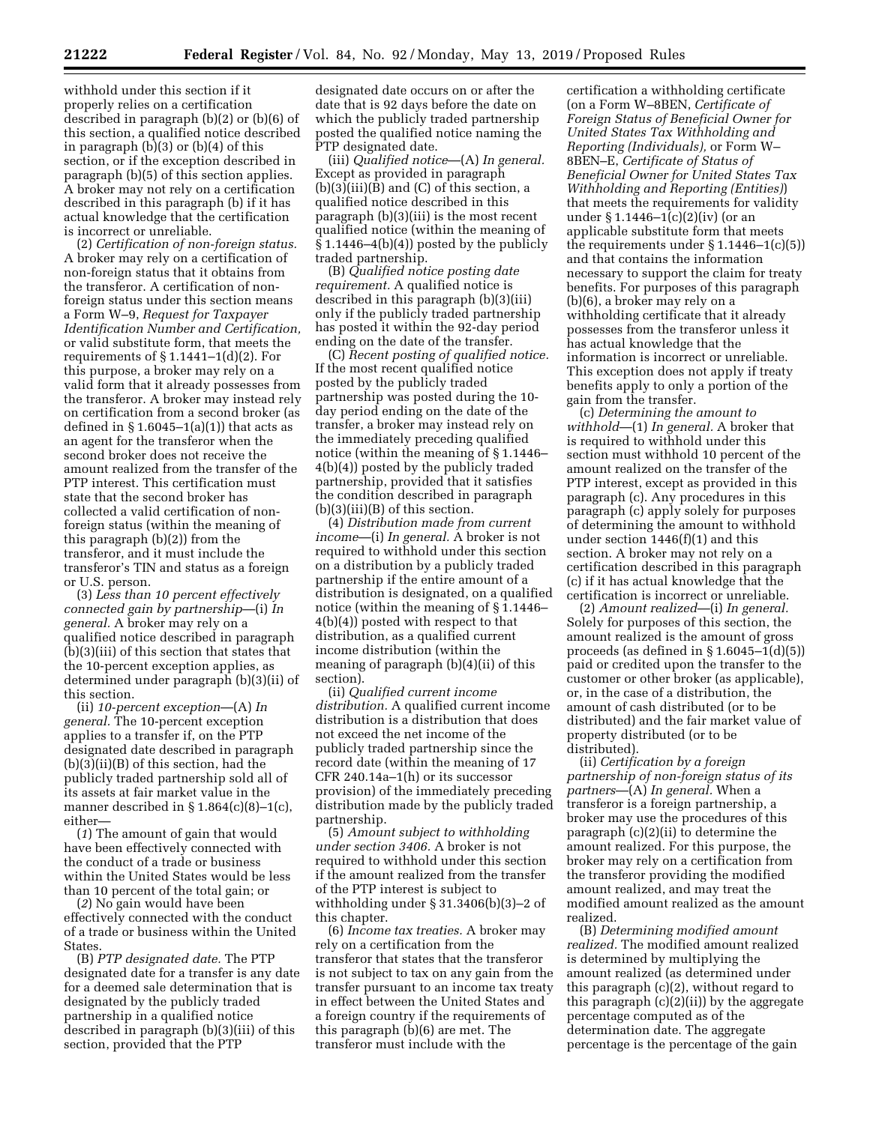withhold under this section if it properly relies on a certification described in paragraph (b)(2) or (b)(6) of this section, a qualified notice described in paragraph  $(b)(3)$  or  $(b)(4)$  of this section, or if the exception described in paragraph (b)(5) of this section applies. A broker may not rely on a certification described in this paragraph (b) if it has actual knowledge that the certification is incorrect or unreliable.

(2) *Certification of non-foreign status.*  A broker may rely on a certification of non-foreign status that it obtains from the transferor. A certification of nonforeign status under this section means a Form W–9, *Request for Taxpayer Identification Number and Certification,*  or valid substitute form, that meets the requirements of  $\S 1.1441 - 1(d)(2)$ . For this purpose, a broker may rely on a valid form that it already possesses from the transferor. A broker may instead rely on certification from a second broker (as defined in  $\S 1.6045-1(a)(1)$  that acts as an agent for the transferor when the second broker does not receive the amount realized from the transfer of the PTP interest. This certification must state that the second broker has collected a valid certification of nonforeign status (within the meaning of this paragraph (b)(2)) from the transferor, and it must include the transferor's TIN and status as a foreign or U.S. person.

(3) *Less than 10 percent effectively connected gain by partnership*—(i) *In general.* A broker may rely on a qualified notice described in paragraph (b)(3)(iii) of this section that states that the 10-percent exception applies, as determined under paragraph (b)(3)(ii) of this section.

(ii) *10-percent exception*—(A) *In general.* The 10-percent exception applies to a transfer if, on the PTP designated date described in paragraph (b)(3)(ii)(B) of this section, had the publicly traded partnership sold all of its assets at fair market value in the manner described in  $\S 1.864(c)(8)-1(c)$ , either—

(*1*) The amount of gain that would have been effectively connected with the conduct of a trade or business within the United States would be less than 10 percent of the total gain; or

(*2*) No gain would have been effectively connected with the conduct of a trade or business within the United **States** 

(B) *PTP designated date.* The PTP designated date for a transfer is any date for a deemed sale determination that is designated by the publicly traded partnership in a qualified notice described in paragraph (b)(3)(iii) of this section, provided that the PTP

designated date occurs on or after the date that is 92 days before the date on which the publicly traded partnership posted the qualified notice naming the PTP designated date.

(iii) *Qualified notice*—(A) *In general.*  Except as provided in paragraph  $(b)(3)(iii)(B)$  and  $(C)$  of this section, a qualified notice described in this paragraph (b)(3)(iii) is the most recent qualified notice (within the meaning of § 1.1446–4(b)(4)) posted by the publicly traded partnership.

(B) *Qualified notice posting date requirement.* A qualified notice is described in this paragraph (b)(3)(iii) only if the publicly traded partnership has posted it within the 92-day period ending on the date of the transfer.

(C) *Recent posting of qualified notice.*  If the most recent qualified notice posted by the publicly traded partnership was posted during the 10 day period ending on the date of the transfer, a broker may instead rely on the immediately preceding qualified notice (within the meaning of § 1.1446– 4(b)(4)) posted by the publicly traded partnership, provided that it satisfies the condition described in paragraph  $(b)(3)(iii)(B)$  of this section.

(4) *Distribution made from current income*—(i) *In general.* A broker is not required to withhold under this section on a distribution by a publicly traded partnership if the entire amount of a distribution is designated, on a qualified notice (within the meaning of § 1.1446– 4(b)(4)) posted with respect to that distribution, as a qualified current income distribution (within the meaning of paragraph (b)(4)(ii) of this section).

(ii) *Qualified current income distribution.* A qualified current income distribution is a distribution that does not exceed the net income of the publicly traded partnership since the record date (within the meaning of 17 CFR 240.14a–1(h) or its successor provision) of the immediately preceding distribution made by the publicly traded partnership.

(5) *Amount subject to withholding under section 3406.* A broker is not required to withhold under this section if the amount realized from the transfer of the PTP interest is subject to withholding under § 31.3406(b)(3)–2 of this chapter.

(6) *Income tax treaties.* A broker may rely on a certification from the transferor that states that the transferor is not subject to tax on any gain from the transfer pursuant to an income tax treaty in effect between the United States and a foreign country if the requirements of this paragraph (b)(6) are met. The transferor must include with the

certification a withholding certificate (on a Form W–8BEN, *Certificate of Foreign Status of Beneficial Owner for United States Tax Withholding and Reporting (Individuals),* or Form W– 8BEN–E, *Certificate of Status of Beneficial Owner for United States Tax Withholding and Reporting (Entities)*) that meets the requirements for validity under § 1.1446–1(c)(2)(iv) (or an applicable substitute form that meets the requirements under § 1.1446–1(c)(5)) and that contains the information necessary to support the claim for treaty benefits. For purposes of this paragraph (b)(6), a broker may rely on a withholding certificate that it already possesses from the transferor unless it has actual knowledge that the information is incorrect or unreliable. This exception does not apply if treaty benefits apply to only a portion of the gain from the transfer.

(c) *Determining the amount to withhold*—(1) *In general.* A broker that is required to withhold under this section must withhold 10 percent of the amount realized on the transfer of the PTP interest, except as provided in this paragraph (c). Any procedures in this paragraph (c) apply solely for purposes of determining the amount to withhold under section 1446(f)(1) and this section. A broker may not rely on a certification described in this paragraph (c) if it has actual knowledge that the certification is incorrect or unreliable.

(2) *Amount realized*—(i) *In general.*  Solely for purposes of this section, the amount realized is the amount of gross proceeds (as defined in  $\S 1.6045-1(d)(5)$ ) paid or credited upon the transfer to the customer or other broker (as applicable), or, in the case of a distribution, the amount of cash distributed (or to be distributed) and the fair market value of property distributed (or to be distributed).

(ii) *Certification by a foreign partnership of non-foreign status of its partners*—(A) *In general.* When a transferor is a foreign partnership, a broker may use the procedures of this paragraph (c)(2)(ii) to determine the amount realized. For this purpose, the broker may rely on a certification from the transferor providing the modified amount realized, and may treat the modified amount realized as the amount realized.

(B) *Determining modified amount realized.* The modified amount realized is determined by multiplying the amount realized (as determined under this paragraph (c)(2), without regard to this paragraph (c)(2)(ii)) by the aggregate percentage computed as of the determination date. The aggregate percentage is the percentage of the gain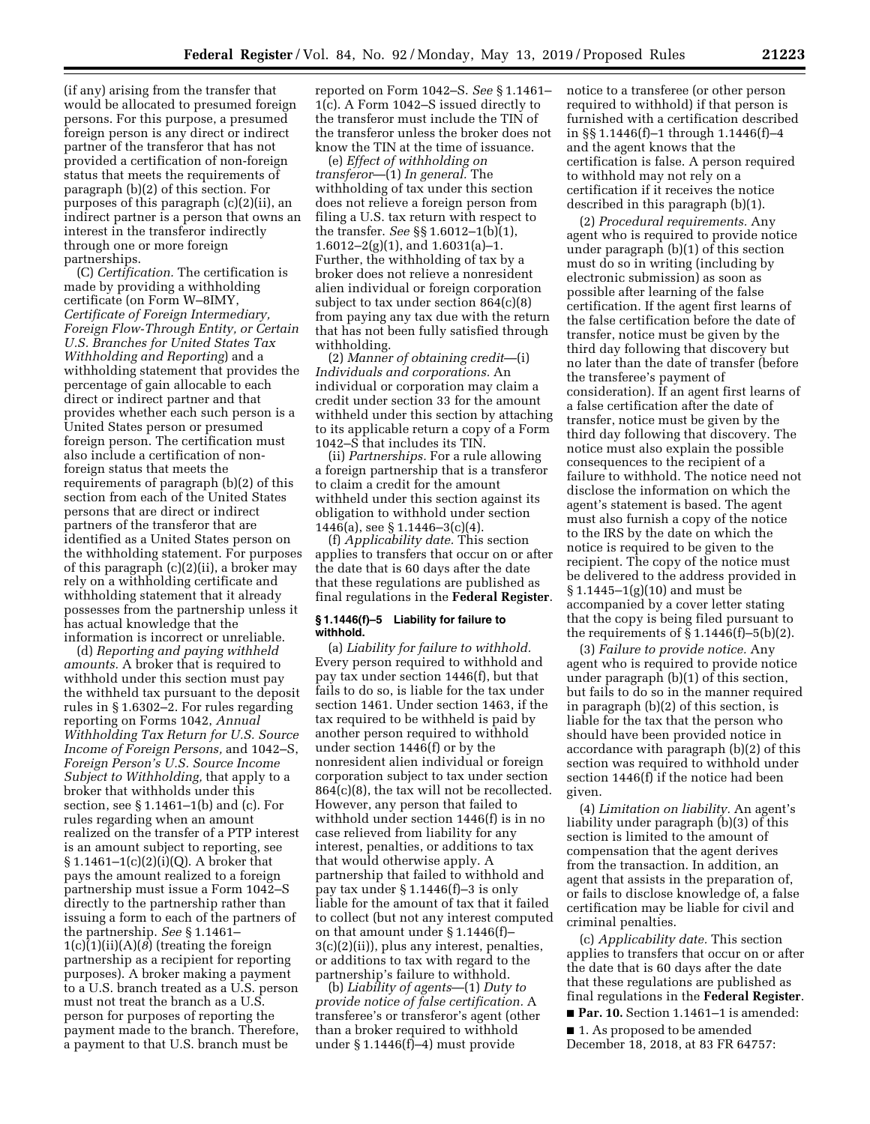(if any) arising from the transfer that would be allocated to presumed foreign persons. For this purpose, a presumed foreign person is any direct or indirect partner of the transferor that has not provided a certification of non-foreign status that meets the requirements of paragraph (b)(2) of this section. For purposes of this paragraph (c)(2)(ii), an indirect partner is a person that owns an interest in the transferor indirectly through one or more foreign partnerships.

(C) *Certification.* The certification is made by providing a withholding certificate (on Form W–8IMY, *Certificate of Foreign Intermediary, Foreign Flow-Through Entity, or Certain U.S. Branches for United States Tax Withholding and Reporting*) and a withholding statement that provides the percentage of gain allocable to each direct or indirect partner and that provides whether each such person is a United States person or presumed foreign person. The certification must also include a certification of nonforeign status that meets the requirements of paragraph (b)(2) of this section from each of the United States persons that are direct or indirect partners of the transferor that are identified as a United States person on the withholding statement. For purposes of this paragraph (c)(2)(ii), a broker may rely on a withholding certificate and withholding statement that it already possesses from the partnership unless it has actual knowledge that the information is incorrect or unreliable.

(d) *Reporting and paying withheld amounts.* A broker that is required to withhold under this section must pay the withheld tax pursuant to the deposit rules in § 1.6302–2. For rules regarding reporting on Forms 1042, *Annual Withholding Tax Return for U.S. Source Income of Foreign Persons,* and 1042–S, *Foreign Person's U.S. Source Income Subject to Withholding,* that apply to a broker that withholds under this section, see § 1.1461–1(b) and (c). For rules regarding when an amount realized on the transfer of a PTP interest is an amount subject to reporting, see § 1.1461–1(c)(2)(i)(Q). A broker that pays the amount realized to a foreign partnership must issue a Form 1042–S directly to the partnership rather than issuing a form to each of the partners of the partnership. *See* § 1.1461– 1(c)(1)(ii)(A)(*8*) (treating the foreign partnership as a recipient for reporting purposes). A broker making a payment to a U.S. branch treated as a U.S. person must not treat the branch as a U.S. person for purposes of reporting the payment made to the branch. Therefore, a payment to that U.S. branch must be

reported on Form 1042–S. *See* § 1.1461– 1(c). A Form 1042–S issued directly to the transferor must include the TIN of the transferor unless the broker does not know the TIN at the time of issuance.

(e) *Effect of withholding on transferor*—(1) *In general.* The withholding of tax under this section does not relieve a foreign person from filing a U.S. tax return with respect to the transfer. *See* §§ 1.6012–1(b)(1), 1.6012–2(g)(1), and  $1.6031(a)-1$ . Further, the withholding of tax by a broker does not relieve a nonresident alien individual or foreign corporation subject to tax under section 864(c)(8) from paying any tax due with the return that has not been fully satisfied through withholding.

(2) *Manner of obtaining credit*—(i) *Individuals and corporations.* An individual or corporation may claim a credit under section 33 for the amount withheld under this section by attaching to its applicable return a copy of a Form 1042–S that includes its TIN.

(ii) *Partnerships.* For a rule allowing a foreign partnership that is a transferor to claim a credit for the amount withheld under this section against its obligation to withhold under section 1446(a), see § 1.1446–3(c)(4).

(f) *Applicability date.* This section applies to transfers that occur on or after the date that is 60 days after the date that these regulations are published as final regulations in the **Federal Register**.

### **§ 1.1446(f)–5 Liability for failure to withhold.**

(a) *Liability for failure to withhold.*  Every person required to withhold and pay tax under section 1446(f), but that fails to do so, is liable for the tax under section 1461. Under section 1463, if the tax required to be withheld is paid by another person required to withhold under section 1446(f) or by the nonresident alien individual or foreign corporation subject to tax under section 864(c)(8), the tax will not be recollected. However, any person that failed to withhold under section 1446(f) is in no case relieved from liability for any interest, penalties, or additions to tax that would otherwise apply. A partnership that failed to withhold and pay tax under § 1.1446(f)–3 is only liable for the amount of tax that it failed to collect (but not any interest computed on that amount under § 1.1446(f)– 3(c)(2)(ii)), plus any interest, penalties, or additions to tax with regard to the partnership's failure to withhold.

(b) *Liability of agents*—(1) *Duty to provide notice of false certification.* A transferee's or transferor's agent (other than a broker required to withhold under § 1.1446(f)–4) must provide

notice to a transferee (or other person required to withhold) if that person is furnished with a certification described in §§ 1.1446(f)–1 through 1.1446(f)–4 and the agent knows that the certification is false. A person required to withhold may not rely on a certification if it receives the notice described in this paragraph (b)(1).

(2) *Procedural requirements.* Any agent who is required to provide notice under paragraph (b)(1) of this section must do so in writing (including by electronic submission) as soon as possible after learning of the false certification. If the agent first learns of the false certification before the date of transfer, notice must be given by the third day following that discovery but no later than the date of transfer (before the transferee's payment of consideration). If an agent first learns of a false certification after the date of transfer, notice must be given by the third day following that discovery. The notice must also explain the possible consequences to the recipient of a failure to withhold. The notice need not disclose the information on which the agent's statement is based. The agent must also furnish a copy of the notice to the IRS by the date on which the notice is required to be given to the recipient. The copy of the notice must be delivered to the address provided in § 1.1445–1(g)(10) and must be accompanied by a cover letter stating that the copy is being filed pursuant to the requirements of  $\S 1.1446(f) - 5(b)(2)$ .

(3) *Failure to provide notice.* Any agent who is required to provide notice under paragraph (b)(1) of this section, but fails to do so in the manner required in paragraph (b)(2) of this section, is liable for the tax that the person who should have been provided notice in accordance with paragraph (b)(2) of this section was required to withhold under section 1446(f) if the notice had been given.

(4) *Limitation on liability.* An agent's liability under paragraph (b)(3) of this section is limited to the amount of compensation that the agent derives from the transaction. In addition, an agent that assists in the preparation of, or fails to disclose knowledge of, a false certification may be liable for civil and criminal penalties.

(c) *Applicability date.* This section applies to transfers that occur on or after the date that is 60 days after the date that these regulations are published as final regulations in the **Federal Register**.

■ **Par. 10.** Section 1.1461–1 is amended:

■ 1. As proposed to be amended December 18, 2018, at 83 FR 64757: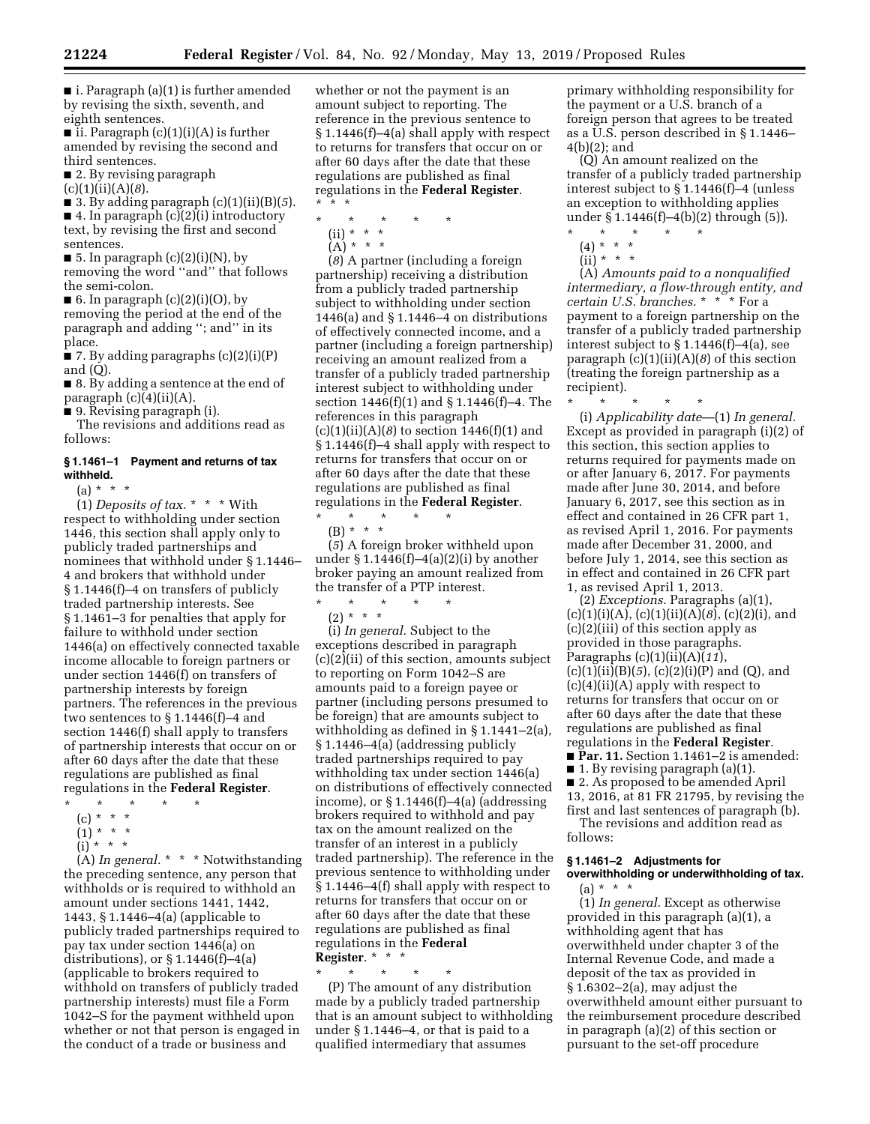■ i. Paragraph (a)(1) is further amended by revising the sixth, seventh, and eighth sentences.

■ ii. Paragraph (c)(1)(i)(A) is further amended by revising the second and third sentences.

■ 2. By revising paragraph

(c)(1)(ii)(A)(*8*).

■ 3. By adding paragraph  $(c)(1)(ii)(B)(5)$ . ■ 4. In paragraph (c)(2)(i) introductory text, by revising the first and second sentences.

- 5. In paragraph  $(c)(2)(i)(N)$ , by removing the word ''and'' that follows the semi-colon.
- $\blacksquare$  6. In paragraph (c)(2)(i)(O), by removing the period at the end of the paragraph and adding ''; and'' in its place.

■ 7. By adding paragraphs (c)(2)(i)(P) and (Q).

■ 8. By adding a sentence at the end of paragraph (c)(4)(ii)(A).

■ 9. Revising paragraph (i).

The revisions and additions read as follows:

# **§ 1.1461–1 Payment and returns of tax withheld.**

 $(a) * * * *$ 

(1) *Deposits of tax.* \* \* \* With respect to withholding under section 1446, this section shall apply only to publicly traded partnerships and nominees that withhold under § 1.1446– 4 and brokers that withhold under § 1.1446(f)–4 on transfers of publicly traded partnership interests. See § 1.1461–3 for penalties that apply for failure to withhold under section 1446(a) on effectively connected taxable income allocable to foreign partners or under section 1446(f) on transfers of partnership interests by foreign partners. The references in the previous two sentences to § 1.1446(f)–4 and section 1446(f) shall apply to transfers of partnership interests that occur on or after 60 days after the date that these regulations are published as final regulations in the **Federal Register**.

- \* \* \* \* \*
	- (c) \* \* \*  $(1) * * * *$
	- $(i) * * * *$

(A) *In general.* \* \* \* Notwithstanding the preceding sentence, any person that withholds or is required to withhold an amount under sections 1441, 1442, 1443, § 1.1446–4(a) (applicable to publicly traded partnerships required to pay tax under section 1446(a) on distributions), or  $\S 1.1446(f) - 4(a)$ (applicable to brokers required to withhold on transfers of publicly traded partnership interests) must file a Form 1042–S for the payment withheld upon whether or not that person is engaged in the conduct of a trade or business and

whether or not the payment is an amount subject to reporting. The reference in the previous sentence to § 1.1446(f)–4(a) shall apply with respect to returns for transfers that occur on or after 60 days after the date that these regulations are published as final regulations in the **Federal Register**. \* \* \*

\* \* \* \* \*

- (ii) \* \* \*
- $(A) * * * *$

(*8*) A partner (including a foreign partnership) receiving a distribution from a publicly traded partnership subject to withholding under section 1446(a) and § 1.1446–4 on distributions of effectively connected income, and a partner (including a foreign partnership) receiving an amount realized from a transfer of a publicly traded partnership interest subject to withholding under section 1446(f)(1) and § 1.1446(f)–4. The references in this paragraph (c)(1)(ii)(A)(*8*) to section 1446(f)(1) and § 1.1446(f)–4 shall apply with respect to returns for transfers that occur on or after 60 days after the date that these regulations are published as final regulations in the **Federal Register**.  $\star$   $\star$   $\star$ 

(B) \* \* \*

(*5*) A foreign broker withheld upon under § 1.1446(f)–4(a)(2)(i) by another broker paying an amount realized from the transfer of a PTP interest.

 $\star$   $\qquad$   $\star$   $\qquad$   $\star$  $(2) * * * *$ 

(i) *In general.* Subject to the exceptions described in paragraph (c)(2)(ii) of this section, amounts subject to reporting on Form 1042–S are amounts paid to a foreign payee or partner (including persons presumed to be foreign) that are amounts subject to withholding as defined in § 1.1441–2(a), § 1.1446–4(a) (addressing publicly traded partnerships required to pay withholding tax under section 1446(a) on distributions of effectively connected income), or  $\S 1.1446(f) - 4(a)$  (addressing brokers required to withhold and pay tax on the amount realized on the transfer of an interest in a publicly traded partnership). The reference in the previous sentence to withholding under § 1.1446–4(f) shall apply with respect to returns for transfers that occur on or after 60 days after the date that these regulations are published as final regulations in the **Federal Register**. \* \* \*

\* \* \* \* \*

(P) The amount of any distribution made by a publicly traded partnership that is an amount subject to withholding under § 1.1446–4, or that is paid to a qualified intermediary that assumes

primary withholding responsibility for the payment or a U.S. branch of a foreign person that agrees to be treated as a U.S. person described in § 1.1446– 4(b)(2); and

(Q) An amount realized on the transfer of a publicly traded partnership interest subject to § 1.1446(f)–4 (unless an exception to withholding applies under § 1.1446(f)–4(b)(2) through (5)).

- \* \* \* \* \*
- (4) \* \* \*
- (ii) \* \* \*

(A) *Amounts paid to a nonqualified intermediary, a flow-through entity, and certain U.S. branches.* \* \* \* For a payment to a foreign partnership on the transfer of a publicly traded partnership interest subject to § 1.1446(f)–4(a), see paragraph (c)(1)(ii)(A)(*8*) of this section (treating the foreign partnership as a recipient).

\* \* \* \* \* (i) *Applicability date*—(1) *In general.*  Except as provided in paragraph (i)(2) of this section, this section applies to returns required for payments made on or after January 6, 2017. For payments made after June 30, 2014, and before January 6, 2017, see this section as in effect and contained in 26 CFR part 1, as revised April 1, 2016. For payments made after December 31, 2000, and before July 1, 2014, see this section as in effect and contained in 26 CFR part 1, as revised April 1, 2013.

(2) *Exceptions.* Paragraphs (a)(1), (c)(1)(i)(A), (c)(1)(ii)(A)(*8*), (c)(2)(i), and (c)(2)(iii) of this section apply as provided in those paragraphs. Paragraphs (c)(1)(ii)(A)(*11*),  $(c)(1)(ii)(B)(5), (c)(2)(i)(P)$  and  $(Q)$ , and (c)(4)(ii)(A) apply with respect to returns for transfers that occur on or after 60 days after the date that these regulations are published as final regulations in the **Federal Register**. ■ **Par. 11.** Section 1.1461–2 is amended: ■ 1. By revising paragraph (a)(1). ■ 2. As proposed to be amended April 13, 2016, at 81 FR 21795, by revising the

first and last sentences of paragraph (b). The revisions and addition read as follows:

# **§ 1.1461–2 Adjustments for overwithholding or underwithholding of tax.**

 $(a) * * * *$ 

(1) *In general.* Except as otherwise provided in this paragraph (a)(1), a withholding agent that has overwithheld under chapter 3 of the Internal Revenue Code, and made a deposit of the tax as provided in § 1.6302–2(a), may adjust the overwithheld amount either pursuant to the reimbursement procedure described in paragraph (a)(2) of this section or pursuant to the set-off procedure